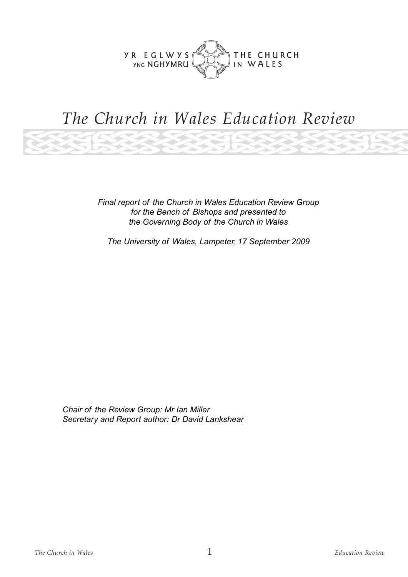

# *The Church in Wales Education Review*

*Final report of the Church in Wales Education Review Group for the Bench of Bishops and presented to the Governing Body of the Church in Wales*

*The University of Wales, Lampeter, 17 September 2009*

*Chair of the Review Group: Mr Ian Miller Secretary and Report author: Dr David Lankshear*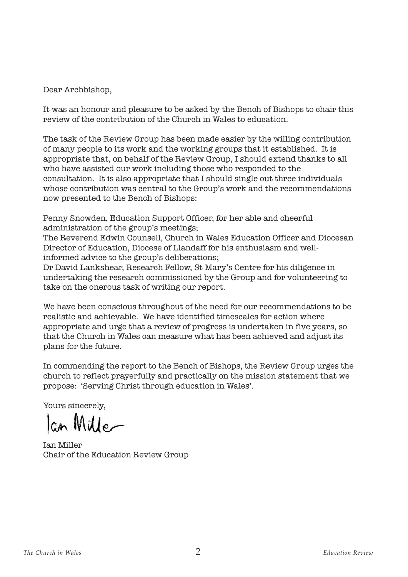Dear Archbishop,

It was an honour and pleasure to be asked by the Bench of Bishops to chair this review of the contribution of the Church in Wales to education.

The task of the Review Group has been made easier by the willing contribution of many people to its work and the working groups that it established. It is appropriate that, on behalf of the Review Group, I should extend thanks to all who have assisted our work including those who responded to the consultation. It is also appropriate that I should single out three individuals whose contribution was central to the Group's work and the recommendations now presented to the Bench of Bishops:

Penny Snowden, Education Support Officer, for her able and cheerful administration of the group's meetings;

The Reverend Edwin Counsell, Church in Wales Education Officer and Diocesan Director of Education, Diocese of Llandaff for his enthusiasm and wellinformed advice to the group's deliberations;

Dr David Lankshear, Research Fellow, St Mary's Centre for his diligence in undertaking the research commissioned by the Group and for volunteering to take on the onerous task of writing our report.

We have been conscious throughout of the need for our recommendations to be realistic and achievable. We have identified timescales for action where appropriate and urge that a review of progress is undertaken in five years, so that the Church in Wales can measure what has been achieved and adjust its plans for the future.

In commending the report to the Bench of Bishops, the Review Group urges the church to reflect prayerfully and practically on the mission statement that we propose: 'Serving Christ through education in Wales'.

Yours sincerely,

lan Mille

Ian Miller Chair of the Education Review Group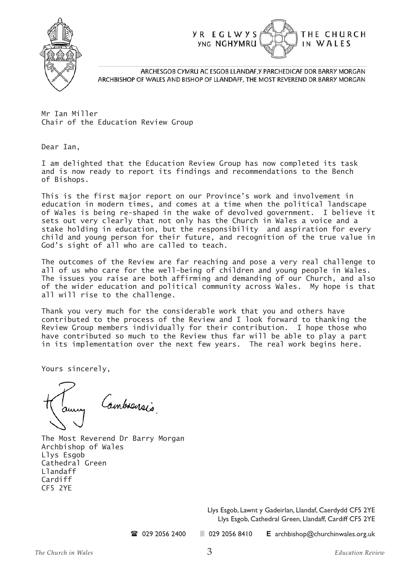



ARCHESGOB CYMRU AC ESGOB LLANDAF, Y PARCHEDICAF DDR BARRY MORGAN ARCHBISHOP OF WALES AND BISHOP OF LLANDAFF. THE MOST REVEREND DR BARRY MORGAN

Mr Ian Miller Chair of the Education Review Group

Dear Ian,

I am delighted that the Education Review Group has now completed its task and is now ready to report its findings and recommendations to the Bench of Bishops.

This is the first major report on our Province's work and involvement in education in modern times, and comes at a time when the political landscape of Wales is being re-shaped in the wake of devolved government. I believe it sets out very clearly that not only has the Church in Wales a voice and a stake holding in education, but the responsibility and aspiration for every child and young person for their future, and recognition of the true value in God's sight of all who are called to teach.

The outcomes of the Review are far reaching and pose a very real challenge to all of us who care for the well-being of children and young people in Wales. The issues you raise are both affirming and demanding of our Church, and also of the wider education and political community across Wales. My hope is that all will rise to the challenge.

Thank you very much for the considerable work that you and others have contributed to the process of the Review and I look forward to thanking the Review Group members individually for their contribution. I hope those who have contributed so much to the Review thus far will be able to play a part in its implementation over the next few years. The real work begins here.

Yours sincerely,

Cambrensis

The Most Reverend Dr Barry Morgan Archbishop of Wales Llys Esgob Cathedral Green Llandaff Cardiff CF5 2YE

> Llys Esgob, Lawnt y Gadeirlan, Llandaf, Caerdydd CF5 2YE Llys Esgob, Cathedral Green, Llandaff, Cardiff CF5 2YE

 $\textbf{20}$  029 2056 2400  $\textbf{3}$  029 2056 8410 **E** archbishop@churchinwales.org.uk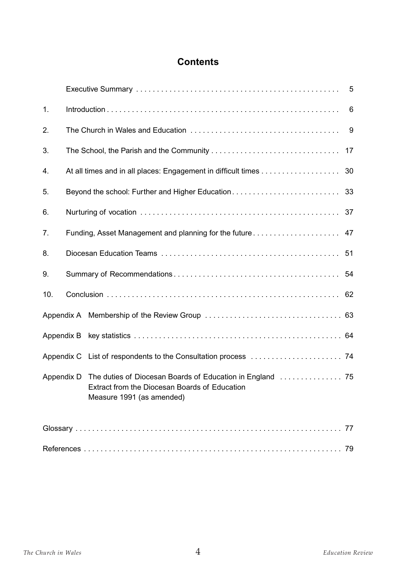#### **Contents**

| 1.         |                                                          |                                                                            | 6  |
|------------|----------------------------------------------------------|----------------------------------------------------------------------------|----|
| 2.         |                                                          |                                                                            |    |
| 3.         |                                                          |                                                                            | 17 |
| 4.         |                                                          |                                                                            | 30 |
| 5.         | Beyond the school: Further and Higher Education          |                                                                            | 33 |
| 6.         |                                                          |                                                                            |    |
| 7.         | Funding, Asset Management and planning for the future 47 |                                                                            |    |
| 8.         |                                                          |                                                                            |    |
| 9.         |                                                          |                                                                            |    |
| 10.        |                                                          |                                                                            |    |
|            |                                                          |                                                                            |    |
|            |                                                          |                                                                            |    |
|            |                                                          |                                                                            |    |
| Appendix D |                                                          | Extract from the Diocesan Boards of Education<br>Measure 1991 (as amended) |    |
|            |                                                          |                                                                            |    |
|            |                                                          |                                                                            | 79 |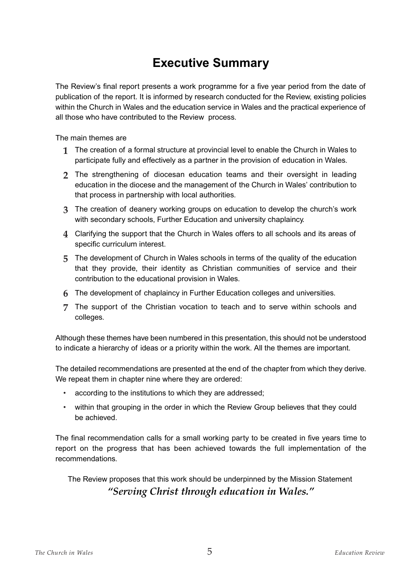# **Executive Summary**

The Review's final report presents a work programme for a five year period from the date of publication of the report. It is informed by research conducted for the Review, existing policies within the Church in Wales and the education service in Wales and the practical experience of all those who have contributed to the Review process.

The main themes are

- **1** The creation of a formal structure at provincial level to enable the Church in Wales to participate fully and effectively as a partner in the provision of education in Wales.
- **2** The strengthening of diocesan education teams and their oversight in leading education in the diocese and the management of the Church in Wales' contribution to that process in partnership with local authorities.
- **3** The creation of deanery working groups on education to develop the church's work with secondary schools. Further Education and university chaplaincy.
- **4** Clarifying the support that the Church in Wales offers to all schools and its areas of specific curriculum interest.
- **5** The development of Church in Wales schools in terms of the quality of the education that they provide, their identity as Christian communities of service and their contribution to the educational provision in Wales.
- **6** The development of chaplaincy in Further Education colleges and universities.
- **7** The support of the Christian vocation to teach and to serve within schools and colleges.

Although these themes have been numbered in this presentation, this should not be understood to indicate a hierarchy of ideas or a priority within the work. All the themes are important.

The detailed recommendations are presented at the end of the chapter from which they derive. We repeat them in chapter nine where they are ordered:

- according to the institutions to which they are addressed;
- within that grouping in the order in which the Review Group believes that they could be achieved.

The final recommendation calls for a small working party to be created in five years time to report on the progress that has been achieved towards the full implementation of the recommendations.

The Review proposes that this work should be underpinned by the Mission Statement *"Serving Christ through education in Wales."*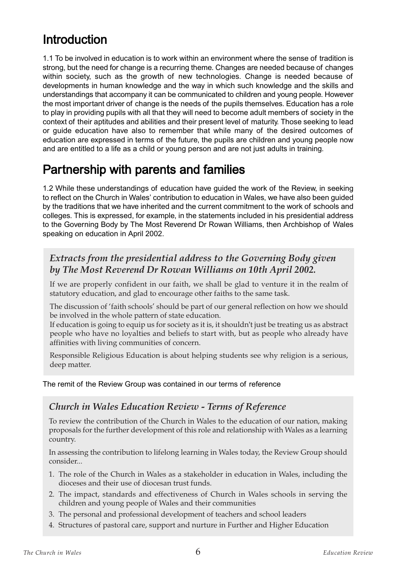# Introduction

1.1 To be involved in education is to work within an environment where the sense of tradition is strong, but the need for change is a recurring theme. Changes are needed because of changes within society, such as the growth of new technologies. Change is needed because of developments in human knowledge and the way in which such knowledge and the skills and understandings that accompany it can be communicated to children and young people. However the most important driver of change is the needs of the pupils themselves. Education has a role to play in providing pupils with all that they will need to become adult members of society in the context of their aptitudes and abilities and their present level of maturity. Those seeking to lead or guide education have also to remember that while many of the desired outcomes of education are expressed in terms of the future, the pupils are children and young people now and are entitled to a life as a child or young person and are not just adults in training.

## Partnership with parents and families

1.2 While these understandings of education have guided the work of the Review, in seeking to reflect on the Church in Wales' contribution to education in Wales, we have also been guided by the traditions that we have inherited and the current commitment to the work of schools and colleges. This is expressed, for example, in the statements included in his presidential address to the Governing Body by The Most Reverend Dr Rowan Williams, then Archbishop of Wales speaking on education in April 2002.

#### *Extracts from the presidential address to the Governing Body given by The Most Reverend Dr Rowan Williams on 10th April 2002.*

If we are properly confident in our faith, we shall be glad to venture it in the realm of statutory education, and glad to encourage other faiths to the same task.

The discussion of 'faith schools' should be part of our general reflection on how we should be involved in the whole pattern of state education.

If education is going to equip us for society as it is, it shouldn't just be treating us as abstract people who have no loyalties and beliefs to start with, but as people who already have affinities with living communities of concern.

Responsible Religious Education is about helping students see why religion is a serious, deep matter.

#### The remit of the Review Group was contained in our terms of reference

#### *Church in Wales Education Review - Terms of Reference*

To review the contribution of the Church in Wales to the education of our nation, making proposals for the further development of this role and relationship with Wales as a learning country.

In assessing the contribution to lifelong learning in Wales today, the Review Group should consider...

- 1. The role of the Church in Wales as a stakeholder in education in Wales, including the dioceses and their use of diocesan trust funds.
- 2. The impact, standards and effectiveness of Church in Wales schools in serving the children and young people of Wales and their communities
- 3. The personal and professional development of teachers and school leaders
- 4. Structures of pastoral care, support and nurture in Further and Higher Education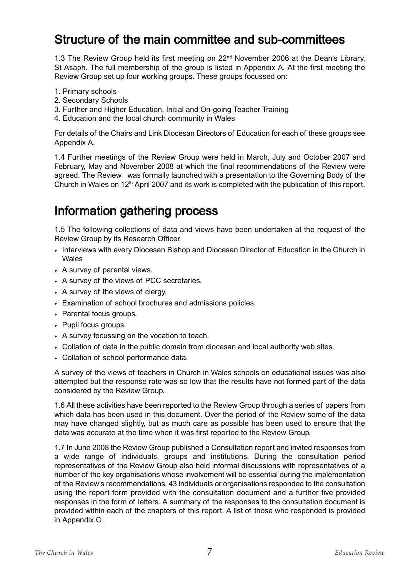## Structure of the main committee and sub-committees

1.3 The Review Group held its first meeting on 22<sup>nd</sup> November 2006 at the Dean's Library, St Asaph. The full membership of the group is listed in Appendix A. At the first meeting the Review Group set up four working groups. These groups focussed on:

- 1. Primary schools
- 2. Secondary Schools
- 3. Further and Higher Education, Initial and On-going Teacher Training
- 4. Education and the local church community in Wales

For details of the Chairs and Link Diocesan Directors of Education for each of these groups see Appendix A.

1.4 Further meetings of the Review Group were held in March, July and October 2007 and February, May and November 2008 at which the final recommendations of the Review were agreed. The Review was formally launched with a presentation to the Governing Body of the Church in Wales on  $12<sup>th</sup>$  April 2007 and its work is completed with the publication of this report.

## Information gathering process

1.5 The following collections of data and views have been undertaken at the request of the Review Group by its Research Officer.

- Interviews with every Diocesan Bishop and Diocesan Director of Education in the Church in Wales
- A survey of parental views.
- A survey of the views of PCC secretaries.
- A survey of the views of clergy.
- Examination of school brochures and admissions policies.
- Parental focus groups.
- Pupil focus groups.
- A survey focussing on the vocation to teach.
- Collation of data in the public domain from diocesan and local authority web sites.
- Collation of school performance data.

A survey of the views of teachers in Church in Wales schools on educational issues was also attempted but the response rate was so low that the results have not formed part of the data considered by the Review Group.

1.6 All these activities have been reported to the Review Group through a series of papers from which data has been used in this document. Over the period of the Review some of the data may have changed slightly, but as much care as possible has been used to ensure that the data was accurate at the time when it was first reported to the Review Group.

1.7 In June 2008 the Review Group published a Consultation report and invited responses from a wide range of individuals, groups and institutions. During the consultation period representatives of the Review Group also held informal discussions with representatives of a number of the key organisations whose involvement will be essential during the implementation of the Review's recommendations. 43 individuals or organisations responded to the consultation using the report form provided with the consultation document and a further five provided responses in the form of letters. A summary of the responses to the consultation document is provided within each of the chapters of this report. A list of those who responded is provided in Appendix C.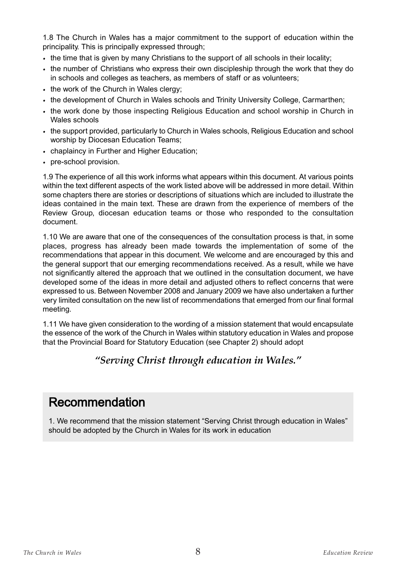1.8 The Church in Wales has a major commitment to the support of education within the principality. This is principally expressed through;

- the time that is given by many Christians to the support of all schools in their locality;
- the number of Christians who express their own discipleship through the work that they do in schools and colleges as teachers, as members of staff or as volunteers;
- the work of the Church in Wales clergy;
- the development of Church in Wales schools and Trinity University College, Carmarthen;
- the work done by those inspecting Religious Education and school worship in Church in Wales schools
- the support provided, particularly to Church in Wales schools, Religious Education and school worship by Diocesan Education Teams;
- chaplaincy in Further and Higher Education;
- pre-school provision.

1.9 The experience of all this work informs what appears within this document. At various points within the text different aspects of the work listed above will be addressed in more detail. Within some chapters there are stories or descriptions of situations which are included to illustrate the ideas contained in the main text. These are drawn from the experience of members of the Review Group, diocesan education teams or those who responded to the consultation document.

1.10 We are aware that one of the consequences of the consultation process is that, in some places, progress has already been made towards the implementation of some of the recommendations that appear in this document. We welcome and are encouraged by this and the general support that our emerging recommendations received. As a result, while we have not significantly altered the approach that we outlined in the consultation document, we have developed some of the ideas in more detail and adjusted others to reflect concerns that were expressed to us. Between November 2008 and January 2009 we have also undertaken a further very limited consultation on the new list of recommendations that emerged from our final formal meeting.

1.11 We have given consideration to the wording of a mission statement that would encapsulate the essence of the work of the Church in Wales within statutory education in Wales and propose that the Provincial Board for Statutory Education (see Chapter 2) should adopt

#### *"Serving Christ through education in Wales."*

## Recommendation

1. We recommend that the mission statement "Serving Christ through education in Wales" should be adopted by the Church in Wales for its work in education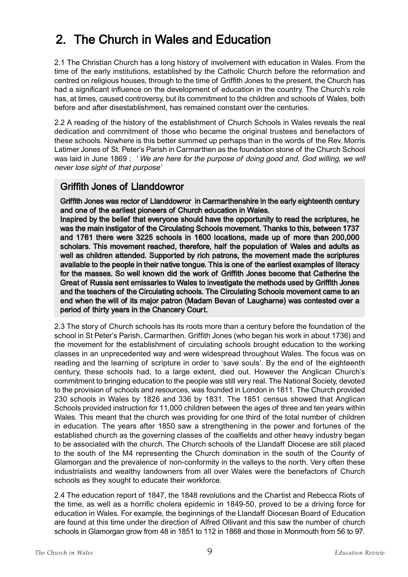# 2. The Church in Wales and Education

2.1 The Christian Church has a long history of involvement with education in Wales. From the time of the early institutions, established by the Catholic Church before the reformation and centred on religious houses, through to the time of Griffith Jones to the present, the Church has had a significant influence on the development of education in the country. The Church's role has, at times, caused controversy, but its commitment to the children and schools of Wales, both before and after disestablishment, has remained constant over the centuries.

2.2 A reading of the history of the establishment of Church Schools in Wales reveals the real dedication and commitment of those who became the original trustees and benefactors of these schools. Nowhere is this better summed up perhaps than in the words of the Rev. Morris Latimer Jones of St. Peter's Parish in Carmarthen as the foundation stone of the Church School was laid in June 1869 : 'We are here for the purpose of doing good and, God willing, we will never lose sight of that purpose'

#### Griffith Jones of Llanddowror

Griffith Jones was rector of Llanddowror in Carmarthenshire in the early eighteenth century and one of the earliest pioneers of Church education in Wales.

Inspired by the belief that everyone should have the opportunity to read the scriptures, he was the main instigator of the Circulating Schools movement. Thanks to this, between 1737 and 1761 there were 3225 schools in 1600 locations, made up of more than 200,000 scholars. This movement reached, therefore, half the population of Wales and adults as well as children attended. Supported by rich patrons, the movement made the scriptures available to the people in their native tongue. This is one of the earliest examples of literacy for the masses. So well known did the work of Griffith Jones become that Catherine the Great of Russia sent emissaries to Wales to investigate the methods used by Griffith Jones and the teachers of the Circulating schools. The Circulating Schools movement came to an end when the will of its major patron (Madam Bevan of Laugharne) was contested over a period of thirty years in the Chancery Court.

2.3 The story of Church schools has its roots more than a century before the foundation of the school in St Peter's Parish, Carmarthen. Griffith Jones (who began his work in about 1736) and the movement for the establishment of circulating schools brought education to the working classes in an unprecedented way and were widespread throughout Wales. The focus was on reading and the learning of scripture in order to 'save souls'. By the end of the eighteenth century, these schools had, to a large extent, died out. However the Anglican Church's commitment to bringing education to the people was still very real. The National Society, devoted to the provision of schools and resources, was founded in London in 1811. The Church provided 230 schools in Wales by 1826 and 336 by 1831. The 1851 census showed that Anglican Schools provided instruction for 11,000 children between the ages of three and ten years within Wales. This meant that the church was providing for one third of the total number of children in education. The years after 1850 saw a strengthening in the power and fortunes of the established church as the governing classes of the coalfields and other heavy industry began to be associated with the church. The Church schools of the Llandaff Diocese are still placed to the south of the M4 representing the Church domination in the south of the County of Glamorgan and the prevalence of non-conformity in the valleys to the north. Very often these industrialists and wealthy landowners from all over Wales were the benefactors of Church schools as they sought to educate their workforce.

2.4 The education report of 1847, the 1848 revolutions and the Chartist and Rebecca Riots of the time, as well as a horrific cholera epidemic in 1849-50, proved to be a driving force for education in Wales. For example, the beginnings of the Llandaff Diocesan Board of Education are found at this time under the direction of Alfred Ollivant and this saw the number of church schools in Glamorgan grow from 48 in 1851 to 112 in 1868 and those in Monmouth from 56 to 97.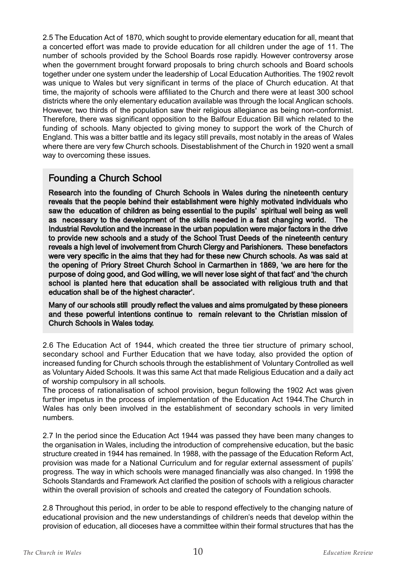2.5 The Education Act of 1870, which sought to provide elementary education for all, meant that a concerted effort was made to provide education for all children under the age of 11. The number of schools provided by the School Boards rose rapidly. However controversy arose when the government brought forward proposals to bring church schools and Board schools together under one system under the leadership of Local Education Authorities. The 1902 revolt was unique to Wales but very significant in terms of the place of Church education. At that time, the majority of schools were affiliated to the Church and there were at least 300 school districts where the only elementary education available was through the local Anglican schools. However, two thirds of the population saw their religious allegiance as being non-conformist. Therefore, there was significant opposition to the Balfour Education Bill which related to the funding of schools. Many objected to giving money to support the work of the Church of England. This was a bitter battle and its legacy still prevails, most notably in the areas of Wales where there are very few Church schools. Disestablishment of the Church in 1920 went a small way to overcoming these issues.

#### Founding a Church School

Research into the founding of Church Schools in Wales during the nineteenth century reveals that the people behind their establishment were highly motivated individuals who saw the education of children as being essential to the pupils' spiritual well being as well as necessary to the development of the skills needed in a fast changing world. The Industrial Revolution and the increase in the urban population were major factors in the drive to provide new schools and a study of the School Trust Deeds of the nineteenth century reveals a high level of involvement from Church Clergy and Parishioners. These benefactors were very specific in the aims that they had for these new Church schools. As was said at the opening of Priory Street Church School in Carmarthen in 1869, 'we are here for the purpose of doing good, and God willing, we will never lose sight of that fact' and 'the church school is planted here that education shall be associated with religious truth and that education shall be of the highest character'.

Many of our schools still proudly reflect the values and aims promulgated by these pioneers and these powerful intentions continue to remain relevant to the Christian mission of Church Schools in Wales today.

2.6 The Education Act of 1944, which created the three tier structure of primary school, secondary school and Further Education that we have today, also provided the option of increased funding for Church schools through the establishment of Voluntary Controlled as well as Voluntary Aided Schools. It was this same Act that made Religious Education and a daily act of worship compulsory in all schools.

The process of rationalisation of school provision, begun following the 1902 Act was given further impetus in the process of implementation of the Education Act 1944.The Church in Wales has only been involved in the establishment of secondary schools in very limited numbers.

2.7 In the period since the Education Act 1944 was passed they have been many changes to the organisation in Wales, including the introduction of comprehensive education, but the basic structure created in 1944 has remained. In 1988, with the passage of the Education Reform Act, provision was made for a National Curriculum and for regular external assessment of pupils' progress. The way in which schools were managed financially was also changed. In 1998 the Schools Standards and Framework Act clarified the position of schools with a religious character within the overall provision of schools and created the category of Foundation schools.

2.8 Throughout this period, in order to be able to respond effectively to the changing nature of educational provision and the new understandings of children's needs that develop within the provision of education, all dioceses have a committee within their formal structures that has the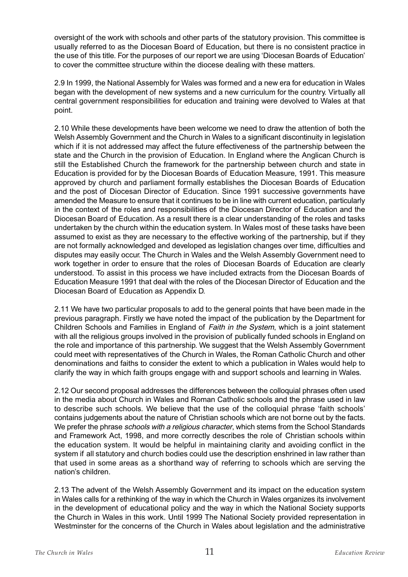oversight of the work with schools and other parts of the statutory provision. This committee is usually referred to as the Diocesan Board of Education, but there is no consistent practice in the use of this title. For the purposes of our report we are using 'Diocesan Boards of Education' to cover the committee structure within the diocese dealing with these matters.

2.9 In 1999, the National Assembly for Wales was formed and a new era for education in Wales began with the development of new systems and a new curriculum for the country. Virtually all central government responsibilities for education and training were devolved to Wales at that point.

2.10 While these developments have been welcome we need to draw the attention of both the Welsh Assembly Government and the Church in Wales to a significant discontinuity in legislation which if it is not addressed may affect the future effectiveness of the partnership between the state and the Church in the provision of Education. In England where the Anglican Church is still the Established Church the framework for the partnership between church and state in Education is provided for by the Diocesan Boards of Education Measure, 1991. This measure approved by church and parliament formally establishes the Diocesan Boards of Education and the post of Diocesan Director of Education. Since 1991 successive governments have amended the Measure to ensure that it continues to be in line with current education, particularly in the context of the roles and responsibilities of the Diocesan Director of Education and the Diocesan Board of Education. As a result there is a clear understanding of the roles and tasks undertaken by the church within the education system. In Wales most of these tasks have been assumed to exist as they are necessary to the effective working of the partnership, but if they are not formally acknowledged and developed as legislation changes over time, difficulties and disputes may easily occur. The Church in Wales and the Welsh Assembly Government need to work together in order to ensure that the roles of Diocesan Boards of Education are clearly understood. To assist in this process we have included extracts from the Diocesan Boards of Education Measure 1991 that deal with the roles of the Diocesan Director of Education and the Diocesan Board of Education as Appendix D.

2.11 We have two particular proposals to add to the general points that have been made in the previous paragraph. Firstly we have noted the impact of the publication by the Department for Children Schools and Families in England of Faith in the System, which is a joint statement with all the religious groups involved in the provision of publically funded schools in England on the role and importance of this partnership. We suggest that the Welsh Assembly Government could meet with representatives of the Church in Wales, the Roman Catholic Church and other denominations and faiths to consider the extent to which a publication in Wales would help to clarify the way in which faith groups engage with and support schools and learning in Wales.

2.12 Our second proposal addresses the differences between the colloquial phrases often used in the media about Church in Wales and Roman Catholic schools and the phrase used in law to describe such schools. We believe that the use of the colloquial phrase 'faith schools' contains judgements about the nature of Christian schools which are not borne out by the facts. We prefer the phrase *schools with a religious character*, which stems from the School Standards and Framework Act, 1998, and more correctly describes the role of Christian schools within the education system. It would be helpful in maintaining clarity and avoiding conflict in the system if all statutory and church bodies could use the description enshrined in law rather than that used in some areas as a shorthand way of referring to schools which are serving the nation's children.

2.13 The advent of the Welsh Assembly Government and its impact on the education system in Wales calls for a rethinking of the way in which the Church in Wales organizes its involvement in the development of educational policy and the way in which the National Society supports the Church in Wales in this work. Until 1999 The National Society provided representation in Westminster for the concerns of the Church in Wales about legislation and the administrative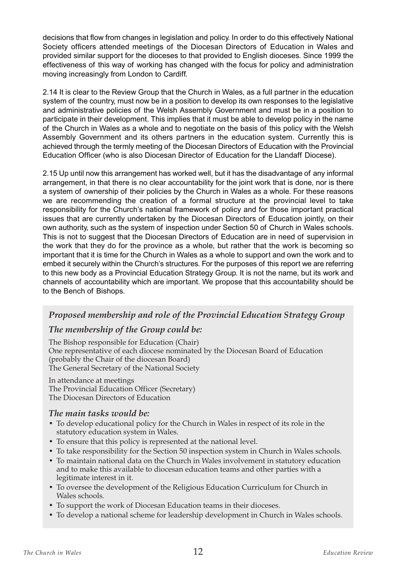decisions that flow from changes in legislation and policy. In order to do this effectively National Society officers attended meetings of the Diocesan Directors of Education in Wales and provided similar support for the dioceses to that provided to English dioceses. Since 1999 the effectiveness of this way of working has changed with the focus for policy and administration moving increasingly from London to Cardiff.

2.14 It is clear to the Review Group that the Church in Wales, as a full partner in the education system of the country, must now be in a position to develop its own responses to the legislative and administrative policies of the Welsh Assembly Government and must be in a position to participate in their development. This implies that it must be able to develop policy in the name of the Church in Wales as a whole and to negotiate on the basis of this policy with the Welsh Assembly Government and its others partners in the education system. Currently this is achieved through the termly meeting of the Diocesan Directors of Education with the Provincial Education Officer (who is also Diocesan Director of Education for the Llandaff Diocese).

2.15 Up until now this arrangement has worked well, but it has the disadvantage of any informal arrangement, in that there is no clear accountability for the joint work that is done, nor is there a system of ownership of their policies by the Church in Wales as a whole. For these reasons we are recommending the creation of a formal structure at the provincial level to take responsibility for the Church's national framework of policy and for those important practical issues that are currently undertaken by the Diocesan Directors of Education jointly, on their own authority, such as the system of inspection under Section 50 of Church in Wales schools. This is not to suggest that the Diocesan Directors of Education are in need of supervision in the work that they do for the province as a whole, but rather that the work is becoming so important that it is time for the Church in Wales as a whole to support and own the work and to embed it securely within the Church's structures. For the purposes of this report we are referring to this new body as a Provincial Education Strategy Group. It is not the name, but its work and channels of accountability which are important. We propose that this accountability should be to the Bench of Bishops.

#### *Proposed membership and role of the Provincial Education Strategy Group*

#### *The membership of the Group could be:*

The Bishop responsible for Education (Chair) One representative of each diocese nominated by the Diocesan Board of Education (probably the Chair of the diocesan Board) The General Secretary of the National Society

In attendance at meetings The Provincial Education Officer (Secretary) The Diocesan Directors of Education

#### *The main tasks would be:*

- To develop educational policy for the Church in Wales in respect of its role in the statutory education system in Wales.
- To ensure that this policy is represented at the national level.
- To take responsibility for the Section 50 inspection system in Church in Wales schools.
- To maintain national data on the Church in Wales involvement in statutory education and to make this available to diocesan education teams and other parties with a legitimate interest in it.
- To oversee the development of the Religious Education Curriculum for Church in Wales schools.
- To support the work of Diocesan Education teams in their dioceses.
- To develop a national scheme for leadership development in Church in Wales schools.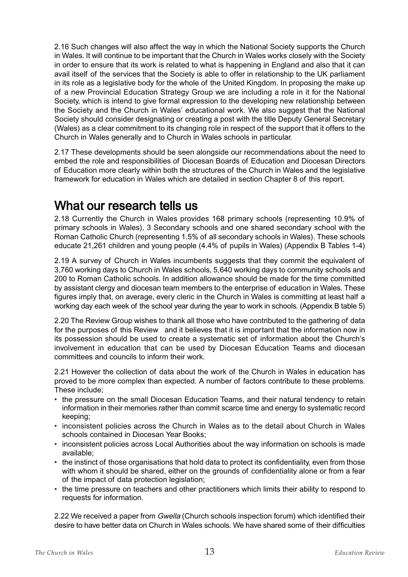2.16 Such changes will also affect the way in which the National Society supports the Church in Wales. It will continue to be important that the Church in Wales works closely with the Society in order to ensure that its work is related to what is happening in England and also that it can avail itself of the services that the Society is able to offer in relationship to the UK parliament in its role as a legislative body for the whole of the United Kingdom. In proposing the make up of a new Provincial Education Strategy Group we are including a role in it for the National Society, which is intend to give formal expression to the developing new relationship between the Society and the Church in Wales' educational work. We also suggest that the National Society should consider designating or creating a post with the title Deputy General Secretary (Wales) as a clear commitment to its changing role in respect of the support that it offers to the Church in Wales generally and to Church in Wales schools in particular.

2.17 These developments should be seen alongside our recommendations about the need to embed the role and responsibilities of Diocesan Boards of Education and Diocesan Directors of Education more clearly within both the structures of the Church in Wales and the legislative framework for education in Wales which are detailed in section Chapter 8 of this report.

## What our research tells us

2.18 Currently the Church in Wales provides 168 primary schools (representing 10.9% of primary schools in Wales), 3 Secondary schools and one shared secondary school with the Roman Catholic Church (representing 1.5% of all secondary schools in Wales). These schools educate 21,261 children and young people (4.4% of pupils in Wales) (Appendix B Tables 1-4)

2.19 A survey of Church in Wales incumbents suggests that they commit the equivalent of 3,760 working days to Church in Wales schools, 5,640 working days to community schools and 200 to Roman Catholic schools. In addition allowance should be made for the time committed by assistant clergy and diocesan team members to the enterprise of education in Wales. These figures imply that, on average, every cleric in the Church in Wales is committing at least half a working day each week of the school year during the year to work in schools. (Appendix B table 5)

2.20 The Review Group wishes to thank all those who have contributed to the gathering of data for the purposes of this Review and it believes that it is important that the information now in its possession should be used to create a systematic set of information about the Church's involvement in education that can be used by Diocesan Education Teams and diocesan committees and councils to inform their work.

2.21 However the collection of data about the work of the Church in Wales in education has proved to be more complex than expected. A number of factors contribute to these problems. These include;

- the pressure on the small Diocesan Education Teams, and their natural tendency to retain information in their memories rather than commit scarce time and energy to systematic record keeping;
- inconsistent policies across the Church in Wales as to the detail about Church in Wales schools contained in Diocesan Year Books;
- inconsistent policies across Local Authorities about the way information on schools is made available;
- the instinct of those organisations that hold data to protect its confidentiality, even from those with whom it should be shared, either on the grounds of confidentiality alone or from a fear of the impact of data protection legislation;
- the time pressure on teachers and other practitioners which limits their ability to respond to requests for information.

2.22 We received a paper from *Gwella* (Church schools inspection forum) which identified their desire to have better data on Church in Wales schools. We have shared some of their difficulties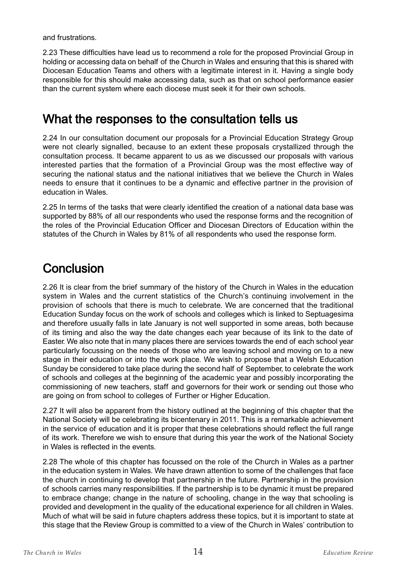and frustrations.

2.23 These difficulties have lead us to recommend a role for the proposed Provincial Group in holding or accessing data on behalf of the Church in Wales and ensuring that this is shared with Diocesan Education Teams and others with a legitimate interest in it. Having a single body responsible for this should make accessing data, such as that on school performance easier than the current system where each diocese must seek it for their own schools.

## What the responses to the consultation tells us

2.24 In our consultation document our proposals for a Provincial Education Strategy Group were not clearly signalled, because to an extent these proposals crystallized through the consultation process. It became apparent to us as we discussed our proposals with various interested parties that the formation of a Provincial Group was the most effective way of securing the national status and the national initiatives that we believe the Church in Wales needs to ensure that it continues to be a dynamic and effective partner in the provision of education in Wales.

2.25 In terms of the tasks that were clearly identified the creation of a national data base was supported by 88% of all our respondents who used the response forms and the recognition of the roles of the Provincial Education Officer and Diocesan Directors of Education within the statutes of the Church in Wales by 81% of all respondents who used the response form.

## **Conclusion**

2.26 It is clear from the brief summary of the history of the Church in Wales in the education system in Wales and the current statistics of the Church's continuing involvement in the provision of schools that there is much to celebrate. We are concerned that the traditional Education Sunday focus on the work of schools and colleges which is linked to Septuagesima and therefore usually falls in late January is not well supported in some areas, both because of its timing and also the way the date changes each year because of its link to the date of Easter. We also note that in many places there are services towards the end of each school year particularly focussing on the needs of those who are leaving school and moving on to a new stage in their education or into the work place. We wish to propose that a Welsh Education Sunday be considered to take place during the second half of September, to celebrate the work of schools and colleges at the beginning of the academic year and possibly incorporating the commissioning of new teachers, staff and governors for their work or sending out those who are going on from school to colleges of Further or Higher Education.

2.27 It will also be apparent from the history outlined at the beginning of this chapter that the National Society will be celebrating its bicentenary in 2011. This is a remarkable achievement in the service of education and it is proper that these celebrations should reflect the full range of its work. Therefore we wish to ensure that during this year the work of the National Society in Wales is reflected in the events.

2.28 The whole of this chapter has focussed on the role of the Church in Wales as a partner in the education system in Wales. We have drawn attention to some of the challenges that face the church in continuing to develop that partnership in the future. Partnership in the provision of schools carries many responsibilities. If the partnership is to be dynamic it must be prepared to embrace change; change in the nature of schooling, change in the way that schooling is provided and development in the quality of the educational experience for all children in Wales. Much of what will be said in future chapters address these topics, but it is important to state at this stage that the Review Group is committed to a view of the Church in Wales' contribution to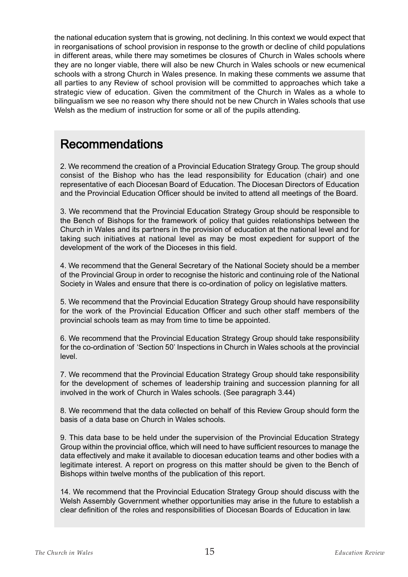the national education system that is growing, not declining. In this context we would expect that in reorganisations of school provision in response to the growth or decline of child populations in different areas, while there may sometimes be closures of Church in Wales schools where they are no longer viable, there will also be new Church in Wales schools or new ecumenical schools with a strong Church in Wales presence. In making these comments we assume that all parties to any Review of school provision will be committed to approaches which take a strategic view of education. Given the commitment of the Church in Wales as a whole to bilingualism we see no reason why there should not be new Church in Wales schools that use Welsh as the medium of instruction for some or all of the pupils attending.

#### Recommendations

2. We recommend the creation of a Provincial Education Strategy Group. The group should consist of the Bishop who has the lead responsibility for Education (chair) and one representative of each Diocesan Board of Education. The Diocesan Directors of Education and the Provincial Education Officer should be invited to attend all meetings of the Board.

3. We recommend that the Provincial Education Strategy Group should be responsible to the Bench of Bishops for the framework of policy that guides relationships between the Church in Wales and its partners in the provision of education at the national level and for taking such initiatives at national level as may be most expedient for support of the development of the work of the Dioceses in this field.

4. We recommend that the General Secretary of the National Society should be a member of the Provincial Group in order to recognise the historic and continuing role of the National Society in Wales and ensure that there is co-ordination of policy on legislative matters.

5. We recommend that the Provincial Education Strategy Group should have responsibility for the work of the Provincial Education Officer and such other staff members of the provincial schools team as may from time to time be appointed.

6. We recommend that the Provincial Education Strategy Group should take responsibility for the co-ordination of 'Section 50' Inspections in Church in Wales schools at the provincial level.

7. We recommend that the Provincial Education Strategy Group should take responsibility for the development of schemes of leadership training and succession planning for all involved in the work of Church in Wales schools. (See paragraph 3.44)

8. We recommend that the data collected on behalf of this Review Group should form the basis of a data base on Church in Wales schools.

9. This data base to be held under the supervision of the Provincial Education Strategy Group within the provincial office, which will need to have sufficient resources to manage the data effectively and make it available to diocesan education teams and other bodies with a legitimate interest. A report on progress on this matter should be given to the Bench of Bishops within twelve months of the publication of this report.

14. We recommend that the Provincial Education Strategy Group should discuss with the Welsh Assembly Government whether opportunities may arise in the future to establish a clear definition of the roles and responsibilities of Diocesan Boards of Education in law.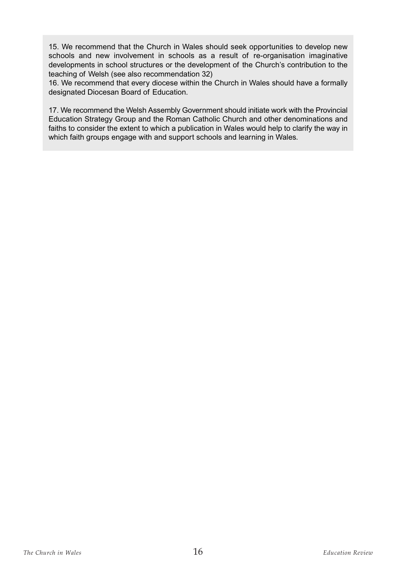15. We recommend that the Church in Wales should seek opportunities to develop new schools and new involvement in schools as a result of re-organisation imaginative developments in school structures or the development of the Church's contribution to the teaching of Welsh (see also recommendation 32)

16. We recommend that every diocese within the Church in Wales should have a formally designated Diocesan Board of Education.

17. We recommend the Welsh Assembly Government should initiate work with the Provincial Education Strategy Group and the Roman Catholic Church and other denominations and faiths to consider the extent to which a publication in Wales would help to clarify the way in which faith groups engage with and support schools and learning in Wales.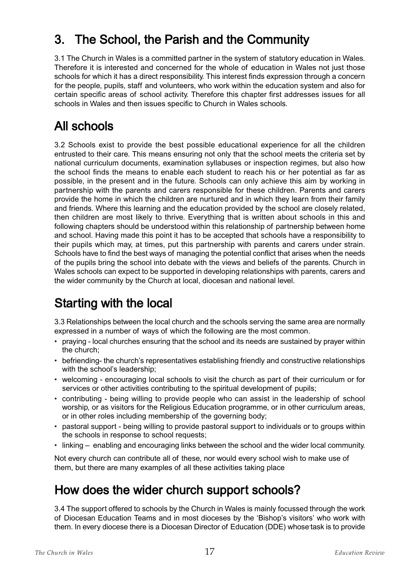# 3. The School, the Parish and the Community

3.1 The Church in Wales is a committed partner in the system of statutory education in Wales. Therefore it is interested and concerned for the whole of education in Wales not just those schools for which it has a direct responsibility. This interest finds expression through a concern for the people, pupils, staff and volunteers, who work within the education system and also for certain specific areas of school activity. Therefore this chapter first addresses issues for all schools in Wales and then issues specific to Church in Wales schools.

## All schools

3.2 Schools exist to provide the best possible educational experience for all the children entrusted to their care. This means ensuring not only that the school meets the criteria set by national curriculum documents, examination syllabuses or inspection regimes, but also how the school finds the means to enable each student to reach his or her potential as far as possible, in the present and in the future. Schools can only achieve this aim by working in partnership with the parents and carers responsible for these children. Parents and carers provide the home in which the children are nurtured and in which they learn from their family and friends. Where this learning and the education provided by the school are closely related, then children are most likely to thrive. Everything that is written about schools in this and following chapters should be understood within this relationship of partnership between home and school. Having made this point it has to be accepted that schools have a responsibility to their pupils which may, at times, put this partnership with parents and carers under strain. Schools have to find the best ways of managing the potential conflict that arises when the needs of the pupils bring the school into debate with the views and beliefs of the parents. Church in Wales schools can expect to be supported in developing relationships with parents, carers and the wider community by the Church at local, diocesan and national level.

# Starting with the local

3.3 Relationships between the local church and the schools serving the same area are normally expressed in a number of ways of which the following are the most common.

- praying local churches ensuring that the school and its needs are sustained by prayer within the church;
- befriending- the church's representatives establishing friendly and constructive relationships with the school's leadership;
- welcoming encouraging local schools to visit the church as part of their curriculum or for services or other activities contributing to the spiritual development of pupils;
- contributing being willing to provide people who can assist in the leadership of school worship, or as visitors for the Religious Education programme, or in other curriculum areas, or in other roles including membership of the governing body;
- pastoral support being willing to provide pastoral support to individuals or to groups within the schools in response to school requests;
- linking enabling and encouraging links between the school and the wider local community.

Not every church can contribute all of these, nor would every school wish to make use of them, but there are many examples of all these activities taking place

# How does the wider church support schools?

3.4 The support offered to schools by the Church in Wales is mainly focussed through the work of Diocesan Education Teams and in most dioceses by the 'Bishop's visitors' who work with them. In every diocese there is a Diocesan Director of Education (DDE) whose-task is to provide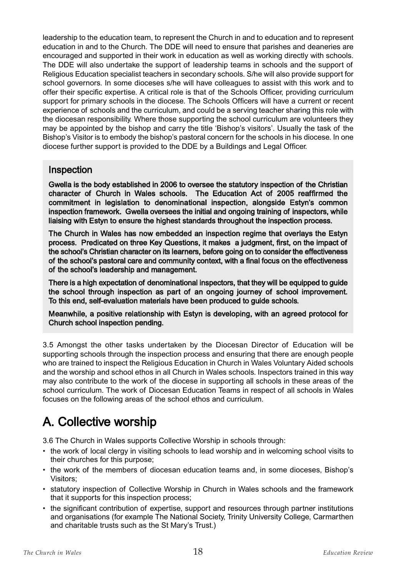leadership to the education team, to represent the Church in and to education and to represent education in and to the Church. The DDE will need to ensure that parishes and deaneries are encouraged and supported in their work in education as well as working directly with schools. The DDE will also undertake the support of leadership teams in schools and the support of Religious Education specialist teachers in secondary schools. S/he will also provide support for school governors. In some dioceses s/he will have colleagues to assist with this work and to offer their specific expertise. A critical role is that of the Schools Officer, providing curriculum support for primary schools in the diocese. The Schools Officers will have a current or recent experience of schools and the curriculum, and could be a serving teacher sharing this role with the diocesan responsibility. Where those supporting the school curriculum are volunteers they may be appointed by the bishop and carry the title 'Bishop's visitors'. Usually the task of the Bishop's Visitor is to embody the bishop's pastoral concern for the schools in his diocese. In one diocese further support is provided to the DDE by a Buildings and Legal Officer.

#### Inspection

Gwella is the body established in 2006 to oversee the statutory inspection of the Christian character of Church in Wales schools. The Education Act of 2005 reaffirmed the commitment in legislation to denominational inspection, alongside Estyn's common inspection framework. Gwella oversees the initial and ongoing training of inspectors, while liaising with Estyn to ensure the highest standards throughout the inspection process.

The Church in Wales has now embedded an inspection regime that overlays the Estyn process. Predicated on three Key Questions, it makes a judgment, first, on the impact of the school's Christian character on its learners, before going on to consider the effectiveness of the school's pastoral care and community context, with a final focus on the effectiveness of the school's leadership and management.

There is a high expectation of denominational inspectors, that they will be equipped to guide the school through inspection as part of an ongoing journey of school improvement. To this end, self-evaluation materials have been produced to guide schools.

Meanwhile, a positive relationship with Estyn is developing, with an agreed protocol for Church school inspection pending.

3.5 Amongst the other tasks undertaken by the Diocesan Director of Education will be supporting schools through the inspection process and ensuring that there are enough people who are trained to inspect the Religious Education in Church in Wales Voluntary Aided schools and the worship and school ethos in all Church in Wales schools. Inspectors trained in this way may also contribute to the work of the diocese in supporting all schools in these areas of the school curriculum. The work of Diocesan Education Teams in respect of all schools in Wales focuses on the following areas of the school ethos and curriculum.

# A. Collective worship

3.6 The Church in Wales supports Collective Worship in schools through:

- the work of local clergy in visiting schools to lead worship and in welcoming school visits to their churches for this purpose;
- the work of the members of diocesan education teams and, in some dioceses, Bishop's Visitors;
- statutory inspection of Collective Worship in Church in Wales schools and the framework that it supports for this inspection process;
- the significant contribution of expertise, support and resources through partner institutions and organisations (for example The National Society, Trinity University College, Carmarthen and charitable trusts such as the St Mary's Trust.)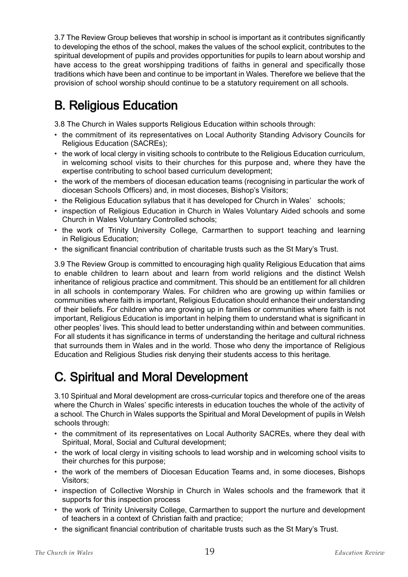3.7 The Review Group believes that worship in school is important as it contributes significantly to developing the ethos of the school, makes the values of the school explicit, contributes to the spiritual development of pupils and provides opportunities for pupils to learn about worship and have access to the great worshipping traditions of faiths in general and specifically those traditions which have been and continue to be important in Wales. Therefore we believe that the provision of school worship should continue to be a statutory requirement on all schools.

# B. Religious Education

3.8 The Church in Wales supports Religious Education within schools through:

- the commitment of its representatives on Local Authority Standing Advisory Councils for Religious Education (SACREs);
- the work of local clergy in visiting schools to contribute to the Religious Education curriculum, in welcoming school visits to their churches for this purpose and, where they have the expertise contributing to school based curriculum development;
- the work of the members of diocesan education teams (recognising in particular the work of diocesan Schools Officers) and, in most dioceses, Bishop's Visitors;
- the Religious Education syllabus that it has developed for Church in Wales' schools;
- inspection of Religious Education in Church in Wales Voluntary Aided schools and some Church in Wales Voluntary Controlled schools;
- the work of Trinity University College, Carmarthen to support teaching and learning in Religious Education;
- the significant financial contribution of charitable trusts such as the St Mary's Trust.

3.9 The Review Group is committed to encouraging high quality Religious Education that aims to enable children to learn about and learn from world religions and the distinct Welsh inheritance of religious practice and commitment. This should be an entitlement for all children in all schools in contemporary Wales. For children who are growing up within families or communities where faith is important, Religious Education should enhance their understanding of their beliefs. For children who are growing up in families or communities where faith is not important, Religious Education is important in helping them to understand what is significant in other peoples' lives. This should lead to better understanding within and between communities. For all students it has significance in terms of understanding the heritage and cultural richness that surrounds them in Wales and in the world. Those who deny the importance of Religious Education and Religious Studies risk denying their students access to this heritage.

# C. Spiritual and Moral Development

3.10 Spiritual and Moral development are cross-curricular topics and therefore one of the areas where the Church in Wales' specific interests in education touches the whole of the activity of a school. The Church in Wales supports the Spiritual and Moral Development of pupils in Welsh schools through:

- the commitment of its representatives on Local Authority SACREs, where they deal with Spiritual, Moral, Social and Cultural development;
- the work of local clergy in visiting schools to lead worship and in welcoming school visits to their churches for this purpose;
- the work of the members of Diocesan Education Teams and, in some dioceses, Bishops Visitors;
- inspection of Collective Worship in Church in Wales schools and the framework that it supports for this inspection process
- the work of Trinity University College, Carmarthen to support the nurture and development of teachers in a context of Christian faith and practice;
- the significant financial contribution of charitable trusts such as the St Mary's Trust.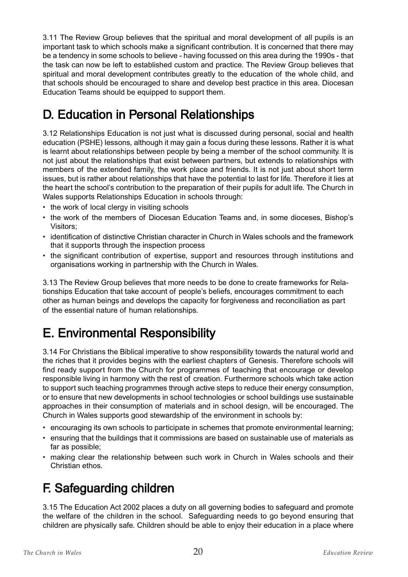3.11 The Review Group believes that the spiritual and moral development of all pupils is an important task to which schools make a significant contribution. It is concerned that there may be a tendency in some schools to believe - having focussed on this area during the 1990s - that the task can now be left to established custom and practice. The Review Group believes that spiritual and moral development contributes greatly to the education of the whole child, and that schools should be encouraged to share and develop best practice in this area. Diocesan Education Teams should be equipped to support them.

# D. Education in Personal Relationships

3.12 Relationships Education is not just what is discussed during personal, social and health education (PSHE) lessons, although it may gain a focus during these lessons. Rather it is what is learnt about relationships between people by being a member of the school community. It is not just about the relationships that exist between partners, but extends to relationships with members of the extended family, the work place and friends. It is not just about short term issues, but is rather about relationships that have the potential to last for life. Therefore it lies at the heart the school's contribution to the preparation of their pupils for adult life. The Church in Wales supports Relationships Education in schools through:

- the work of local clergy in visiting schools
- the work of the members of Diocesan Education Teams and, in some dioceses, Bishop's Visitors;
- identification of distinctive Christian character in Church in Wales schools and the framework that it supports through the inspection process
- the significant contribution of expertise, support and resources through institutions and organisations working in partnership with the Church in Wales.

3.13 The Review Group believes that more needs to be done to create frameworks for Relationships Education that take account of people's beliefs, encourages commitment to each other as human beings and develops the capacity for forgiveness and reconciliation as part of the essential nature of human relationships.

# E. Environmental Responsibility

3.14 For Christians the Biblical imperative to show responsibility towards the natural world and the riches that it provides begins with the earliest chapters of Genesis. Therefore schools will find ready support from the Church for programmes of teaching that encourage or develop responsible living in harmony with the rest of creation. Furthermore schools which take action to support such teaching programmes through active steps to reduce their energy consumption, or to ensure that new developments in school technologies or school buildings use sustainable approaches in their consumption of materials and in school design, will be encouraged. The Church in Wales supports good stewardship of the environment in schools by:

- encouraging its own schools to participate in schemes that promote environmental learning;
- ensuring that the buildings that it commissions are based on sustainable use of materials as far as possible;
- making clear the relationship between such work in Church in Wales schools and their Christian ethos.

## F. Safeguarding children

3.15 The Education Act 2002 places a duty on all governing bodies to safeguard and promote the welfare of the children in the school. Safeguarding needs to go beyond ensuring that children are physically safe. Children should be able to enjoy their education in a place where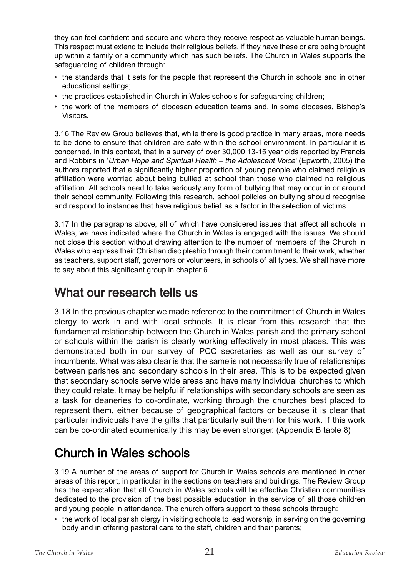they can feel confident and secure and where they receive respect as valuable human beings. This respect must extend to include their religious beliefs, if they have these or are being brought up within a family or a community which has such beliefs. The Church in Wales supports the safeguarding of children through:

- the standards that it sets for the people that represent the Church in schools and in other educational settings;
- the practices established in Church in Wales schools for safeguarding children;
- the work of the members of diocesan education teams and, in some dioceses, Bishop's Visitors.

3.16 The Review Group believes that, while there is good practice in many areas, more needs to be done to ensure that children are safe within the school environment. In particular it is concerned, in this context, that in a survey of over 30,000 13-15 year olds reported by Francis and Robbins in 'Urban Hope and Spiritual Health – the Adolescent Voice' (Epworth, 2005) the authors reported that a significantly higher proportion of young people who claimed religious affiliation were worried about being bullied at school than those who claimed no religious affiliation. All schools need to take seriously any form of bullying that may occur in or around their school community. Following this research, school policies on bullying should recognise and respond to instances that have religious belief as a factor in the selection of victims.

3.17 In the paragraphs above, all of which have considered issues that affect all schools in Wales, we have indicated where the Church in Wales is engaged with the issues. We should not close this section without drawing attention to the number of members of the Church in Wales who express their Christian discipleship through their commitment to their work, whether as teachers, support staff, governors or volunteers, in schools of all types. We shall have more to say about this significant group in chapter 6.

## What our research tells us

3.18 In the previous chapter we made reference to the commitment of Church in Wales clergy to work in and with local schools. It is clear from this research that the fundamental relationship between the Church in Wales parish and the primary school or schools within the parish is clearly working effectively in most places. This was demonstrated both in our survey of PCC secretaries as well as our survey of incumbents. What was also clear is that the same is not necessarily true of relationships between parishes and secondary schools in their area. This is to be expected given that secondary schools serve wide areas and have many individual churches to which they could relate. It may be helpful if relationships with secondary schools are seen as a task for deaneries to co-ordinate, working through the churches best placed to represent them, either because of geographical factors or because it is clear that particular individuals have the gifts that particularly suit them for this work. If this work can be co-ordinated ecumenically this may be even stronger. (Appendix B table 8)

# Church in Wales schools

3.19 A number of the areas of support for Church in Wales schools are mentioned in other areas of this report, in particular in the sections on teachers and buildings. The Review Group has the expectation that all Church in Wales schools will be effective Christian communities dedicated to the provision of the best possible education in the service of all those children and young people in attendance. The church offers support to these schools through:

• the work of local parish clergy in visiting schools to lead worship, in serving on the governing body and in offering pastoral care to the staff, children and their parents;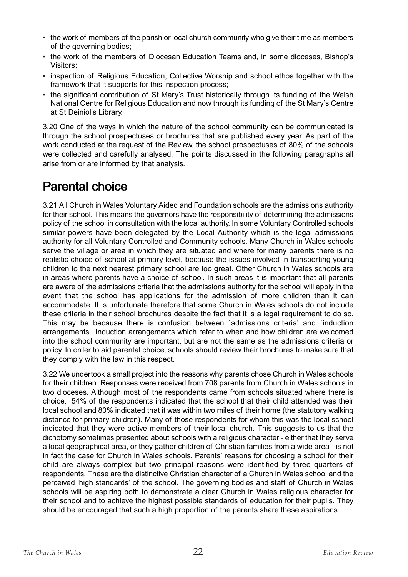- the work of members of the parish or local church community who give their time as members of the governing bodies;
- the work of the members of Diocesan Education Teams and, in some dioceses, Bishop's Visitors;
- inspection of Religious Education, Collective Worship and school ethos together with the framework that it supports for this inspection process;
- the significant contribution of St Mary's Trust historically through its funding of the Welsh National Centre for Religious Education and now through its funding of the St Mary's Centre at St Deiniol's Library.

3.20 One of the ways in which the nature of the school community can be communicated is through the school prospectuses or brochures that are published every year. As part of the work conducted at the request of the Review, the school prospectuses of 80% of the schools were collected and carefully analysed. The points discussed in the following paragraphs all arise from or are informed by that analysis.

## Parental choice

3.21 All Church in Wales Voluntary Aided and Foundation schools are the admissions authority for their school. This means the governors have the responsibility of determining the admissions policy of the school in consultation with the local authority. In some Voluntary Controlled schools similar powers have been delegated by the Local Authority which is the legal admissions authority for all Voluntary Controlled and Community schools. Many Church in Wales schools serve the village or area in which they are situated and where for many parents there is no realistic choice of school at primary level, because the issues involved in transporting young children to the next nearest primary school are too great. Other Church in Wales schools are in areas where parents have a choice of school. In such areas it is important that all parents are aware of the admissions criteria that the admissions authority for the school will apply in the event that the school has applications for the admission of more children than it can accommodate. It is unfortunate therefore that some Church in Wales schools do not include these criteria in their school brochures despite the fact that it is a legal requirement to do so. This may be because there is confusion between `admissions criteria' and `induction arrangements'. Induction arrangements which refer to when and how children are welcomed into the school community are important, but are not the same as the admissions criteria or policy. In order to aid parental choice, schools should review their brochures to make sure that they comply with the law in this respect.

3.22 We undertook a small project into the reasons why parents chose Church in Wales schools for their children. Responses were received from 708 parents from Church in Wales schools in two dioceses. Although most of the respondents came from schools situated where there is choice, 54% of the respondents indicated that the school that their child attended was their local school and 80% indicated that it was within two miles of their home (the statutory walking distance for primary children). Many of those respondents for whom this was the local school indicated that they were active members of their local church. This suggests to us that the dichotomy sometimes presented about schools with a religious character - either that they serve a local geographical area, or they gather children of Christian families from a wide area - is not in fact the case for Church in Wales schools. Parents' reasons for choosing a school for their child are always complex but two principal reasons were identified by three quarters of respondents. These are the distinctive Christian character of a Church in Wales school and the perceived 'high standards' of the school. The governing bodies and staff of Church in Wales schools will be aspiring both to demonstrate a clear Church in Wales religious character for their school and to achieve the highest possible standards of education for their pupils. They should be encouraged that such a high proportion of the parents share these aspirations.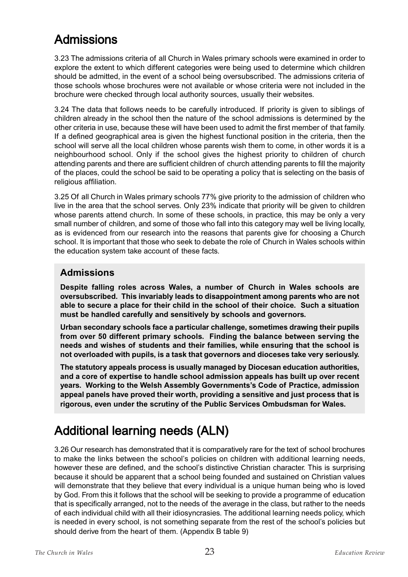## Admissions

3.23 The admissions criteria of all Church in Wales primary schools were examined in order to explore the extent to which different categories were being used to determine which children should be admitted, in the event of a school being oversubscribed. The admissions criteria of those schools whose brochures were not available or whose criteria were not included in the brochure were checked through local authority sources, usually their websites.

3.24 The data that follows needs to be carefully introduced. If priority is given to siblings of children already in the school then the nature of the school admissions is determined by the other criteria in use, because these will have been used to admit the first member of that family. If a defined geographical area is given the highest functional position in the criteria, then the school will serve all the local children whose parents wish them to come, in other words it is a neighbourhood school. Only if the school gives the highest priority to children of church attending parents and there are sufficient children of church attending parents to fill the majority of the places, could the school be said to be operating a policy that is selecting on the basis of religious affiliation.

3.25 Of all Church in Wales primary schools 77% give priority to the admission of children who live in the area that the school serves. Only 23% indicate that priority will be given to children whose parents attend church. In some of these schools, in practice, this may be only a very small number of children, and some of those who fall into this category may well be living locally, as is evidenced from our research into the reasons that parents give for choosing a Church school. It is important that those who seek to debate the role of Church in Wales schools within the education system take account of these facts.

#### **Admissions**

**Despite falling roles across Wales, a number of Church in Wales schools are oversubscribed. This invariably leads to disappointment among parents who are not able to secure a place for their child in the school of their choice. Such a situation must be handled carefully and sensitively by schools and governors.**

**Urban secondary schools face a particular challenge, sometimes drawing their pupils from over 50 different primary schools. Finding the balance between serving the needs and wishes of students and their families, while ensuring that the school is not overloaded with pupils, is a task that governors and dioceses take very seriously.**

**The statutory appeals process is usually managed by Diocesan education authorities, and a core of expertise to handle school admission appeals has built up over recent years. Working to the Welsh Assembly Governments's Code of Practice, admission appeal panels have proved their worth, providing a sensitive and just process that is rigorous, even under the scrutiny of the Public Services Ombudsman for Wales.**

# Additional learning needs (ALN)

3.26 Our research has demonstrated that it is comparatively rare for the text of school brochures to make the links between the school's policies on children with additional learning needs, however these are defined, and the school's distinctive Christian character. This is surprising because it should be apparent that a school being founded and sustained on Christian values will demonstrate that they believe that every individual is a unique human being who is loved by God. From this it follows that the school will be seeking to provide a programme of education that is specifically arranged, not to the needs of the average in the class, but rather to the needs of each individual child with all their idiosyncrasies. The additional learning needs policy, which is needed in every school, is not something separate from the rest of the school's policies but should derive from the heart of them. (Appendix B table 9)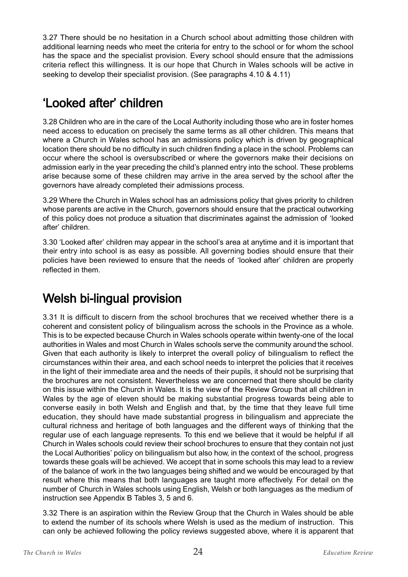3.27 There should be no hesitation in a Church school about admitting those children with additional learning needs who meet the criteria for entry to the school or for whom the school has the space and the specialist provision. Every school should ensure that the admissions criteria reflect this willingness. It is our hope that Church in Wales schools will be active in seeking to develop their specialist provision. (See paragraphs 4.10 & 4.11)

# 'Looked after' children

3.28 Children who are in the care of the Local Authority including those who are in foster homes need access to education on precisely the same terms as all other children. This means that where a Church in Wales school has an admissions policy which is driven by geographical location there should be no difficulty in such children finding a place in the school. Problems can occur where the school is oversubscribed or where the governors make their decisions on admission early in the year preceding the child's planned entry into the school. These problems arise because some of these children may arrive in the area served by the school after the governors have already completed their admissions process.

3.29 Where the Church in Wales school has an admissions policy that gives priority to children whose parents are active in the Church, governors should ensure that the practical outworking of this policy does not produce a situation that discriminates against the admission of 'looked after' children.

3.30 'Looked after' children may appear in the school's area at anytime and it is important that their entry into school is as easy as possible. All governing bodies should ensure that their policies have been reviewed to ensure that the needs of 'looked after' children are properly reflected in them.

# Welsh bi-lingual provision

3.31 It is difficult to discern from the school brochures that we received whether there is a coherent and consistent policy of bilingualism across the schools in the Province as a whole. This is to be expected because Church in Wales schools operate within twenty-one of the local authorities in Wales and most Church in Wales schools serve the community around the school. Given that each authority is likely to interpret the overall policy of bilingualism to reflect the circumstances within their area, and each school needs to interpret the policies that it receives in the light of their immediate area and the needs of their pupils, it should not be surprising that the brochures are not consistent. Nevertheless we are concerned that there should be clarity on this issue within the Church in Wales. It is the view of the Review Group that all children in Wales by the age of eleven should be making substantial progress towards being able to converse easily in both Welsh and English and that, by the time that they leave full time education, they should have made substantial progress in bilingualism and appreciate the cultural richness and heritage of both languages and the different ways of thinking that the regular use of each language represents. To this end we believe that it would be helpful if all Church in Wales schools could review their school brochures to ensure that they contain not just the Local Authorities' policy on bilingualism but also how, in the context of the school, progress towards these goals will be achieved. We accept that in some schools this may lead to a review of the balance of work in the two languages being shifted and we would be encouraged by that result where this means that both languages are taught more effectively. For detail on the number of Church in Wales schools using English, Welsh or both languages as the medium of instruction see Appendix B Tables 3, 5 and 6.

3.32 There is an aspiration within the Review Group that the Church in Wales should be able to extend the number of its schools where Welsh is used as the medium of instruction. This can only be achieved following the policy reviews suggested above, where it is apparent that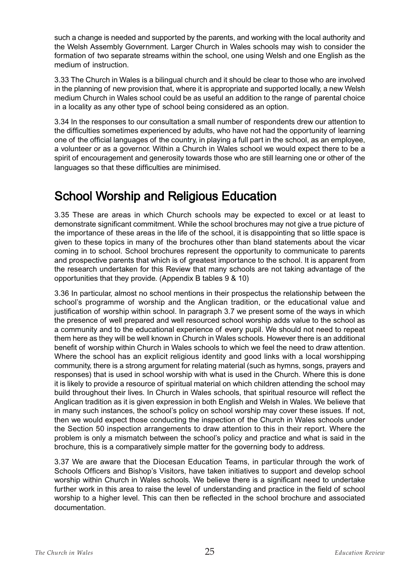such a change is needed and supported by the parents, and working with the local authority and the Welsh Assembly Government. Larger Church in Wales schools may wish to consider the formation of two separate streams within the school, one using Welsh and one English as the medium of instruction.

3.33 The Church in Wales is a bilingual church and it should be clear to those who are involved in the planning of new provision that, where it is appropriate and supported locally, a new Welsh medium Church in Wales school could be as useful an addition to the range of parental choice in a locality as any other type of school being considered as an option.

3.34 In the responses to our consultation a small number of respondents drew our attention to the difficulties sometimes experienced by adults, who have not had the opportunity of learning one of the official languages of the country, in playing a full part in the school, as an employee, a volunteer or as a governor. Within a Church in Wales school we would expect there to be a spirit of encouragement and generosity towards those who are still learning one or other of the languages so that these difficulties are minimised.

## School Worship and Religious Education

3.35 These are areas in which Church schools may be expected to excel or at least to demonstrate significant commitment. While the school brochures may not give a true picture of the importance of these areas in the life of the school, it is disappointing that so little space is given to these topics in many of the brochures other than bland statements about the vicar coming in to school. School brochures represent the opportunity to communicate to parents and prospective parents that which is of greatest importance to the school. It is apparent from the research undertaken for this Review that many schools are not taking advantage of the opportunities that they provide. (Appendix B tables 9 & 10)

3.36 In particular, almost no school mentions in their prospectus the relationship between the school's programme of worship and the Anglican tradition, or the educational value and justification of worship within school. In paragraph 3.7 we present some of the ways in which the presence of well prepared and well resourced school worship adds value to the school as a community and to the educational experience of every pupil. We should not need to repeat them here as they will be well known in Church in Wales schools. However there is an additional benefit of worship within Church in Wales schools to which we feel the need to draw attention. Where the school has an explicit religious identity and good links with a local worshipping community, there is a strong argument for relating material (such as hymns, songs, prayers and responses) that is used in school worship with what is used in the Church. Where this is done it is likely to provide a resource of spiritual material on which children attending the school may build throughout their lives. In Church in Wales schools, that spiritual resource will reflect the Anglican tradition as it is given expression in both English and Welsh in Wales. We believe that in many such instances, the school's policy on school worship may cover these issues. If not, then we would expect those conducting the inspection of the Church in Wales schools under the Section 50 inspection arrangements to draw attention to this in their report. Where the problem is only a mismatch between the school's policy and practice and what is said in the brochure, this is a comparatively simple matter for the governing body to address.

3.37 We are aware that the Diocesan Education Teams, in particular through the work of Schools Officers and Bishop's Visitors, have taken initiatives to support and develop school worship within Church in Wales schools. We believe there is a significant need to undertake further work in this area to raise the level of understanding and practice in the field of school worship to a higher level. This can then be reflected in the school brochure and associated documentation.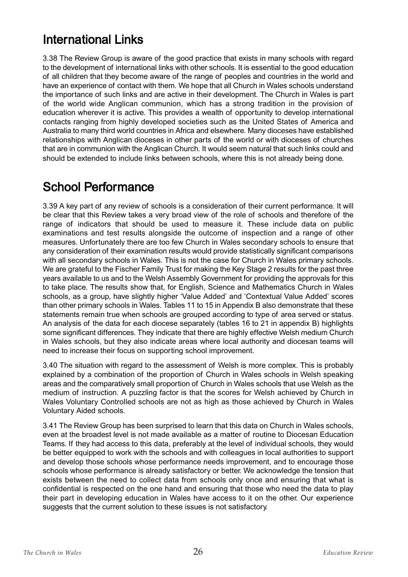# International Links

3.38 The Review Group is aware of the good practice that exists in many schools with regard to the development of international links with other schools. It is essential to the good education of all children that they become aware of the range of peoples and countries in the world and have an experience of contact with them. We hope that all Church in Wales schools understand the importance of such links and are active in their development. The Church in Wales is part of the world wide Anglican communion, which has a strong tradition in the provision of education wherever it is active. This provides a wealth of opportunity to develop international contacts ranging from highly developed societies such as the United States of America and Australia to many third world countries in Africa and elsewhere. Many dioceses have established relationships with Anglican dioceses in other parts of the world or with dioceses of churches that are in communion with the Anglican Church. It would seem natural that such links could and should be extended to include links between schools, where this is not already being done.

#### School Performance

3.39 A key part of any review of schools is a consideration of their current performance. It will be clear that this Review takes a very broad view of the role of schools and therefore of the range of indicators that should be used to measure it. These include data on public examinations and test results alongside the outcome of inspection and a range of other measures. Unfortunately there are too few Church in Wales secondary schools to ensure that any consideration of their examination results would provide statistically significant comparisons with all secondary schools in Wales. This is not the case for Church in Wales primary schools. We are grateful to the Fischer Family Trust for making the Key Stage 2 results for the past three years available to us and to the Welsh Assembly Government for providing the approvals for this to take place. The results show that, for English, Science and Mathematics Church in Wales schools, as a group, have slightly higher 'Value Added' and 'Contextual Value Added' scores than other primary schools in Wales. Tables 11 to 15 in Appendix B also demonstrate that these statements remain true when schools are grouped according to type of area served or status. An analysis of the data for each diocese separately (tables 16 to 21 in appendix B) highlights some significant differences. They indicate that there are highly effective Welsh medium Church in Wales schools, but they also indicate areas where local authority and diocesan teams will need to increase their focus on supporting school improvement.

3.40 The situation with regard to the assessment of Welsh is more complex. This is probably explained by a combination of the proportion of Church in Wales schools in Welsh speaking areas and the comparatively small proportion of Church in Wales schools that use Welsh as the medium of instruction. A puzzling factor is that the scores for Welsh achieved by Church in Wales Voluntary Controlled schools are not as high as those achieved by Church in Wales Voluntary Aided schools.

3.41 The Review Group has been surprised to learn that this data on Church in Wales schools, even at the broadest level is not made available as a matter of routine to Diocesan Education Teams. If they had access to this data, preferably at the level of individual schools, they would be better equipped to work with the schools and with colleagues in local authorities to support and develop those schools whose performance needs improvement, and to encourage those schools whose performance is already satisfactory or better. We acknowledge the tension that exists between the need to collect data from schools only once and ensuring that what is confidential is respected on the one hand and ensuring that those who need the data to play their part in developing education in Wales have access to it on the other. Our experience suggests that the current solution to these issues is not satisfactory.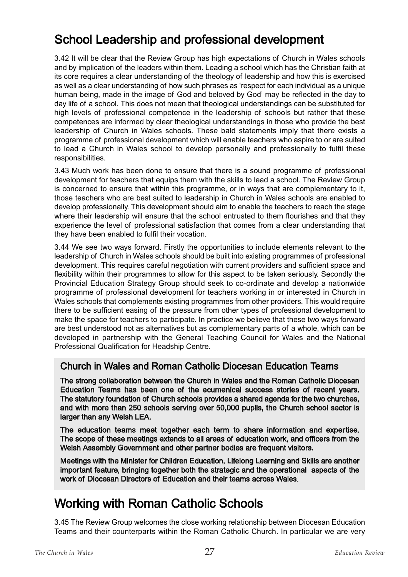# School Leadership and professional development

3.42 It will be clear that the Review Group has high expectations of Church in Wales schools and by implication of the leaders within them. Leading a school which has the Christian faith at its core requires a clear understanding of the theology of leadership and how this is exercised as well as a clear understanding of how such phrases as 'respect for each individual as a unique human being, made in the image of God and beloved by God' may be reflected in the day to day life of a school. This does not mean that theological understandings can be substituted for high levels of professional competence in the leadership of schools but rather that these competences are informed by clear theological understandings in those who provide the best leadership of Church in Wales schools. These bald statements imply that there exists a programme of professional development which will enable teachers who aspire to or are suited to lead a Church in Wales school to develop personally and professionally to fulfil these responsibilities.

3.43 Much work has been done to ensure that there is a sound programme of professional development for teachers that equips them with the skills to lead a school. The Review Group is concerned to ensure that within this programme, or in ways that are complementary to it, those teachers who are best suited to leadership in Church in Wales schools are enabled to develop professionally. This development should aim to enable the teachers to reach the stage where their leadership will ensure that the school entrusted to them flourishes and that they experience the level of professional satisfaction that comes from a clear understanding that they have been enabled to fulfil their vocation.

3.44 We see two ways forward. Firstly the opportunities to include elements relevant to the leadership of Church in Wales schools should be built into existing programmes of professional development. This requires careful negotiation with current providers and sufficient space and flexibility within their programmes to allow for this aspect to be taken seriously. Secondly the Provincial Education Strategy Group should seek to co-ordinate and develop a nationwide programme of professional development for teachers working in or interested in Church in Wales schools that complements existing programmes from other providers. This would require there to be sufficient easing of the pressure from other types of professional development to make the space for teachers to participate. In practice we believe that these two ways forward are best understood not as alternatives but as complementary parts of a whole, which can be developed in partnership with the General Teaching Council for Wales and the National Professional Qualification for Headship Centre.

#### Church in Wales and Roman Catholic Diocesan Education Teams

The strong collaboration between the Church in Wales and the Roman Catholic Diocesan Education Teams has been one of the ecumenical success stories of recent years. The statutory foundation of Church schools provides a shared agenda for the two churches, and with more than 250 schools serving over 50,000 pupils, the Church school sector is larger than any Welsh LEA.

The education teams meet together each term to share information and expertise. The scope of these meetings extends to all areas of education work, and officers from the Welsh Assembly Government and other partner bodies are frequent visitors.

Meetings with the Minister for Children Education, Lifelong Learning and Skills are another important feature, bringing together both the strategic and the operational aspects of the work of Diocesan Directors of Education and their teams across Wales.

## Working with Roman Catholic Schools

3.45 The Review Group welcomes the close working relationship between Diocesan Education Teams and their counterparts within the Roman Catholic Church. In particular we are very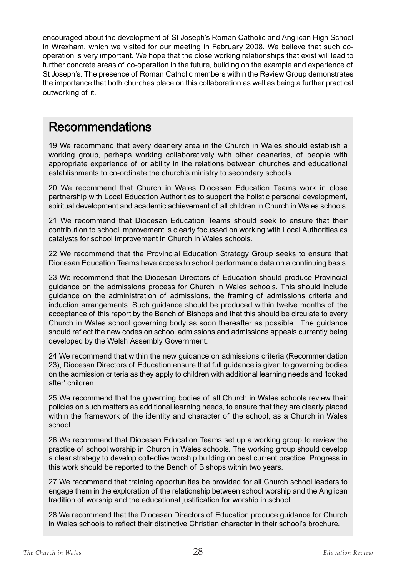encouraged about the development of St Joseph's Roman Catholic and Anglican High School in Wrexham, which we visited for our meeting in February 2008. We believe that such cooperation is very important. We hope that the close working relationships that exist will lead to further concrete areas of co-operation in the future, building on the example and experience of St Joseph's. The presence of Roman Catholic members within the Review Group demonstrates the importance that both churches place on this collaboration as well as being a further practical outworking of it.

## Recommendations

19 We recommend that every deanery area in the Church in Wales should establish a working group, perhaps working collaboratively with other deaneries, of people with appropriate experience of or ability in the relations between churches and educational establishments to co-ordinate the church's ministry to secondary schools.

20 We recommend that Church in Wales Diocesan Education Teams work in close partnership with Local Education Authorities to support the holistic personal development, spiritual development and academic achievement of all children in Church in Wales schools.

21 We recommend that Diocesan Education Teams should seek to ensure that their contribution to school improvement is clearly focussed on working with Local Authorities as catalysts for school improvement in Church in Wales schools.

22 We recommend that the Provincial Education Strategy Group seeks to ensure that Diocesan Education Teams have access to school performance data on a continuing basis.

23 We recommend that the Diocesan Directors of Education should produce Provincial guidance on the admissions process for Church in Wales schools. This should include guidance on the administration of admissions, the framing of admissions criteria and induction arrangements. Such guidance should be produced within twelve months of the acceptance of this report by the Bench of Bishops and that this should be circulate to every Church in Wales school governing body as soon thereafter as possible. The guidance should reflect the new codes on school admissions and admissions appeals currently being developed by the Welsh Assembly Government.

24 We recommend that within the new guidance on admissions criteria (Recommendation 23), Diocesan Directors of Education ensure that full guidance is given to governing bodies on the admission criteria as they apply to children with additional learning needs and 'looked after' children.

25 We recommend that the governing bodies of all Church in Wales schools review their policies on such matters as additional learning needs, to ensure that they are clearly placed within the framework of the identity and character of the school, as a Church in Wales school.

26 We recommend that Diocesan Education Teams set up a working group to review the practice of school worship in Church in Wales schools. The working group should develop a clear strategy to develop collective worship building on best current practice. Progress in this work should be reported to the Bench of Bishops within two years.

27 We recommend that training opportunities be provided for all Church school leaders to engage them in the exploration of the relationship between school worship and the Anglican tradition of worship and the educational justification for worship in school.

28 We recommend that the Diocesan Directors of Education produce guidance for Church in Wales schools to reflect their distinctive Christian character in their school's brochure.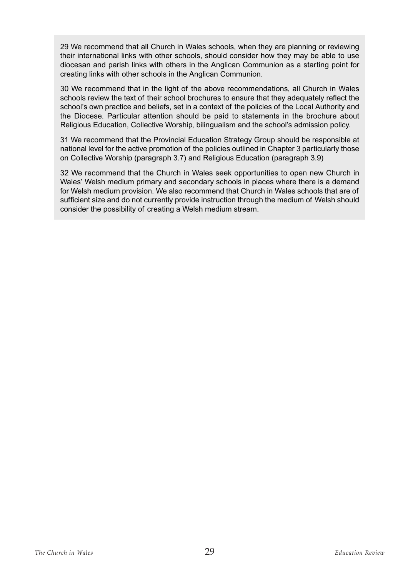29 We recommend that all Church in Wales schools, when they are planning or reviewing their international links with other schools, should consider how they may be able to use diocesan and parish links with others in the Anglican Communion as a starting point for creating links with other schools in the Anglican Communion.

30 We recommend that in the light of the above recommendations, all Church in Wales schools review the text of their school brochures to ensure that they adequately reflect the school's own practice and beliefs, set in a context of the policies of the Local Authority and the Diocese. Particular attention should be paid to statements in the brochure about Religious Education, Collective Worship, bilingualism and the school's admission policy.

31 We recommend that the Provincial Education Strategy Group should be responsible at national level for the active promotion of the policies outlined in Chapter 3 particularly those on Collective Worship (paragraph 3.7) and Religious Education (paragraph 3.9)

32 We recommend that the Church in Wales seek opportunities to open new Church in Wales' Welsh medium primary and secondary schools in places where there is a demand for Welsh medium provision. We also recommend that Church in Wales schools that are of sufficient size and do not currently provide instruction through the medium of Welsh should consider the possibility of creating a Welsh medium stream.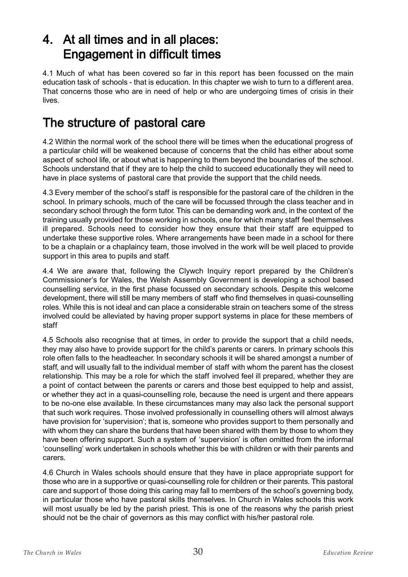## 4. At all times and in all places: Engagement in difficult times

4.1 Much of what has been covered so far in this report has been focussed on the main education task of schools - that is education. In this chapter we wish to turn to a different area. That concerns those who are in need of help or who are undergoing times of crisis in their lives.

## The structure of pastoral care

4.2 Within the normal work of the school there will be times when the educational progress of a particular child will be weakened because of concerns that the child has either about some aspect of school life, or about what is happening to them beyond the boundaries of the school. Schools understand that if they are to help the child to succeed educationally they will need to have in place systems of pastoral care that provide the support that the child needs.

4.3 Every member of the school's staff is responsible for the pastoral care of the children in the school. In primary schools, much of the care will be focussed through the class teacher and in secondary school through the form tutor. This can be demanding work and, in the context of the training usually provided for those working in schools, one for which many staff feel themselves ill prepared. Schools need to consider how they ensure that their staff are equipped to undertake these supportive roles. Where arrangements have been made in a school for there to be a chaplain or a chaplaincy team, those involved in the work will be well placed to provide support in this area to pupils and staff.

4.4 We are aware that, following the Clywch Inquiry report prepared by the Children's Commissioner's for Wales, the Welsh Assembly Government is developing a school based counselling service, in the first phase focussed on secondary schools. Despite this welcome development, there will still be many members of staff who find themselves in quasi-counselling roles. While this is not ideal and can place a considerable strain on teachers some of the stress involved could be alleviated by having proper support systems in place for these members of staff

4.5 Schools also recognise that at times, in order to provide the support that a child needs, they may also have to provide support for the child's parents or carers. In primary schools this role often falls to the headteacher. In secondary schools it will be shared amongst a number of staff, and will usually fall to the individual member of staff with whom the parent has the closest relationship. This may be a role for which the staff involved feel ill prepared, whether they are a point of contact between the parents or carers and those best equipped to help and assist, or whether they act in a quasi-counselling role, because the need is urgent and there appears to be no-one else available. In these circumstances many may also lack the personal support that such work requires. Those involved professionally in counselling others will almost always have provision for 'supervision'; that is, someone who provides support to them personally and with whom they can share the burdens that have been shared with them by those to whom they have been offering support. Such a system of 'supervision' is often omitted from the informal 'counselling' work undertaken in schools whether this be with children or with their parents and carers.

4.6 Church in Wales schools should ensure that they have in place appropriate support for those who are in a supportive or quasi-counselling role for children or their parents. This pastoral care and support of those doing this caring may fall to members of the school's governing body, in particular those who have pastoral skills themselves. In Church in Wales schools this work will most usually be led by the parish priest. This is one of the reasons why the parish priest should not be the chair of governors as this may conflict with his/her pastoral role.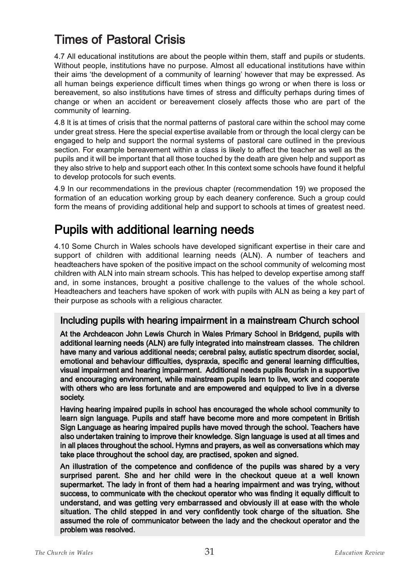# Times of Pastoral Crisis

4.7 All educational institutions are about the people within them, staff and pupils or students. Without people, institutions have no purpose. Almost all educational institutions have within their aims 'the development of a community of learning' however that may be expressed. As all human beings experience difficult times when things go wrong or when there is loss or bereavement, so also institutions have times of stress and difficulty perhaps during times of change or when an accident or bereavement closely affects those who are part of the community of learning.

4.8 It is at times of crisis that the normal patterns of pastoral care within the school may come under great stress. Here the special expertise available from or through the local clergy can be engaged to help and support the normal systems of pastoral care outlined in the previous section. For example bereavement within a class is likely to affect the teacher as well as the pupils and it will be important that all those touched by the death are given help and support as they also strive to help and support each other. In this context some schools have found it helpful to develop protocols for such events.

4.9 In our recommendations in the previous chapter (recommendation 19) we proposed the formation of an education working group by each deanery conference. Such a group could form the means of providing additional help and support to schools at times of greatest need.

## Pupils with additional learning needs

4.10 Some Church in Wales schools have developed significant expertise in their care and support of children with additional learning needs (ALN). A number of teachers and headteachers have spoken of the positive impact on the school community of welcoming most children with ALN into main stream schools. This has helped to develop expertise among staff and, in some instances, brought a positive challenge to the values of the whole school. Headteachers and teachers have spoken of work with pupils with ALN as being a key part of their purpose as schools with a religious character.

#### Including pupils with hearing impairment in a mainstream Church school

At the Archdeacon John Lewis Church in Wales Primary School in Bridgend, pupils with additional learning needs (ALN) are fully integrated into mainstream classes. The children have many and various additional needs; cerebral palsy, autistic spectrum disorder, social, emotional and behaviour difficulties, dyspraxia, specific and general learning difficulties, visual impairment and hearing impairment. Additional needs pupils flourish in a supportive and encouraging environment, while mainstream pupils learn to live, work and cooperate with others who are less fortunate and are empowered and equipped to live in a diverse society.

Having hearing impaired pupils in school has encouraged the whole school community to learn sign language. Pupils and staff have become more and more competent in British Sign Language as hearing impaired pupils have moved through the school. Teachers have also undertaken training to improve their knowledge. Sign language is used at all times and in all places throughout the school. Hymns and prayers, as well as conversations which may take place throughout the school day, are practised, spoken and signed.

An illustration of the competence and confidence of the pupils was shared by a very surprised parent. She and her child were in the checkout queue at a well known supermarket. The lady in front of them had a hearing impairment and was trying, without success, to communicate with the checkout operator who was finding it equally difficult to understand, and was getting very embarrassed and obviously ill at ease with the whole situation. The child stepped in and very confidently took charge of the situation. She assumed the role of communicator between the lady and the checkout operator and the problem was resolved.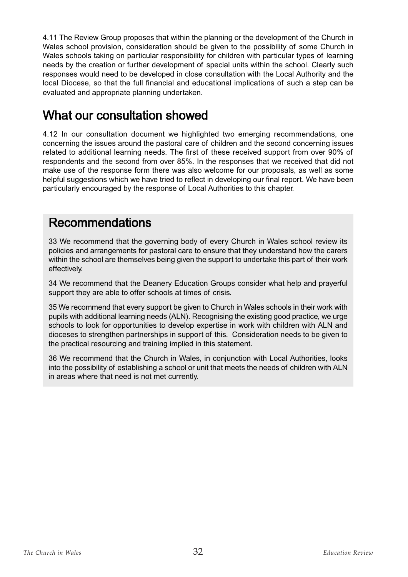4.11 The Review Group proposes that within the planning or the development of the Church in Wales school provision, consideration should be given to the possibility of some Church in Wales schools taking on particular responsibility for children with particular types of learning needs by the creation or further development of special units within the school. Clearly such responses would need to be developed in close consultation with the Local Authority and the local Diocese, so that the full financial and educational implications of such a step can be evaluated and appropriate planning undertaken.

## What our consultation showed

4.12 In our consultation document we highlighted two emerging recommendations, one concerning the issues around the pastoral care of children and the second concerning issues related to additional learning needs. The first of these received support from over 90% of respondents and the second from over 85%. In the responses that we received that did not make use of the response form there was also welcome for our proposals, as well as some helpful suggestions which we have tried to reflect in developing our final report. We have been particularly encouraged by the response of Local Authorities to this chapter.

## Recommendations

33 We recommend that the governing body of every Church in Wales school review its policies and arrangements for pastoral care to ensure that they understand how the carers within the school are themselves being given the support to undertake this part of their work effectively.

34 We recommend that the Deanery Education Groups consider what help and prayerful support they are able to offer schools at times of crisis.

35 We recommend that every support be given to Church in Wales schools in their work with pupils with additional learning needs (ALN). Recognising the existing good practice, we urge schools to look for opportunities to develop expertise in work with children with ALN and dioceses to strengthen partnerships in support of this. Consideration needs to be given to the practical resourcing and training implied in this statement.

36 We recommend that the Church in Wales, in conjunction with Local Authorities, looks into the possibility of establishing a school or unit that meets the needs of children with ALN in areas where that need is not met currently.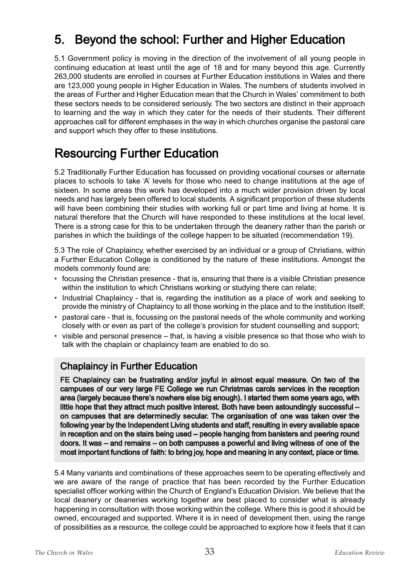# 5. Beyond the school: Further and Higher Education

5.1 Government policy is moving in the direction of the involvement of all young people in continuing education at least until the age of 18 and for many beyond this age. Currently 263,000 students are enrolled in courses at Further Education institutions in Wales and there are 123,000 young people in Higher Education in Wales. The numbers of students involved in the areas of Further and Higher Education mean that the Church in Wales' commitment to both these sectors needs to be considered seriously. The two sectors are distinct in their approach to learning and the way in which they cater for the needs of their students. Their different approaches call for different emphases in the way in which churches organise the pastoral care and support which they offer to these institutions.

# Resourcing Further Education

5.2 Traditionally Further Education has focussed on providing vocational courses or alternate places to schools to take 'A' levels for those who need to change institutions at the age of sixteen. In some areas this work has developed into a much wider provision driven by local needs and has largely been offered to local students. A significant proportion of these students will have been combining their studies with working full or part time and living at home. It is natural therefore that the Church will have responded to these institutions at the local level. There is a strong case for this to be undertaken through the deanery rather than the parish or parishes in which the buildings of the college happen to be situated (recommendation 19).

5.3 The role of Chaplaincy, whether exercised by an individual or a group of Christians, within a Further Education College is conditioned by the nature of these institutions. Amongst the models commonly found are:

- focussing the Christian presence that is, ensuring that there is a visible Christian presence within the institution to which Christians working or studying there can relate;
- Industrial Chaplaincy that is, regarding the institution as a place of work and seeking to provide the ministry of Chaplaincy to all those working in the place and to the institution itself;
- pastoral care that is, focussing on the pastoral needs of the whole community and working closely with or even as part of the college's provision for student counselling and support;
- visible and personal presence that, is having a visible presence so that those who wish to talk with the chaplain or chaplaincy team are enabled to do so.

#### Chaplaincy in Further Education

FE Chaplaincy can be frustrating and/or joyful in almost equal measure. On two of the campuses of our very large FE College we run Christmas carols services in the reception area (largely because there's nowhere else big enough). I started them some years ago, with little hope that they attract much positive interest. Both have been astoundingly successful – on campuses that are determinedly secular. The organisation of one was taken over the following year by the Independent Living students and staff, resulting in every available space in reception and on the stairs being used – people hanging from banisters and peering round doors. It was – and remains – on both campuses a powerful and living witness of one of the most important functions of faith: to bring joy, hope and meaning in any context, place or time.

5.4 Many variants and combinations of these approaches seem to be operating effectively and we are aware of the range of practice that has been recorded by the Further Education specialist officer working within the Church of England's Education Division. We believe that the local deanery or deaneries working together are best placed to consider what is already happening in consultation with those working within the college. Where this is good it should be owned, encouraged and supported. Where it is in need of development then, using the range of possibilities as a resource, the college could be approached to explore how it feels that it can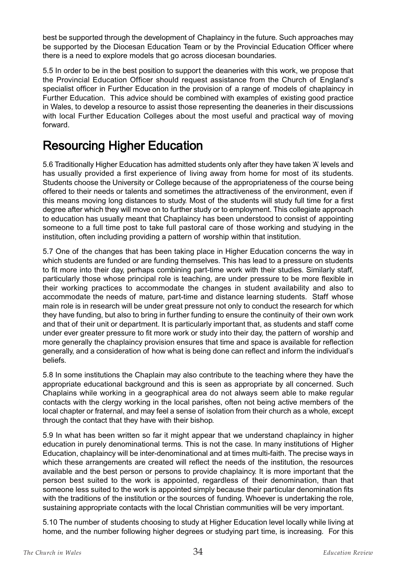best be supported through the development of Chaplaincy in the future. Such approaches may be supported by the Diocesan Education Team or by the Provincial Education Officer where there is a need to explore models that go across diocesan boundaries.

5.5 In order to be in the best position to support the deaneries with this work, we propose that the Provincial Education Officer should request assistance from the Church of England's specialist officer in Further Education in the provision of a range of models of chaplaincy in Further Education. This advice should be combined with examples of existing good practice in Wales, to develop a resource to assist those representing the deaneries in their discussions with local Further Education Colleges about the most useful and practical way of moving forward.

# Resourcing Higher Education

5.6 Traditionally Higher Education has admitted students only after they have taken 'A' levels and has usually provided a first experience of living away from home for most of its students. Students choose the University or College because of the appropriateness of the course being offered to their needs or talents and sometimes the attractiveness of the environment, even if this means moving long distances to study. Most of the students will study full time for a first degree after which they will move on to further study or to employment. This collegiate approach to education has usually meant that Chaplaincy has been understood to consist of appointing someone to a full time post to take full pastoral care of those working and studying in the institution, often including providing a pattern of worship within that institution.

5.7 One of the changes that has been taking place in Higher Education concerns the way in which students are funded or are funding themselves. This has lead to a pressure on students to fit more into their day, perhaps combining part-time work with their studies. Similarly staff, particularly those whose principal role is teaching, are under pressure to be more flexible in their working practices to accommodate the changes in student availability and also to accommodate the needs of mature, part-time and distance learning students. Staff whose main role is in research will be under great pressure not only to conduct the research for which they have funding, but also to bring in further funding to ensure the continuity of their own work and that of their unit or department. It is particularly important that, as students and staff come under ever greater pressure to fit more work or study into their day, the pattern of worship and more generally the chaplaincy provision ensures that time and space is available for reflection generally, and a consideration of how what is being done can reflect and inform the individual's beliefs.

5.8 In some institutions the Chaplain may also contribute to the teaching where they have the appropriate educational background and this is seen as appropriate by all concerned. Such Chaplains while working in a geographical area do not always seem able to make regular contacts with the clergy working in the local parishes, often not being active members of the local chapter or fraternal, and may feel a sense of isolation from their church as a whole, except through the contact that they have with their bishop.

5.9 In what has been written so far it might appear that we understand chaplaincy in higher education in purely denominational terms. This is not the case. In many institutions of Higher Education, chaplaincy will be inter-denominational and at times multi-faith. The precise ways in which these arrangements are created will reflect the needs of the institution, the resources available and the best person or persons to provide chaplaincy. It is more important that the person best suited to the work is appointed, regardless of their denomination, than that someone less suited to the work is appointed simply because their particular denomination fits with the traditions of the institution or the sources of funding. Whoever is undertaking the role, sustaining appropriate contacts with the local Christian communities will be very important.

5.10 The number of students choosing to study at Higher Education level locally while living at home, and the number following higher degrees or studying part time, is increasing. For this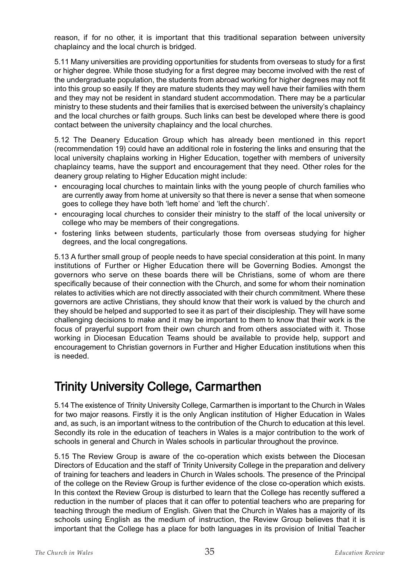reason, if for no other, it is important that this traditional separation between university chaplaincy and the local church is bridged.

5.11 Many universities are providing opportunities for students from overseas to study for a first or higher degree. While those studying for a first degree may become involved with the rest of the undergraduate population, the students from abroad working for higher degrees may not fit into this group so easily. If they are mature students they may well have their families with them and they may not be resident in standard student accommodation. There may be a particular ministry to these students and their families that is exercised between the university's chaplaincy and the local churches or faith groups. Such links can best be developed where there is good contact between the university chaplaincy and the local churches.

5.12 The Deanery Education Group which has already been mentioned in this report (recommendation 19) could have an additional role in fostering the links and ensuring that the local university chaplains working in Higher Education, together with members of university chaplaincy teams, have the support and encouragement that they need. Other roles for the deanery group relating to Higher Education might include:

- encouraging local churches to maintain links with the young people of church families who are currently away from home at university so that there is never a sense that when someone goes to college they have both 'left home' and 'left the church'.
- encouraging local churches to consider their ministry to the staff of the local university or college who may be members of their congregations.
- fostering links between students, particularly those from overseas studying for higher degrees, and the local congregations.

5.13 A further small group of people needs to have special consideration at this point. In many institutions of Further or Higher Education there will be Governing Bodies. Amongst the governors who serve on these boards there will be Christians, some of whom are there specifically because of their connection with the Church, and some for whom their nomination relates to activities which are not directly associated with their church commitment. Where these governors are active Christians, they should know that their work is valued by the church and they should be helped and supported to see it as part of their discipleship. They will have some challenging decisions to make and it may be important to them to know that their work is the focus of prayerful support from their own church and from others associated with it. Those working in Diocesan Education Teams should be available to provide help, support and encouragement to Christian governors in Further and Higher Education institutions when this is needed.

# Trinity University College, Carmarthen

5.14 The existence of Trinity University College, Carmarthen is important to the Church in Wales for two major reasons. Firstly it is the only Anglican institution of Higher Education in Wales and, as such, is an important witness to the contribution of the Church to education at this level. Secondly its role in the education of teachers in Wales is a major contribution to the work of schools in general and Church in Wales schools in particular throughout the province.

5.15 The Review Group is aware of the co-operation which exists between the Diocesan Directors of Education and the staff of Trinity University College in the preparation and delivery of training for teachers and leaders in Church in Wales schools. The presence of the Principal of the college on the Review Group is further evidence of the close co-operation which exists. In this context the Review Group is disturbed to learn that the College has recently suffered a reduction in the number of places that it can offer to potential teachers who are preparing for teaching through the medium of English. Given that the Church in Wales has a majority of its schools using English as the medium of instruction, the Review Group believes that it is important that the College has a place for both languages in its provision of Initial Teacher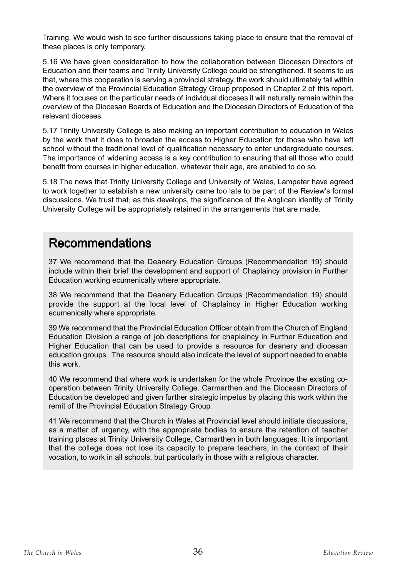Training. We would wish to see further discussions taking place to ensure that the removal of these places is only temporary.

5.16 We have given consideration to how the collaboration between Diocesan Directors of Education and their teams and Trinity University College could be strengthened. It seems to us that, where this cooperation is serving a provincial strategy, the work should ultimately fall within the overview of the Provincial Education Strategy Group proposed in Chapter 2 of this report. Where it focuses on the particular needs of individual dioceses it will naturally remain within the overview of the Diocesan Boards of Education and the Diocesan Directors of Education of the relevant dioceses.

5.17 Trinity University College is also making an important contribution to education in Wales by the work that it does to broaden the access to Higher Education for those who have left school without the traditional level of qualification necessary to enter undergraduate courses. The importance of widening access is a key contribution to ensuring that all those who could benefit from courses in higher education, whatever their age, are enabled to do so.

5.18 The news that Trinity University College and University of Wales, Lampeter have agreed to work together to establish a new university came too late to be part of the Review's formal discussions. We trust that, as this develops, the significance of the Anglican identity of Trinity University College will be appropriately retained in the arrangements that are made.

## Recommendations

37 We recommend that the Deanery Education Groups (Recommendation 19) should include within their brief the development and support of Chaplaincy provision in Further Education working ecumenically where appropriate.

38 We recommend that the Deanery Education Groups (Recommendation 19) should provide the support at the local level of Chaplaincy in Higher Education working ecumenically where appropriate.

39 We recommend that the Provincial Education Officer obtain from the Church of England Education Division a range of job descriptions for chaplaincy in Further Education and Higher Education that can be used to provide a resource for deanery and diocesan education groups. The resource should also indicate the level of support needed to enable this work.

40 We recommend that where work is undertaken for the whole Province the existing cooperation between Trinity University College, Carmarthen and the Diocesan Directors of Education be developed and given further strategic impetus by placing this work within the remit of the Provincial Education Strategy Group.

41 We recommend that the Church in Wales at Provincial level should initiate discussions, as a matter of urgency, with the appropriate bodies to ensure the retention of teacher training places at Trinity University College, Carmarthen in both languages. It is important that the college does not lose its capacity to prepare teachers, in the context of their vocation, to work in all schools, but particularly in those with a religious character.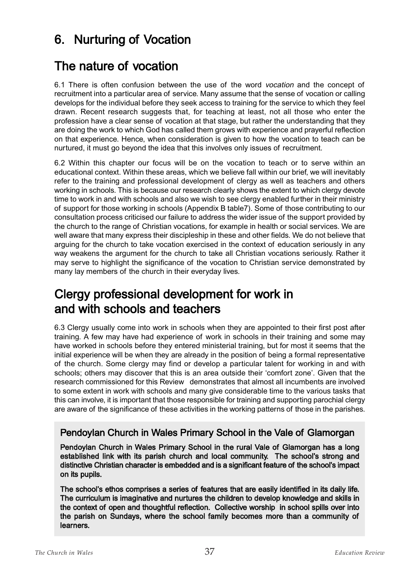### 6. Nurturing of Vocation

### The nature of vocation

6.1 There is often confusion between the use of the word *vocation* and the concept of recruitment into a particular area of service. Many assume that the sense of vocation or calling develops for the individual before they seek access to training for the service to which they feel drawn. Recent research suggests that, for teaching at least, not all those who enter the profession have a clear sense of vocation at that stage, but rather the understanding that they are doing the work to which God has called them grows with experience and prayerful reflection on that experience. Hence, when consideration is given to how the vocation to teach can be nurtured, it must go beyond the idea that this involves only issues of recruitment.

6.2 Within this chapter our focus will be on the vocation to teach or to serve within an educational context. Within these areas, which we believe fall within our brief, we will inevitably refer to the training and professional development of clergy as well as teachers and others working in schools. This is because our research clearly shows the extent to which clergy devote time to work in and with schools and also we wish to see clergy enabled further in their ministry of support for those working in schools (Appendix B table7). Some of those contributing to our consultation process criticised our failure to address the wider issue of the support provided by the church to the range of Christian vocations, for example in health or social services. We are well aware that many express their discipleship in these and other fields. We do not believe that arguing for the church to take vocation exercised in the context of education seriously in any way weakens the argument for the church to take all Christian vocations seriously. Rather it may serve to highlight the significance of the vocation to Christian service demonstrated by many lay members of the church in their everyday lives.

### Clergy professional development for work in and with schools and teachers

6.3 Clergy usually come into work in schools when they are appointed to their first post after training. A few may have had experience of work in schools in their training and some may have worked in schools before they entered ministerial training, but for most it seems that the initial experience will be when they are already in the position of being a formal representative of the church. Some clergy may find or develop a particular talent for working in and with schools; others may discover that this is an area outside their 'comfort zone'. Given that the research commissioned for this Review demonstrates that almost all incumbents are involved to some extent in work with schools and many give considerable time to the various tasks that this can involve, it is important that those responsible for training and supporting parochial clergy are aware of the significance of these activities in the working patterns of those in the parishes.

#### Pendoylan Church in Wales Primary School in the Vale of Glamorgan

Pendoylan Church in Wales Primary School in the rural Vale of Glamorgan has a long established link with its parish church and local community. The school's strong and distinctive Christian character is embedded and is a significant feature of the school's impact on its pupils.

The school's ethos comprises a series of features that are easily identified in its daily life. The curriculum is imaginative and nurtures the children to develop knowledge and skills in the context of open and thoughtful reflection. Collective worship in school spills over into the parish on Sundays, where the school family becomes more than a community of learners.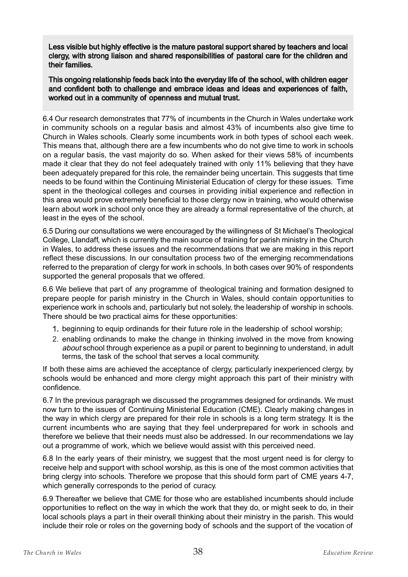Less visible but highly effective is the mature pastoral support shared by teachers and local clergy, with strong liaison and shared responsibilities of pastoral care for the children and their families.

This ongoing relationship feeds back into the everyday life of the school, with children eager and confident both to challenge and embrace ideas and ideas and experiences of faith, worked out in a community of openness and mutual trust.

6.4 Our research demonstrates that 77% of incumbents in the Church in Wales undertake work in community schools on a regular basis and almost 43% of incumbents also give time to Church in Wales schools. Clearly some incumbents work in both types of school each week. This means that, although there are a few incumbents who do not give time to work in schools on a regular basis, the vast majority do so. When asked for their views 58% of incumbents made it clear that they do not feel adequately trained with only 11% believing that they have been adequately prepared for this role, the remainder being uncertain. This suggests that time needs to be found within the Continuing Ministerial Education of clergy for these issues. Time spent in the theological colleges and courses in providing initial experience and reflection in this area would prove extremely beneficial to those clergy now in training, who would otherwise learn about work in school only once they are already a formal representative of the church, at least in the eyes of the school.

6.5 During our consultations we were encouraged by the willingness of St Michael's Theological College, Llandaff, which is currently the main source of training for parish ministry in the Church in Wales, to address these issues and the recommendations that we are making in this report reflect these discussions. In our consultation process two of the emerging recommendations referred to the preparation of clergy for work in schools. In both cases over 90% of respondents supported the general proposals that we offered.

6.6 We believe that part of any programme of theological training and formation designed to prepare people for parish ministry in the Church in Wales, should contain opportunities to experience work in schools and, particularly but not solely, the leadership of worship in schools. There should be two practical aims for these opportunities:

- 1. beginning to equip ordinands for their future role in the leadership of school worship;
- 2. enabling ordinands to make the change in thinking involved in the move from knowing about school through experience as a pupil or parent to beginning to understand, in adult terms, the task of the school that serves a local community.

If both these aims are achieved the acceptance of clergy, particularly inexperienced clergy, by schools would be enhanced and more clergy might approach this part of their ministry with confidence.

6.7 In the previous paragraph we discussed the programmes designed for ordinands. We must now turn to the issues of Continuing Ministerial Education (CME). Clearly making changes in the way in which clergy are prepared for their role in schools is a long term strategy. It is the current incumbents who are saying that they feel underprepared for work in schools and therefore we believe that their needs must also be addressed. In our recommendations we lay out a programme of work, which we believe would assist with this perceived need.

6.8 In the early years of their ministry, we suggest that the most urgent need is for clergy to receive help and support with school worship, as this is one of the most common activities that bring clergy into schools. Therefore we propose that this should form part of CME years 4-7, which generally corresponds to the period of curacy.

6.9 Thereafter we believe that CME for those who are established incumbents should include opportunities to reflect on the way in which the work that they do, or might seek to do, in their local schools plays a part in their overall thinking about their ministry in the parish. This would include their role or roles on the governing body of schools and the support of the vocation of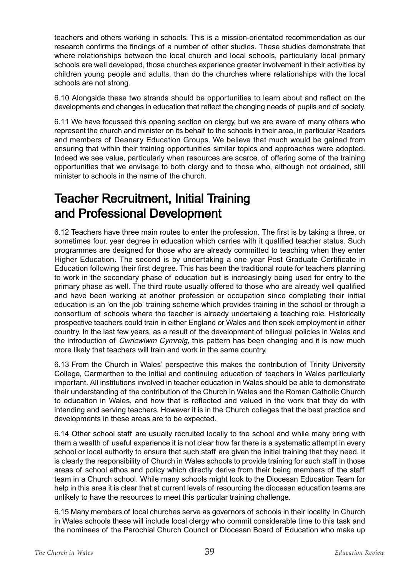teachers and others working in schools. This is a mission-orientated recommendation as our research confirms the findings of a number of other studies. These studies demonstrate that where relationships between the local church and local schools, particularly local primary schools are well developed, those churches experience greater involvement in their activities by children young people and adults, than do the churches where relationships with the local schools are not strong.

6.10 Alongside these two strands should be opportunities to learn about and reflect on the developments and changes in education that reflect the changing needs of pupils and of society.

6.11 We have focussed this opening section on clergy, but we are aware of many others who represent the church and minister on its behalf to the schools in their area, in particular Readers and members of Deanery Education Groups. We believe that much would be gained from ensuring that within their training opportunities similar topics and approaches were adopted. Indeed we see value, particularly when resources are scarce, of offering some of the training opportunities that we envisage to both clergy and to those who, although not ordained, still minister to schools in the name of the church.

### Teacher Recruitment, Initial Training and Professional Development

6.12 Teachers have three main routes to enter the profession. The first is by taking a three, or sometimes four, year degree in education which carries with it qualified teacher status. Such programmes are designed for those who are already committed to teaching when they enter Higher Education. The second is by undertaking a one year Post Graduate Certificate in Education following their first degree. This has been the traditional route for teachers planning to work in the secondary phase of education but is increasingly being used for entry to the primary phase as well. The third route usually offered to those who are already well qualified and have been working at another profession or occupation since completing their initial education is an 'on the job' training scheme which provides training in the school or through a consortium of schools where the teacher is already undertaking a teaching role. Historically prospective teachers could train in either England or Wales and then seek employment in either country. In the last few years, as a result of the development of bilingual policies in Wales and the introduction of Cwricwlwm Cymreig, this pattern has been changing and it is now much more likely that teachers will train and work in the same country.

6.13 From the Church in Wales' perspective this makes the contribution of Trinity University College, Carmarthen to the initial and continuing education of teachers in Wales particularly important. All institutions involved in teacher education in Wales should be able to demonstrate their understanding of the contribution of the Church in Wales and the Roman Catholic Church to education in Wales, and how that is reflected and valued in the work that they do with intending and serving teachers. However it is in the Church colleges that the best practice and developments in these areas are to be expected.

6.14 Other school staff are usually recruited locally to the school and while many bring with them a wealth of useful experience it is not clear how far there is a systematic attempt in every school or local authority to ensure that such staff are given the initial training that they need. It is clearly the responsibility of Church in Wales schools to provide training for such staff in those areas of school ethos and policy which directly derive from their being members of the staff team in a Church school. While many schools might look to the Diocesan Education Team for help in this area it is clear that at current levels of resourcing the diocesan education teams are unlikely to have the resources to meet this particular training challenge.

6.15 Many members of local churches serve as governors of schools in their locality. In Church in Wales schools these will include local clergy who commit considerable time to this task and the nominees of the Parochial Church Council or Diocesan Board of Education who make up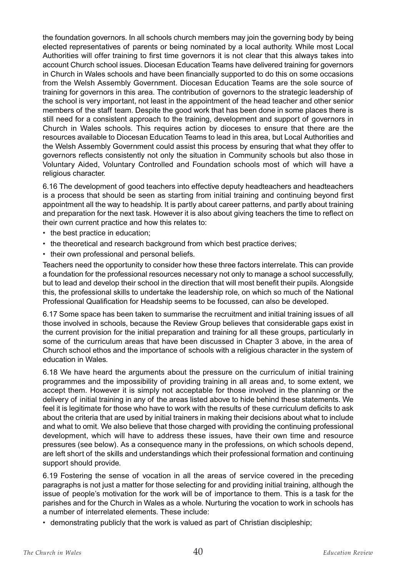the foundation governors. In all schools church members may join the governing body by being elected representatives of parents or being nominated by a local authority. While most Local Authorities will offer training to first time governors it is not clear that this always takes into account Church school issues. Diocesan Education Teams have delivered training for governors in Church in Wales schools and have been financially supported to do this on some occasions from the Welsh Assembly Government. Diocesan Education Teams are the sole source of training for governors in this area. The contribution of governors to the strategic leadership of the school is very important, not least in the appointment of the head teacher and other senior members of the staff team. Despite the good work that has been done in some places there is still need for a consistent approach to the training, development and support of governors in Church in Wales schools. This requires action by dioceses to ensure that there are the resources available to Diocesan Education Teams to lead in this area, but Local Authorities and the Welsh Assembly Government could assist this process by ensuring that what they offer to governors reflects consistently not only the situation in Community schools but also those in Voluntary Aided, Voluntary Controlled and Foundation schools most of which will have a religious character.

6.16 The development of good teachers into effective deputy headteachers and headteachers is a process that should be seen as starting from initial training and continuing beyond first appointment all the way to headship. It is partly about career patterns, and partly about training and preparation for the next task. However it is also about giving teachers the time to reflect on their own current practice and how this relates to:

- the best practice in education;
- the theoretical and research background from which best practice derives;
- their own professional and personal beliefs.

Teachers need the opportunity to consider how these three factors interrelate. This can provide a foundation for the professional resources necessary not only to manage a school successfully, but to lead and develop their school in the direction that will most benefit their pupils. Alongside this, the professional skills to undertake the leadership role, on which so much of the National Professional Qualification for Headship seems to be focussed, can also be developed.

6.17 Some space has been taken to summarise the recruitment and initial training issues of all those involved in schools, because the Review Group believes that considerable gaps exist in the current provision for the initial preparation and training for all these groups, particularly in some of the curriculum areas that have been discussed in Chapter 3 above, in the area of Church school ethos and the importance of schools with a religious character in the system of education in Wales.

6.18 We have heard the arguments about the pressure on the curriculum of initial training programmes and the impossibility of providing training in all areas and, to some extent, we accept them. However it is simply not acceptable for those involved in the planning or the delivery of initial training in any of the areas listed above to hide behind these statements. We feel it is legitimate for those who have to work with the results of these curriculum deficits to ask about the criteria that are used by initial trainers in making their decisions about what to include and what to omit. We also believe that those charged with providing the continuing professional development, which will have to address these issues, have their own time and resource pressures (see below). As a consequence many in the professions, on which schools depend, are left short of the skills and understandings which their professional formation and continuing support should provide.

6.19 Fostering the sense of vocation in all the areas of service covered in the preceding paragraphs is not just a matter for those selecting for and providing initial training, although the issue of people's motivation for the work will be of importance to them. This is a task for the parishes and for the Church in Wales as a whole. Nurturing the vocation to work in schools has a number of interrelated elements. These include:

• demonstrating publicly that the work is valued as part of Christian discipleship;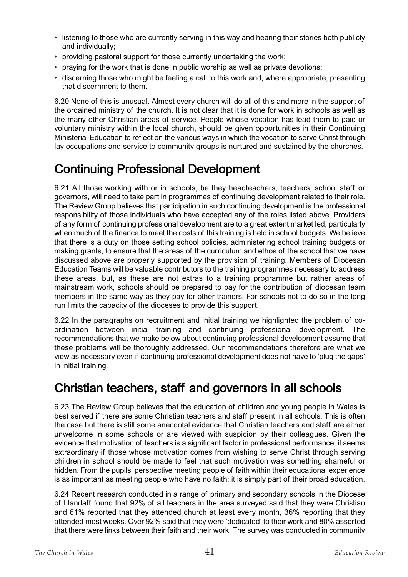- listening to those who are currently serving in this way and hearing their stories both publicly and individually;
- providing pastoral support for those currently undertaking the work;
- praying for the work that is done in public worship as well as private devotions;
- discerning those who might be feeling a call to this work and, where appropriate, presenting that discernment to them.

6.20 None of this is unusual. Almost every church will do all of this and more in the support of the ordained ministry of the church. It is not clear that it is done for work in schools as well as the many other Christian areas of service. People whose vocation has lead them to paid or voluntary ministry within the local church, should be given opportunities in their Continuing Ministerial Education to reflect on the various ways in which the vocation to serve Christ through lay occupations and service to community groups is nurtured and sustained by the churches.

### Continuing Professional Development

6.21 All those working with or in schools, be they headteachers, teachers, school staff or governors, will need to take part in programmes of continuing development related to their role. The Review Group believes that participation in such continuing development is the professional responsibility of those individuals who have accepted any of the roles listed above. Providers of any form of continuing professional development are to a great extent market led, particularly when much of the finance to meet the costs of this training is held in school budgets. We believe that there is a duty on those setting school policies, administering school training budgets or making grants, to ensure that the areas of the curriculum and ethos of the school that we have discussed above are properly supported by the provision of training. Members of Diocesan Education Teams will be valuable contributors to the training programmes necessary to address these areas, but, as these are not extras to a training programme but rather areas of mainstream work, schools should be prepared to pay for the contribution of diocesan team members in the same way as they pay for other trainers. For schools not to do so in the long run limits the capacity of the dioceses to provide this support.

6.22 In the paragraphs on recruitment and initial training we highlighted the problem of coordination between initial training and continuing professional development. The recommendations that we make below about continuing professional development assume that these problems will be thoroughly addressed. Our recommendations therefore are what we view as necessary even if continuing professional development does not have to 'plug the gaps' in initial training.

#### Christian teachers, staff and governors in all schools

6.23 The Review Group believes that the education of children and young people in Wales is best served if there are some Christian teachers and staff present in all schools. This is often the case but there is still some anecdotal evidence that Christian teachers and staff are either unwelcome in some schools or are viewed with suspicion by their colleagues. Given the evidence that motivation of teachers is a significant factor in professional performance, it seems extraordinary if those whose motivation comes from wishing to serve Christ through serving children in school should be made to feel that such motivation was something shameful or hidden. From the pupils' perspective meeting people of faith within their educational experience is as important as meeting people who have no faith: it is simply part of their broad education.

6.24 Recent research conducted in a range of primary and secondary schools in the Diocese of Llandaff found that 92% of all teachers in the area surveyed said that they were Christian and 61% reported that they attended church at least every month, 36% reporting that they attended most weeks. Over 92% said that they were 'dedicated' to their work and 80% asserted that there were links between their faith and their work. The survey was conducted in community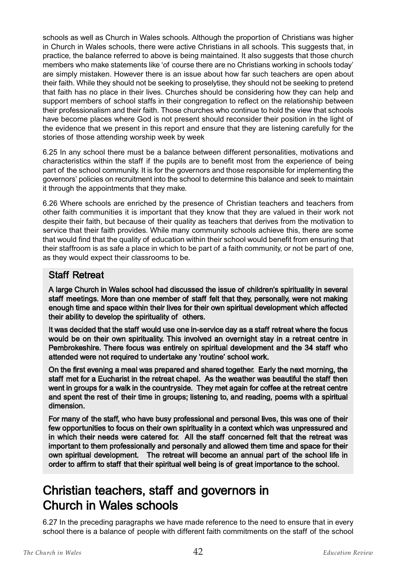schools as well as Church in Wales schools. Although the proportion of Christians was higher in Church in Wales schools, there were active Christians in all schools. This suggests that, in practice, the balance referred to above is being maintained. It also suggests that those church members who make statements like 'of course there are no Christians working in schools today' are simply mistaken. However there is an issue about how far such teachers are open about their faith. While they should not be seeking to proselytise, they should not be seeking to pretend that faith has no place in their lives. Churches should be considering how they can help and support members of school staffs in their congregation to reflect on the relationship between their professionalism and their faith. Those churches who continue to hold the view that schools have become places where God is not present should reconsider their position in the light of the evidence that we present in this report and ensure that they are listening carefully for the stories of those attending worship week by week

6.25 In any school there must be a balance between different personalities, motivations and characteristics within the staff if the pupils are to benefit most from the experience of being part of the school community. It is for the governors and those responsible for implementing the governors' policies on recruitment into the school to determine this balance and seek to maintain it through the appointments that they make.

6.26 Where schools are enriched by the presence of Christian teachers and teachers from other faith communities it is important that they know that they are valued in their work not despite their faith, but because of their quality as teachers that derives from the motivation to service that their faith provides. While many community schools achieve this, there are some that would find that the quality of education within their school would benefit from ensuring that their staffroom is as safe a place in which to be part of a faith community, or not be part of one, as they would expect their classrooms to be.

#### Staff Retreat

A large Church in Wales school had discussed the issue of children's spirituality in several staff meetings. More than one member of staff felt that they, personally, were not making enough time and space within their lives for their own spiritual development which affected their ability to develop the spirituality of others.

It was decided that the staff would use one in-service day as a staff retreat where the focus would be on their own spirituality. This involved an overnight stay in a retreat centre in Pembrokeshire. There focus was entirely on spiritual development and the 34 staff who attended were not required to undertake any 'routine' school work.

On the first evening a meal was prepared and shared together. Early the next morning, the staff met for a Eucharist in the retreat chapel. As the weather was beautiful the staff then went in groups for a walk in the countryside. They met again for coffee at the retreat centre and spent the rest of their time in groups; listening to, and reading, poems with a spiritual dimension.

For many of the staff, who have busy professional and personal lives, this was one of their few opportunities to focus on their own spirituality in a context which was unpressured and in which their needs were catered for. All the staff concerned felt that the retreat was important to them professionally and personally and allowed them time and space for their own spiritual development. The retreat will become an annual part of the school life in order to affirm to staff that their spiritual well being is of great importance to the school.

### Christian teachers, staff and governors in Church in Wales schools

6.27 In the preceding paragraphs we have made reference to the need to ensure that in every school there is a balance of people with different faith commitments on the staff of the school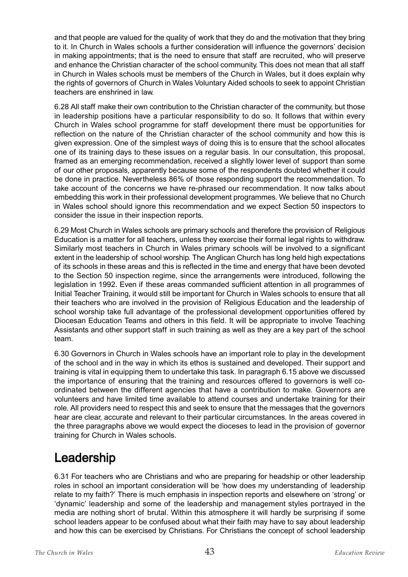and that people are valued for the quality of work that they do and the motivation that they bring to it. In Church in Wales schools a further consideration will influence the governors' decision in making appointments; that is the need to ensure that staff are recruited, who will preserve and enhance the Christian character of the school community. This does not mean that all staff in Church in Wales schools must be members of the Church in Wales, but it does explain why the rights of governors of Church in Wales Voluntary Aided schools to seek to appoint Christian teachers are enshrined in law.

6.28 All staff make their own contribution to the Christian character of the community, but those in leadership positions have a particular responsibility to do so. It follows that within every Church in Wales school programme for staff development there must be opportunities for reflection on the nature of the Christian character of the school community and how this is given expression. One of the simplest ways of doing this is to ensure that the school allocates one of its training days to these issues on a regular basis. In our consultation, this proposal, framed as an emerging recommendation, received a slightly lower level of support than some of our other proposals, apparently because some of the respondents doubted whether it could be done in practice. Nevertheless 86% of those responding support the recommendation. To take account of the concerns we have re-phrased our recommendation. It now talks about embedding this work in their professional development programmes. We believe that no Church in Wales school should ignore this recommendation and we expect Section 50 inspectors to consider the issue in their inspection reports.

6.29 Most Church in Wales schools are primary schools and therefore the provision of Religious Education is a matter for all teachers, unless they exercise their formal legal rights to withdraw. Similarly most teachers in Church in Wales primary schools will be involved to a significant extent in the leadership of school worship. The Anglican Church has long held high expectations of its schools in these areas and this is reflected in the time and energy that have been devoted to the Section 50 inspection regime, since the arrangements were introduced, following the legislation in 1992. Even if these areas commanded sufficient attention in all programmes of Initial Teacher Training, it would still be important for Church in Wales schools to ensure that all their teachers who are involved in the provision of Religious Education and the leadership of school worship take full advantage of the professional development opportunities offered by Diocesan Education Teams and others in this field. It will be appropriate to involve Teaching Assistants and other support staff in such training as well as they are a key part of the school team.

6.30 Governors in Church in Wales schools have an important role to play in the development of the school and in the way in which its ethos is sustained and developed. Their support and training is vital in equipping them to undertake this task. In paragraph 6.15 above we discussed the importance of ensuring that the training and resources offered to governors is well coordinated between the different agencies that have a contribution to make. Governors are volunteers and have limited time available to attend courses and undertake training for their role. All providers need to respect this and seek to ensure that the messages that the governors hear are clear, accurate and relevant to their particular circumstances. In the areas covered in the three paragraphs above we would expect the dioceses to lead in the provision of governor training for Church in Wales schools.

## Leadership

6.31 For teachers who are Christians and who are preparing for headship or other leadership roles in school an important consideration will be 'how does my understanding of leadership relate to my faith?' There is much emphasis in inspection reports and elsewhere on 'strong' or 'dynamic' leadership and some of the leadership and management styles portrayed in the media are nothing short of brutal. Within this atmosphere it will hardly be surprising if some school leaders appear to be confused about what their faith may have to say about leadership and how this can be exercised by Christians. For Christians the concept of school leadership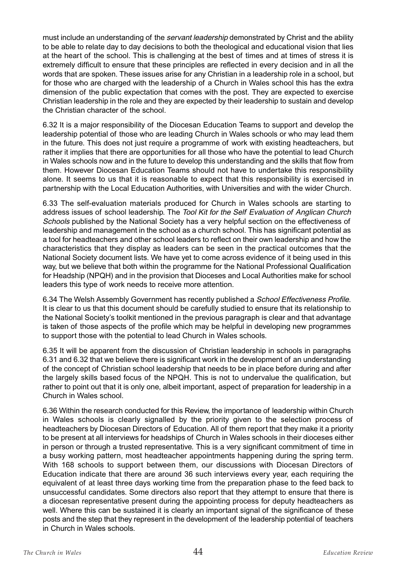must include an understanding of the *servant leadership* demonstrated by Christ and the ability to be able to relate day to day decisions to both the theological and educational vision that lies at the heart of the school. This is challenging at the best of times and at times of stress it is extremely difficult to ensure that these principles are reflected in every decision and in all the words that are spoken. These issues arise for any Christian in a leadership role in a school, but for those who are charged with the leadership of a Church in Wales school this has the extra dimension of the public expectation that comes with the post. They are expected to exercise Christian leadership in the role and they are expected by their leadership to sustain and develop the Christian character of the school.

6.32 It is a major responsibility of the Diocesan Education Teams to support and develop the leadership potential of those who are leading Church in Wales schools or who may lead them in the future. This does not just require a programme of work with existing headteachers, but rather it implies that there are opportunities for all those who have the potential to lead Church in Wales schools now and in the future to develop this understanding and the skills that flow from them. However Diocesan Education Teams should not have to undertake this responsibility alone. It seems to us that it is reasonable to expect that this responsibility is exercised in partnership with the Local Education Authorities, with Universities and with the wider Church.

6.33 The self-evaluation materials produced for Church in Wales schools are starting to address issues of school leadership. The Tool Kit for the Self Evaluation of Anglican Church Schools published by the National Society has a very helpful section on the effectiveness of leadership and management in the school as a church school. This has significant potential as a tool for headteachers and other school leaders to reflect on their own leadership and how the characteristics that they display as leaders can be seen in the practical outcomes that the National Society document lists. We have yet to come across evidence of it being used in this way, but we believe that both within the programme for the National Professional Qualification for Headship (NPQH) and in the provision that Dioceses and Local Authorities make for school leaders this type of work needs to receive more attention.

6.34 The Welsh Assembly Government has recently published a School Effectiveness Profile. It is clear to us that this document should be carefully studied to ensure that its relationship to the National Society's toolkit mentioned in the previous paragraph is clear and that advantage is taken of those aspects of the profile which may be helpful in developing new programmes to support those with the potential to lead Church in Wales schools.

6.35 It will be apparent from the discussion of Christian leadership in schools in paragraphs 6.31 and 6.32 that we believe there is significant work in the development of an understanding of the concept of Christian school leadership that needs to be in place before during and after the largely skills based focus of the NPQH. This is not to undervalue the qualification, but rather to point out that it is only one, albeit important, aspect of preparation for leadership in a Church in Wales school.

6.36 Within the research conducted for this Review, the importance of leadership within Church in Wales schools is clearly signalled by the priority given to the selection process of headteachers by Diocesan Directors of Education. All of them report that they make it a priority to be present at all interviews for headships of Church in Wales schools in their dioceses either in person or through a trusted representative. This is a very significant commitment of time in a busy working pattern, most headteacher appointments happening during the spring term. With 168 schools to support between them, our discussions with Diocesan Directors of Education indicate that there are around 36 such interviews every year, each requiring the equivalent of at least three days working time from the preparation phase to the feed back to unsuccessful candidates. Some directors also report that they attempt to ensure that there is a diocesan representative present during the appointing process for deputy headteachers as well. Where this can be sustained it is clearly an important signal of the significance of these posts and the step that they represent in the development of the leadership potential of teachers in Church in Wales schools.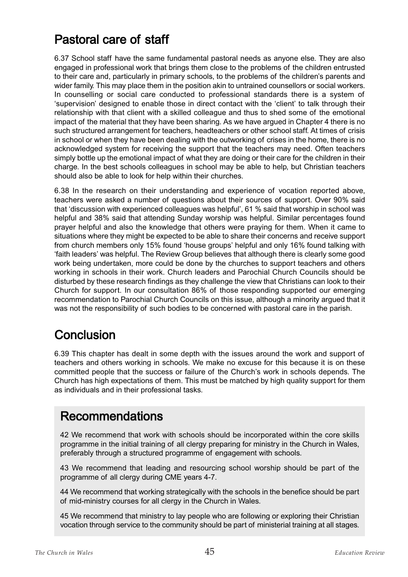### Pastoral care of staff

6.37 School staff have the same fundamental pastoral needs as anyone else. They are also engaged in professional work that brings them close to the problems of the children entrusted to their care and, particularly in primary schools, to the problems of the children's parents and wider family. This may place them in the position akin to untrained counsellors or social workers. In counselling or social care conducted to professional standards there is a system of 'supervision' designed to enable those in direct contact with the 'client' to talk through their relationship with that client with a skilled colleague and thus to shed some of the emotional impact of the material that they have been sharing. As we have argued in Chapter 4 there is no such structured arrangement for teachers, headteachers or other school staff. At times of crisis in school or when they have been dealing with the outworking of crises in the home, there is no acknowledged system for receiving the support that the teachers may need. Often teachers simply bottle up the emotional impact of what they are doing or their care for the children in their charge. In the best schools colleagues in school may be able to help, but Christian teachers should also be able to look for help within their churches.

6.38 In the research on their understanding and experience of vocation reported above, teachers were asked a number of questions about their sources of support. Over 90% said that 'discussion with experienced colleagues was helpful', 61 % said that worship in school was helpful and 38% said that attending Sunday worship was helpful. Similar percentages found prayer helpful and also the knowledge that others were praying for them. When it came to situations where they might be expected to be able to share their concerns and receive support from church members only 15% found 'house groups' helpful and only 16% found talking with 'faith leaders' was helpful. The Review Group believes that although there is clearly some good work being undertaken, more could be done by the churches to support teachers and others working in schools in their work. Church leaders and Parochial Church Councils should be disturbed by these research findings as they challenge the view that Christians can look to their Church for support. In our consultation 86% of those responding supported our emerging recommendation to Parochial Church Councils on this issue, although a minority argued that it was not the responsibility of such bodies to be concerned with pastoral care in the parish.

## **Conclusion**

6.39 This chapter has dealt in some depth with the issues around the work and support of teachers and others working in schools. We make no excuse for this because it is on these committed people that the success or failure of the Church's work in schools depends. The Church has high expectations of them. This must be matched by high quality support for them as individuals and in their professional tasks.

#### Recommendations

42 We recommend that work with schools should be incorporated within the core skills programme in the initial training of all clergy preparing for ministry in the Church in Wales, preferably through a structured programme of engagement with schools.

43 We recommend that leading and resourcing school worship should be part of the programme of all clergy during CME years 4-7.

44 We recommend that working strategically with the schools in the benefice should be part of mid-ministry courses for all clergy in the Church in Wales.

45 We recommend that ministry to lay people who are following or exploring their Christian vocation through service to the community should be part of ministerial training at all stages.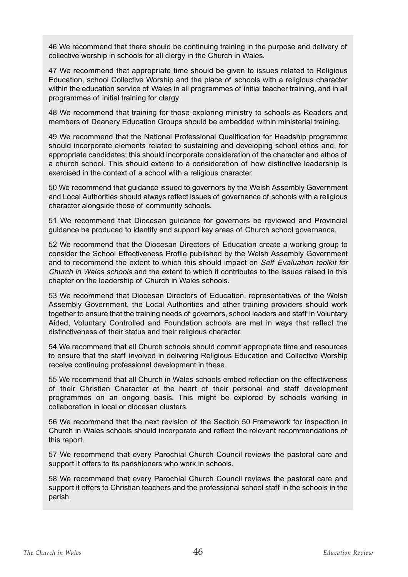46 We recommend that there should be continuing training in the purpose and delivery of collective worship in schools for all clergy in the Church in Wales.

47 We recommend that appropriate time should be given to issues related to Religious Education, school Collective Worship and the place of schools with a religious character within the education service of Wales in all programmes of initial teacher training, and in all programmes of initial training for clergy.

48 We recommend that training for those exploring ministry to schools as Readers and members of Deanery Education Groups should be embedded within ministerial training.

49 We recommend that the National Professional Qualification for Headship programme should incorporate elements related to sustaining and developing school ethos and, for appropriate candidates; this should incorporate consideration of the character and ethos of a church school. This should extend to a consideration of how distinctive leadership is exercised in the context of a school with a religious character.

50 We recommend that guidance issued to governors by the Welsh Assembly Government and Local Authorities should always reflect issues of governance of schools with a religious character alongside those of community schools.

51 We recommend that Diocesan guidance for governors be reviewed and Provincial guidance be produced to identify and support key areas of Church school governance.

52 We recommend that the Diocesan Directors of Education create a working group to consider the School Effectiveness Profile published by the Welsh Assembly Government and to recommend the extent to which this should impact on Self Evaluation toolkit for Church in Wales schools and the extent to which it contributes to the issues raised in this chapter on the leadership of Church in Wales schools.

53 We recommend that Diocesan Directors of Education, representatives of the Welsh Assembly Government, the Local Authorities and other training providers should work together to ensure that the training needs of governors, school leaders and staff in Voluntary Aided, Voluntary Controlled and Foundation schools are met in ways that reflect the distinctiveness of their status and their religious character.

54 We recommend that all Church schools should commit appropriate time and resources to ensure that the staff involved in delivering Religious Education and Collective Worship receive continuing professional development in these.

55 We recommend that all Church in Wales schools embed reflection on the effectiveness of their Christian Character at the heart of their personal and staff development programmes on an ongoing basis. This might be explored by schools working in collaboration in local or diocesan clusters.

56 We recommend that the next revision of the Section 50 Framework for inspection in Church in Wales schools should incorporate and reflect the relevant recommendations of this report.

57 We recommend that every Parochial Church Council reviews the pastoral care and support it offers to its parishioners who work in schools.

58 We recommend that every Parochial Church Council reviews the pastoral care and support it offers to Christian teachers and the professional school staff in the schools in the parish.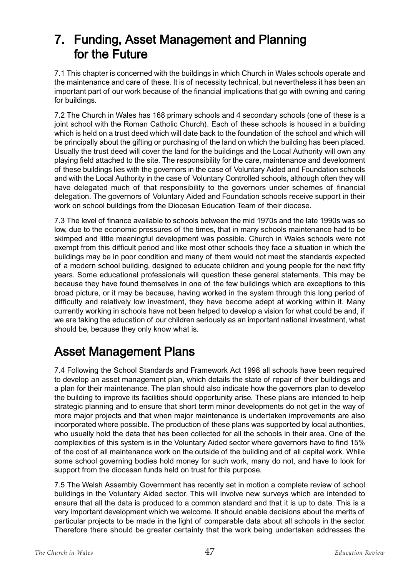### 7. Funding, Asset Management and Planning for the Future

7.1 This chapter is concerned with the buildings in which Church in Wales schools operate and the maintenance and care of these. It is of necessity technical, but nevertheless it has been an important part of our work because of the financial implications that go with owning and caring for buildings.

7.2 The Church in Wales has 168 primary schools and 4 secondary schools (one of these is a joint school with the Roman Catholic Church). Each of these schools is housed in a building which is held on a trust deed which will date back to the foundation of the school and which will be principally about the gifting or purchasing of the land on which the building has been placed. Usually the trust deed will cover the land for the buildings and the Local Authority will own any playing field attached to the site. The responsibility for the care, maintenance and development of these buildings lies with the governors in the case of Voluntary Aided and Foundation schools and with the Local Authority in the case of Voluntary Controlled schools, although often they will have delegated much of that responsibility to the governors under schemes of financial delegation. The governors of Voluntary Aided and Foundation schools receive support in their work on school buildings from the Diocesan Education Team of their diocese.

7.3 The level of finance available to schools between the mid 1970s and the late 1990s was so low, due to the economic pressures of the times, that in many schools maintenance had to be skimped and little meaningful development was possible. Church in Wales schools were not exempt from this difficult period and like most other schools they face a situation in which the buildings may be in poor condition and many of them would not meet the standards expected of a modern school building, designed to educate children and young people for the next fifty years. Some educational professionals will question these general statements. This may be because they have found themselves in one of the few buildings which are exceptions to this broad picture, or it may be because, having worked in the system through this long period of difficulty and relatively low investment, they have become adept at working within it. Many currently working in schools have not been helped to develop a vision for what could be and, if we are taking the education of our children seriously as an important national investment, what should be, because they only know what is.

### Asset Management Plans

7.4 Following the School Standards and Framework Act 1998 all schools have been required to develop an asset management plan, which details the state of repair of their buildings and a plan for their maintenance. The plan should also indicate how the governors plan to develop the building to improve its facilities should opportunity arise. These plans are intended to help strategic planning and to ensure that short term minor developments do not get in the way of more major projects and that when major maintenance is undertaken improvements are also incorporated where possible. The production of these plans was supported by local authorities, who usually hold the data that has been collected for all the schools in their area. One of the complexities of this system is in the Voluntary Aided sector where governors have to find 15% of the cost of all maintenance work on the outside of the building and of all capital work. While some school governing bodies hold money for such work, many do not, and have to look for support from the diocesan funds held on trust for this purpose.

7.5 The Welsh Assembly Government has recently set in motion a complete review of school buildings in the Voluntary Aided sector. This will involve new surveys which are intended to ensure that all the data is produced to a common standard and that it is up to date. This is a very important development which we welcome. It should enable decisions about the merits of particular projects to be made in the light of comparable data about all schools in the sector. Therefore there should be greater certainty that the work being undertaken addresses the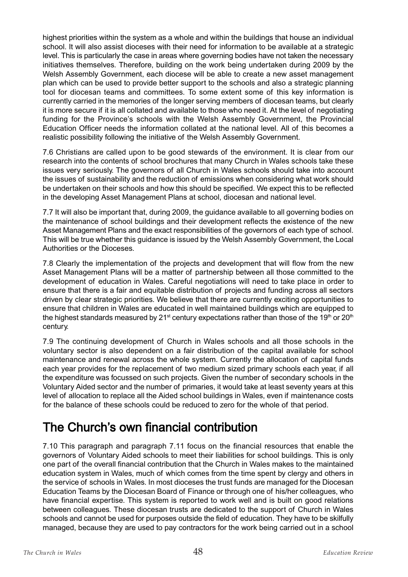highest priorities within the system as a whole and within the buildings that house an individual school. It will also assist dioceses with their need for information to be available at a strategic level. This is particularly the case in areas where governing bodies have not taken the necessary initiatives themselves. Therefore, building on the work being undertaken during 2009 by the Welsh Assembly Government, each diocese will be able to create a new asset management plan which can be used to provide better support to the schools and also a strategic planning tool for diocesan teams and committees. To some extent some of this key information is currently carried in the memories of the longer serving members of diocesan teams, but clearly it is more secure if it is all collated and available to those who need it. At the level of negotiating funding for the Province's schools with the Welsh Assembly Government, the Provincial Education Officer needs the information collated at the national level. All of this becomes a realistic possibility following the initiative of the Welsh Assembly Government.

7.6 Christians are called upon to be good stewards of the environment. It is clear from our research into the contents of school brochures that many Church in Wales schools take these issues very seriously. The governors of all Church in Wales schools should take into account the issues of sustainability and the reduction of emissions when considering what work should be undertaken on their schools and how this should be specified. We expect this to be reflected in the developing Asset Management Plans at school, diocesan and national level.

7.7 It will also be important that, during 2009, the guidance available to all governing bodies on the maintenance of school buildings and their development reflects the existence of the new Asset Management Plans and the exact responsibilities of the governors of each type of school. This will be true whether this guidance is issued by the Welsh Assembly Government, the Local Authorities or the Dioceses.

7.8 Clearly the implementation of the projects and development that will flow from the new Asset Management Plans will be a matter of partnership between all those committed to the development of education in Wales. Careful negotiations will need to take place in order to ensure that there is a fair and equitable distribution of projects and funding across all sectors driven by clear strategic priorities. We believe that there are currently exciting opportunities to ensure that children in Wales are educated in well maintained buildings which are equipped to the highest standards measured by 21<sup>st</sup> century expectations rather than those of the 19<sup>th</sup> or 20<sup>th</sup> century.

7.9 The continuing development of Church in Wales schools and all those schools in the voluntary sector is also dependent on a fair distribution of the capital available for school maintenance and renewal across the whole system. Currently the allocation of capital funds each year provides for the replacement of two medium sized primary schools each year, if all the expenditure was focussed on such projects. Given the number of secondary schools in the Voluntary Aided sector and the number of primaries, it would take at least seventy years at this level of allocation to replace all the Aided school buildings in Wales, even if maintenance costs for the balance of these schools could be reduced to zero for the whole of that period.

### The Church's own financial contribution

7.10 This paragraph and paragraph 7.11 focus on the financial resources that enable the governors of Voluntary Aided schools to meet their liabilities for school buildings. This is only one part of the overall financial contribution that the Church in Wales makes to the maintained education system in Wales, much of which comes from the time spent by clergy and others in the service of schools in Wales. In most dioceses the trust funds are managed for the Diocesan Education Teams by the Diocesan Board of Finance or through one of his/her colleagues, who have financial expertise. This system is reported to work well and is built on good relations between colleagues. These diocesan trusts are dedicated to the support of Church in Wales schools and cannot be used for purposes outside the field of education. They have to be skilfully managed, because they are used to pay contractors for the work being carried out in a school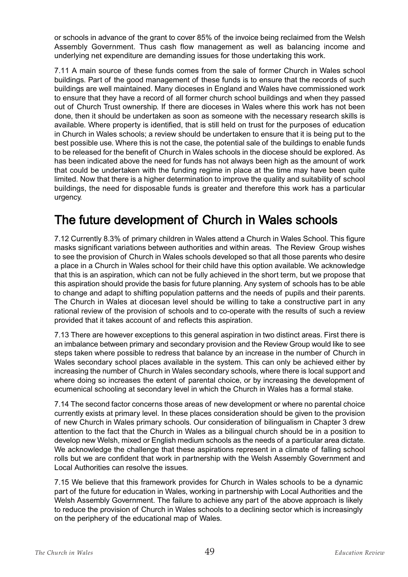or schools in advance of the grant to cover 85% of the invoice being reclaimed from the Welsh Assembly Government. Thus cash flow management as well as balancing income and underlying net expenditure are demanding issues for those undertaking this work.

7.11 A main source of these funds comes from the sale of former Church in Wales school buildings. Part of the good management of these funds is to ensure that the records of such buildings are well maintained. Many dioceses in England and Wales have commissioned work to ensure that they have a record of all former church school buildings and when they passed out of Church Trust ownership. If there are dioceses in Wales where this work has not been done, then it should be undertaken as soon as someone with the necessary research skills is available. Where property is identified, that is still held on trust for the purposes of education in Church in Wales schools; a review should be undertaken to ensure that it is being put to the best possible use. Where this is not the case, the potential sale of the buildings to enable funds to be released for the benefit of Church in Wales schools in the diocese should be explored. As has been indicated above the need for funds has not always been high as the amount of work that could be undertaken with the funding regime in place at the time may have been quite limited. Now that there is a higher determination to improve the quality and suitability of school buildings, the need for disposable funds is greater and therefore this work has a particular urgency.

### The future development of Church in Wales schools

7.12 Currently 8.3% of primary children in Wales attend a Church in Wales School. This figure masks significant variations between authorities and within areas. The Review Group wishes to see the provision of Church in Wales schools developed so that all those parents who desire a place in a Church in Wales school for their child have this option available. We acknowledge that this is an aspiration, which can not be fully achieved in the short term, but we propose that this aspiration should provide the basis for future planning. Any system of schools has to be able to change and adapt to shifting population patterns and the needs of pupils and their parents. The Church in Wales at diocesan level should be willing to take a constructive part in any rational review of the provision of schools and to co-operate with the results of such a review provided that it takes account of and reflects this aspiration.

7.13 There are however exceptions to this general aspiration in two distinct areas. First there is an imbalance between primary and secondary provision and the Review Group would like to see steps taken where possible to redress that balance by an increase in the number of Church in Wales secondary school places available in the system. This can only be achieved either by increasing the number of Church in Wales secondary schools, where there is local support and where doing so increases the extent of parental choice, or by increasing the development of ecumenical schooling at secondary level in which the Church in Wales has a formal stake.

7.14 The second factor concerns those areas of new development or where no parental choice currently exists at primary level. In these places consideration should be given to the provision of new Church in Wales primary schools. Our consideration of bilingualism in Chapter 3 drew attention to the fact that the Church in Wales as a bilingual church should be in a position to develop new Welsh, mixed or English medium schools as the needs of a particular area dictate. We acknowledge the challenge that these aspirations represent in a climate of falling school rolls but we are confident that work in partnership with the Welsh Assembly Government and Local Authorities can resolve the issues.

7.15 We believe that this framework provides for Church in Wales schools to be a dynamic part of the future for education in Wales, working in partnership with Local Authorities and the Welsh Assembly Government. The failure to achieve any part of the above approach is likely to reduce the provision of Church in Wales schools to a declining sector which is increasingly on the periphery of the educational map of Wales.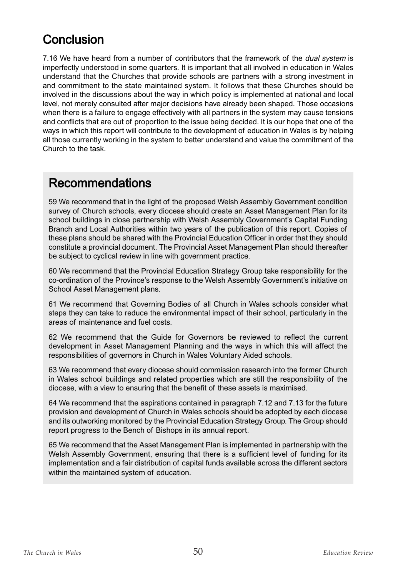### **Conclusion**

7.16 We have heard from a number of contributors that the framework of the *dual system* is imperfectly understood in some quarters. It is important that all involved in education in Wales understand that the Churches that provide schools are partners with a strong investment in and commitment to the state maintained system. It follows that these Churches should be involved in the discussions about the way in which policy is implemented at national and local level, not merely consulted after major decisions have already been shaped. Those occasions when there is a failure to engage effectively with all partners in the system may cause tensions and conflicts that are out of proportion to the issue being decided. It is our hope that one of the ways in which this report will contribute to the development of education in Wales is by helping all those currently working in the system to better understand and value the commitment of the Church to the task.

#### Recommendations

59 We recommend that in the light of the proposed Welsh Assembly Government condition survey of Church schools, every diocese should create an Asset Management Plan for its school buildings in close partnership with Welsh Assembly Government's Capital Funding Branch and Local Authorities within two years of the publication of this report. Copies of these plans should be shared with the Provincial Education Officer in order that they should constitute a provincial document. The Provincial Asset Management Plan should thereafter be subject to cyclical review in line with government practice.

60 We recommend that the Provincial Education Strategy Group take responsibility for the co-ordination of the Province's response to the Welsh Assembly Government's initiative on School Asset Management plans.

61 We recommend that Governing Bodies of all Church in Wales schools consider what steps they can take to reduce the environmental impact of their school, particularly in the areas of maintenance and fuel costs.

62 We recommend that the Guide for Governors be reviewed to reflect the current development in Asset Management Planning and the ways in which this will affect the responsibilities of governors in Church in Wales Voluntary Aided schools.

63 We recommend that every diocese should commission research into the former Church in Wales school buildings and related properties which are still the responsibility of the diocese, with a view to ensuring that the benefit of these assets is maximised.

64 We recommend that the aspirations contained in paragraph 7.12 and 7.13 for the future provision and development of Church in Wales schools should be adopted by each diocese and its outworking monitored by the Provincial Education Strategy Group. The Group should report progress to the Bench of Bishops in its annual report.

65 We recommend that the Asset Management Plan is implemented in partnership with the Welsh Assembly Government, ensuring that there is a sufficient level of funding for its implementation and a fair distribution of capital funds available across the different sectors within the maintained system of education.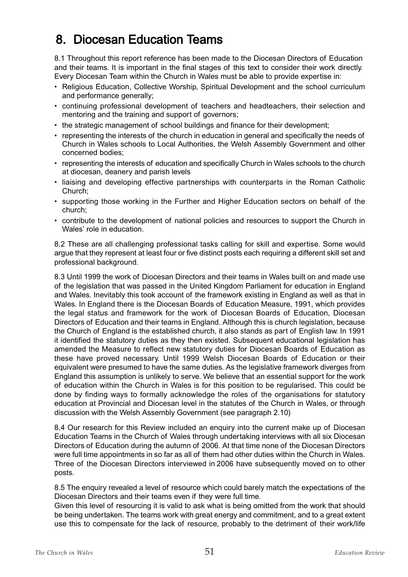### 8. Diocesan Education Teams

8.1 Throughout this report reference has been made to the Diocesan Directors of Education and their teams. It is important in the final stages of this text to consider their work directly. Every Diocesan Team within the Church in Wales must be able to provide expertise in:

- Religious Education, Collective Worship, Spiritual Development and the school curriculum and performance generally;
- continuing professional development of teachers and headteachers, their selection and mentoring and the training and support of governors;
- the strategic management of school buildings and finance for their development;
- representing the interests of the church in education in general and specifically the needs of Church in Wales schools to Local Authorities, the Welsh Assembly Government and other concerned bodies;
- representing the interests of education and specifically Church in Wales schools to the church at diocesan, deanery and parish levels
- liaising and developing effective partnerships with counterparts in the Roman Catholic Church;
- supporting those working in the Further and Higher Education sectors on behalf of the church;
- contribute to the development of national policies and resources to support the Church in Wales' role in education.

8.2 These are all challenging professional tasks calling for skill and expertise. Some would argue that they represent at least four or five distinct posts each requiring a different skill set and professional background.

8.3 Until 1999 the work of Diocesan Directors and their teams in Wales built on and made use of the legislation that was passed in the United Kingdom Parliament for education in England and Wales. Inevitably this took account of the framework existing in England as well as that in Wales. In England there is the Diocesan Boards of Education Measure, 1991, which provides the legal status and framework for the work of Diocesan Boards of Education, Diocesan Directors of Education and their teams in England. Although this is church legislation, because the Church of England is the established church, it also stands as part of English law. In 1991 it identified the statutory duties as they then existed. Subsequent educational legislation has amended the Measure to reflect new statutory duties for Diocesan Boards of Education as these have proved necessary. Until 1999 Welsh Diocesan Boards of Education or their equivalent were presumed to have the same duties. As the legislative framework diverges from England this assumption is unlikely to serve. We believe that an essential support for the work of education within the Church in Wales is for this position to be regularised. This could be done by finding ways to formally acknowledge the roles of the organisations for statutory education at Provincial and Diocesan level in the statutes of the Church in Wales, or through discussion with the Welsh Assembly Government (see paragraph 2.10)

8.4 Our research for this Review included an enquiry into the current make up of Diocesan Education Teams in the Church of Wales through undertaking interviews with all six Diocesan Directors of Education during the autumn of 2006. At that time none of the Diocesan Directors were full time appointments in so far as all of them had other duties within the Church in Wales. Three of the Diocesan Directors interviewed in 2006 have subsequently moved on to other posts.

8.5 The enquiry revealed a level of resource which could barely match the expectations of the Diocesan Directors and their teams even if they were full time.

Given this level of resourcing it is valid to ask what is being omitted from the work that should be being undertaken. The teams work with great energy and commitment, and to a great extent use this to compensate for the lack of resource, probably to the detriment of their work/life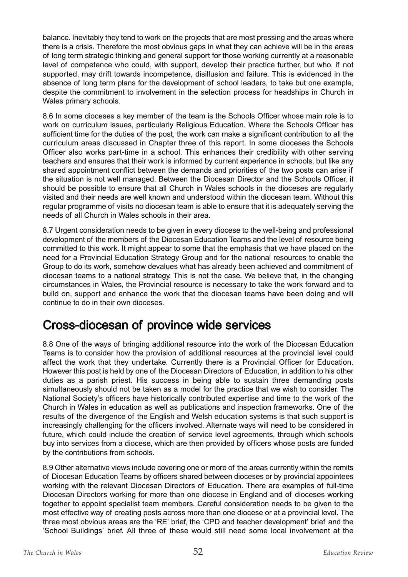balance. Inevitably they tend to work on the projects that are most pressing and the areas where there is a crisis. Therefore the most obvious gaps in what they can achieve will be in the areas of long term strategic thinking and general support for those working currently at a reasonable level of competence who could, with support, develop their practice further, but who, if not supported, may drift towards incompetence, disillusion and failure. This is evidenced in the absence of long term plans for the development of school leaders, to take but one example, despite the commitment to involvement in the selection process for headships in Church in Wales primary schools.

8.6 In some dioceses a key member of the team is the Schools Officer whose main role is to work on curriculum issues, particularly Religious Education. Where the Schools Officer has sufficient time for the duties of the post, the work can make a significant contribution to all the curriculum areas discussed in Chapter three of this report. In some dioceses the Schools Officer also works part-time in a school. This enhances their credibility with other serving teachers and ensures that their work is informed by current experience in schools, but like any shared appointment conflict between the demands and priorities of the two posts can arise if the situation is not well managed. Between the Diocesan Director and the Schools Officer, it should be possible to ensure that all Church in Wales schools in the dioceses are regularly visited and their needs are well known and understood within the diocesan team. Without this regular programme of visits no diocesan team is able to ensure that it is adequately serving the needs of all Church in Wales schools in their area.

8.7 Urgent consideration needs to be given in every diocese to the well-being and professional development of the members of the Diocesan Education Teams and the level of resource being committed to this work. It might appear to some that the emphasis that we have placed on the need for a Provincial Education Strategy Group and for the national resources to enable the Group to do its work, somehow devalues what has already been achieved and commitment of diocesan teams to a national strategy. This is not the case. We believe that, in the changing circumstances in Wales, the Provincial resource is necessary to take the work forward and to build on, support and enhance the work that the diocesan teams have been doing and will continue to do in their own dioceses.

#### Cross-diocesan of province wide services

8.8 One of the ways of bringing additional resource into the work of the Diocesan Education Teams is to consider how the provision of additional resources at the provincial level could affect the work that they undertake. Currently there is a Provincial Officer for Education. However this post is held by one of the Diocesan Directors of Education, in addition to his other duties as a parish priest. His success in being able to sustain three demanding posts simultaneously should not be taken as a model for the practice that we wish to consider. The National Society's officers have historically contributed expertise and time to the work of the Church in Wales in education as well as publications and inspection frameworks. One of the results of the divergence of the English and Welsh education systems is that such support is increasingly challenging for the officers involved. Alternate ways will need to be considered in future, which could include the creation of service level agreements, through which schools buy into services from a diocese, which are then provided by officers whose posts are funded by the contributions from schools.

8.9 Other alternative views include covering one or more of the areas currently within the remits of Diocesan Education Teams by officers shared between dioceses or by provincial appointees working with the relevant Diocesan Directors of Education. There are examples of full-time Diocesan Directors working for more than one diocese in England and of dioceses working together to appoint specialist team members. Careful consideration needs to be given to the most effective way of creating posts across more than one diocese or at a provincial level. The three most obvious areas are the 'RE' brief, the 'CPD and teacher development' brief and the 'School Buildings' brief. All three of these would still need some local involvement at the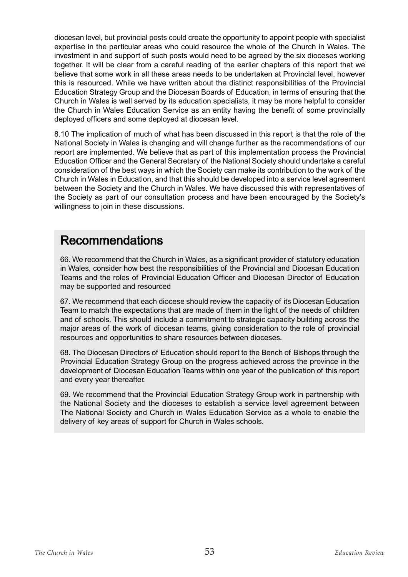diocesan level, but provincial posts could create the opportunity to appoint people with specialist expertise in the particular areas who could resource the whole of the Church in Wales. The investment in and support of such posts would need to be agreed by the six dioceses working together. It will be clear from a careful reading of the earlier chapters of this report that we believe that some work in all these areas needs to be undertaken at Provincial level, however this is resourced. While we have written about the distinct responsibilities of the Provincial Education Strategy Group and the Diocesan Boards of Education, in terms of ensuring that the Church in Wales is well served by its education specialists, it may be more helpful to consider the Church in Wales Education Service as an entity having the benefit of some provincially deployed officers and some deployed at diocesan level.

8.10 The implication of much of what has been discussed in this report is that the role of the National Society in Wales is changing and will change further as the recommendations of our report are implemented. We believe that as part of this implementation process the Provincial Education Officer and the General Secretary of the National Society should undertake a careful consideration of the best ways in which the Society can make its contribution to the work of the Church in Wales in Education, and that this should be developed into a service level agreement between the Society and the Church in Wales. We have discussed this with representatives of the Society as part of our consultation process and have been encouraged by the Society's willingness to join in these discussions.

#### Recommendations

66. We recommend that the Church in Wales, as a significant provider of statutory education in Wales, consider how best the responsibilities of the Provincial and Diocesan Education Teams and the roles of Provincial Education Officer and Diocesan Director of Education may be supported and resourced

67. We recommend that each diocese should review the capacity of its Diocesan Education Team to match the expectations that are made of them in the light of the needs of children and of schools. This should include a commitment to strategic capacity building across the major areas of the work of diocesan teams, giving consideration to the role of provincial resources and opportunities to share resources between dioceses.

68. The Diocesan Directors of Education should report to the Bench of Bishops through the Provincial Education Strategy Group on the progress achieved across the province in the development of Diocesan Education Teams within one year of the publication of this report and every year thereafter.

69. We recommend that the Provincial Education Strategy Group work in partnership with the National Society and the dioceses to establish a service level agreement between The National Society and Church in Wales Education Service as a whole to enable the delivery of key areas of support for Church in Wales schools.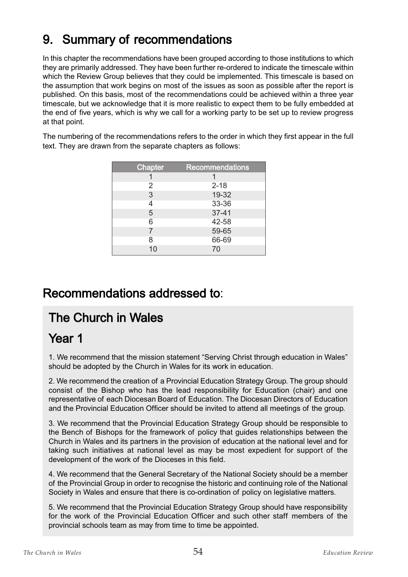### 9. Summary of recommendations

In this chapter the recommendations have been grouped according to those institutions to which they are primarily addressed. They have been further re-ordered to indicate the timescale within which the Review Group believes that they could be implemented. This timescale is based on the assumption that work begins on most of the issues as soon as possible after the report is published. On this basis, most of the recommendations could be achieved within a three year timescale, but we acknowledge that it is more realistic to expect them to be fully embedded at the end of five years, which is why we call for a working party to be set up to review progress at that point.

The numbering of the recommendations refers to the order in which they first appear in the full text. They are drawn from the separate chapters as follows:

| Chapter | <b>Recommendations</b> |
|---------|------------------------|
|         |                        |
| 2       | $2 - 18$               |
| 3       | 19-32                  |
|         | 33-36                  |
| 5       | $37 - 41$              |
| 6       | 42-58                  |
| 7       | 59-65                  |
| 8       | 66-69                  |
| 10      | 70                     |

#### Recommendations addressed to:

## The Church in Wales

#### Year 1

1. We recommend that the mission statement "Serving Christ through education in Wales" should be adopted by the Church in Wales for its work in education.

2. We recommend the creation of a Provincial Education Strategy Group. The group should consist of the Bishop who has the lead responsibility for Education (chair) and one representative of each Diocesan Board of Education. The Diocesan Directors of Education and the Provincial Education Officer should be invited to attend all meetings of the group.

3. We recommend that the Provincial Education Strategy Group should be responsible to the Bench of Bishops for the framework of policy that guides relationships between the Church in Wales and its partners in the provision of education at the national level and for taking such initiatives at national level as may be most expedient for support of the development of the work of the Dioceses in this field.

4. We recommend that the General Secretary of the National Society should be a member of the Provincial Group in order to recognise the historic and continuing role of the National Society in Wales and ensure that there is co-ordination of policy on legislative matters.

5. We recommend that the Provincial Education Strategy Group should have responsibility for the work of the Provincial Education Officer and such other staff members of the provincial schools team as may from time to time be appointed.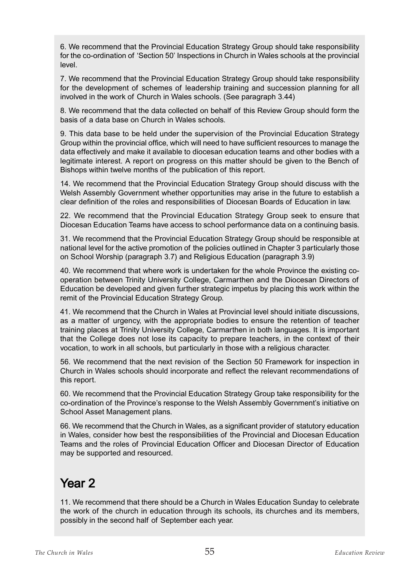6. We recommend that the Provincial Education Strategy Group should take responsibility for the co-ordination of 'Section 50' Inspections in Church in Wales schools at the provincial level.

7. We recommend that the Provincial Education Strategy Group should take responsibility for the development of schemes of leadership training and succession planning for all involved in the work of Church in Wales schools. (See paragraph 3.44)

8. We recommend that the data collected on behalf of this Review Group should form the basis of a data base on Church in Wales schools.

9. This data base to be held under the supervision of the Provincial Education Strategy Group within the provincial office, which will need to have sufficient resources to manage the data effectively and make it available to diocesan education teams and other bodies with a legitimate interest. A report on progress on this matter should be given to the Bench of Bishops within twelve months of the publication of this report.

14. We recommend that the Provincial Education Strategy Group should discuss with the Welsh Assembly Government whether opportunities may arise in the future to establish a clear definition of the roles and responsibilities of Diocesan Boards of Education in law.

22. We recommend that the Provincial Education Strategy Group seek to ensure that Diocesan Education Teams have access to school performance data on a continuing basis.

31. We recommend that the Provincial Education Strategy Group should be responsible at national level for the active promotion of the policies outlined in Chapter 3 particularly those on School Worship (paragraph 3.7) and Religious Education (paragraph 3.9)

40. We recommend that where work is undertaken for the whole Province the existing cooperation between Trinity University College, Carmarthen and the Diocesan Directors of Education be developed and given further strategic impetus by placing this work within the remit of the Provincial Education Strategy Group.

41. We recommend that the Church in Wales at Provincial level should initiate discussions, as a matter of urgency, with the appropriate bodies to ensure the retention of teacher training places at Trinity University College, Carmarthen in both languages. It is important that the College does not lose its capacity to prepare teachers, in the context of their vocation, to work in all schools, but particularly in those with a religious character.

56. We recommend that the next revision of the Section 50 Framework for inspection in Church in Wales schools should incorporate and reflect the relevant recommendations of this report.

60. We recommend that the Provincial Education Strategy Group take responsibility for the co-ordination of the Province's response to the Welsh Assembly Government's initiative on School Asset Management plans.

66. We recommend that the Church in Wales, as a significant provider of statutory education in Wales, consider how best the responsibilities of the Provincial and Diocesan Education Teams and the roles of Provincial Education Officer and Diocesan Director of Education may be supported and resourced.

## Year 2

11. We recommend that there should be a Church in Wales Education Sunday to celebrate the work of the church in education through its schools, its churches and its members, possibly in the second half of September each year.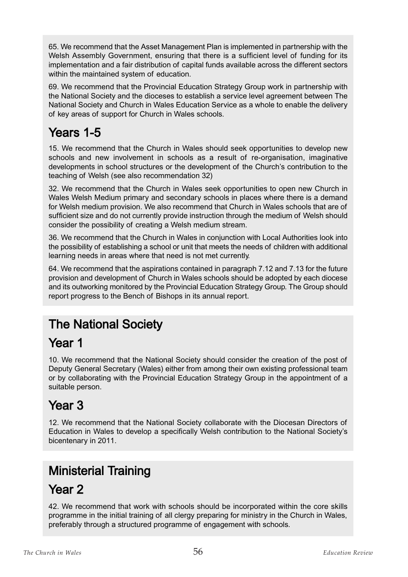65. We recommend that the Asset Management Plan is implemented in partnership with the Welsh Assembly Government, ensuring that there is a sufficient level of funding for its implementation and a fair distribution of capital funds available across the different sectors within the maintained system of education.

69. We recommend that the Provincial Education Strategy Group work in partnership with the National Society and the dioceses to establish a service level agreement between The National Society and Church in Wales Education Service as a whole to enable the delivery of key areas of support for Church in Wales schools.

## Years 1-5

15. We recommend that the Church in Wales should seek opportunities to develop new schools and new involvement in schools as a result of re-organisation, imaginative developments in school structures or the development of the Church's contribution to the teaching of Welsh (see also recommendation 32)

32. We recommend that the Church in Wales seek opportunities to open new Church in Wales Welsh Medium primary and secondary schools in places where there is a demand for Welsh medium provision. We also recommend that Church in Wales schools that are of sufficient size and do not currently provide instruction through the medium of Welsh should consider the possibility of creating a Welsh medium stream.

36. We recommend that the Church in Wales in conjunction with Local Authorities look into the possibility of establishing a school or unit that meets the needs of children with additional learning needs in areas where that need is not met currently.

64. We recommend that the aspirations contained in paragraph 7.12 and 7.13 for the future provision and development of Church in Wales schools should be adopted by each diocese and its outworking monitored by the Provincial Education Strategy Group. The Group should report progress to the Bench of Bishops in its annual report.

## The National Society

### Year<sub>1</sub>

10. We recommend that the National Society should consider the creation of the post of Deputy General Secretary (Wales) either from among their own existing professional team or by collaborating with the Provincial Education Strategy Group in the appointment of a suitable person.

## Year 3

12. We recommend that the National Society collaborate with the Diocesan Directors of Education in Wales to develop a specifically Welsh contribution to the National Society's bicentenary in 2011.

## Ministerial Training

### Year 2

42. We recommend that work with schools should be incorporated within the core skills programme in the initial training of all clergy preparing for ministry in the Church in Wales, preferably through a structured programme of engagement with schools.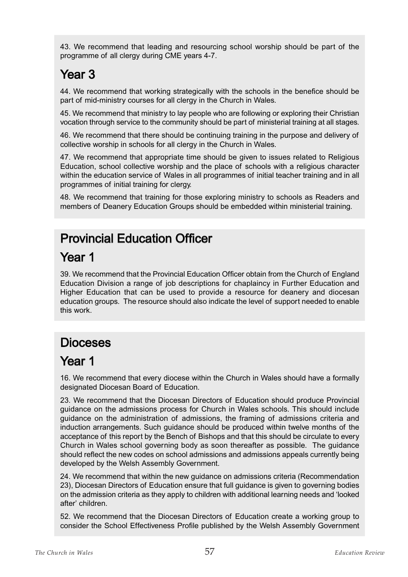43. We recommend that leading and resourcing school worship should be part of the programme of all clergy during CME years 4-7.

# Year 3

44. We recommend that working strategically with the schools in the benefice should be part of mid-ministry courses for all clergy in the Church in Wales.

45. We recommend that ministry to lay people who are following or exploring their Christian vocation through service to the community should be part of ministerial training at all stages.

46. We recommend that there should be continuing training in the purpose and delivery of collective worship in schools for all clergy in the Church in Wales.

47. We recommend that appropriate time should be given to issues related to Religious Education, school collective worship and the place of schools with a religious character within the education service of Wales in all programmes of initial teacher training and in all programmes of initial training for clergy.

48. We recommend that training for those exploring ministry to schools as Readers and members of Deanery Education Groups should be embedded within ministerial training.

## Provincial Education Officer

## Year 1

39. We recommend that the Provincial Education Officer obtain from the Church of England Education Division a range of job descriptions for chaplaincy in Further Education and Higher Education that can be used to provide a resource for deanery and diocesan education groups. The resource should also indicate the level of support needed to enable this work.

## Dioceses

## Year 1

16. We recommend that every diocese within the Church in Wales should have a formally designated Diocesan Board of Education.

23. We recommend that the Diocesan Directors of Education should produce Provincial guidance on the admissions process for Church in Wales schools. This should include guidance on the administration of admissions, the framing of admissions criteria and induction arrangements. Such guidance should be produced within twelve months of the acceptance of this report by the Bench of Bishops and that this should be circulate to every Church in Wales school governing body as soon thereafter as possible. The guidance should reflect the new codes on school admissions and admissions appeals currently being developed by the Welsh Assembly Government.

24. We recommend that within the new guidance on admissions criteria (Recommendation 23), Diocesan Directors of Education ensure that full guidance is given to governing bodies on the admission criteria as they apply to children with additional learning needs and 'looked after' children.

52. We recommend that the Diocesan Directors of Education create a working group to consider the School Effectiveness Profile published by the Welsh Assembly Government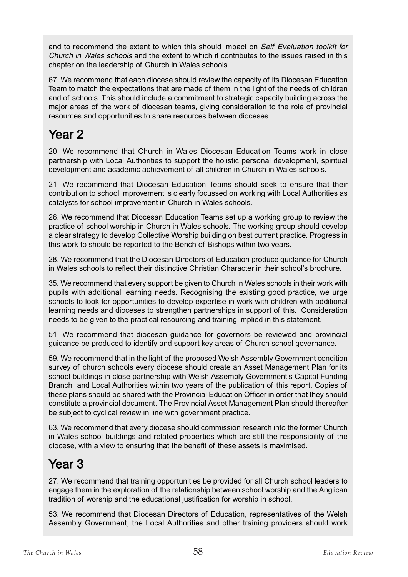and to recommend the extent to which this should impact on Self Evaluation toolkit for Church in Wales schools and the extent to which it contributes to the issues raised in this chapter on the leadership of Church in Wales schools.

67. We recommend that each diocese should review the capacity of its Diocesan Education Team to match the expectations that are made of them in the light of the needs of children and of schools. This should include a commitment to strategic capacity building across the major areas of the work of diocesan teams, giving consideration to the role of provincial resources and opportunities to share resources between dioceses.

## Year 2

20. We recommend that Church in Wales Diocesan Education Teams work in close partnership with Local Authorities to support the holistic personal development, spiritual development and academic achievement of all children in Church in Wales schools.

21. We recommend that Diocesan Education Teams should seek to ensure that their contribution to school improvement is clearly focussed on working with Local Authorities as catalysts for school improvement in Church in Wales schools.

26. We recommend that Diocesan Education Teams set up a working group to review the practice of school worship in Church in Wales schools. The working group should develop a clear strategy to develop Collective Worship building on best current practice. Progress in this work to should be reported to the Bench of Bishops within two years.

28. We recommend that the Diocesan Directors of Education produce guidance for Church in Wales schools to reflect their distinctive Christian Character in their school's brochure.

35. We recommend that every support be given to Church in Wales schools in their work with pupils with additional learning needs. Recognising the existing good practice, we urge schools to look for opportunities to develop expertise in work with children with additional learning needs and dioceses to strengthen partnerships in support of this. Consideration needs to be given to the practical resourcing and training implied in this statement.

51. We recommend that diocesan guidance for governors be reviewed and provincial guidance be produced to identify and support key areas of Church school governance.

59. We recommend that in the light of the proposed Welsh Assembly Government condition survey of church schools every diocese should create an Asset Management Plan for its school buildings in close partnership with Welsh Assembly Government's Capital Funding Branch and Local Authorities within two years of the publication of this report. Copies of these plans should be shared with the Provincial Education Officer in order that they should constitute a provincial document. The Provincial Asset Management Plan should thereafter be subject to cyclical review in line with government practice.

63. We recommend that every diocese should commission research into the former Church in Wales school buildings and related properties which are still the responsibility of the diocese, with a view to ensuring that the benefit of these assets is maximised.

## Year<sub>3</sub>

27. We recommend that training opportunities be provided for all Church school leaders to engage them in the exploration of the relationship between school worship and the Anglican tradition of worship and the educational justification for worship in school.

53. We recommend that Diocesan Directors of Education, representatives of the Welsh Assembly Government, the Local Authorities and other training providers should work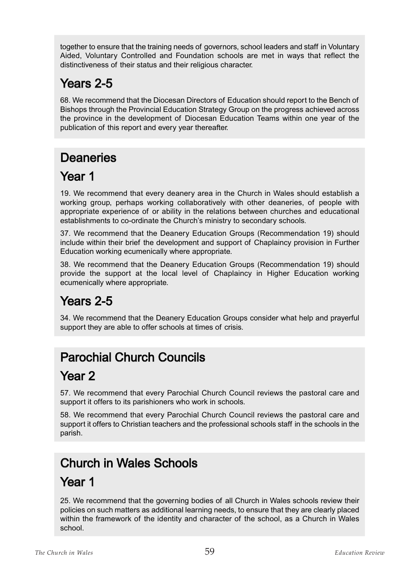together to ensure that the training needs of governors, school leaders and staff in Voluntary Aided, Voluntary Controlled and Foundation schools are met in ways that reflect the distinctiveness of their status and their religious character.

## Years 2-5

68. We recommend that the Diocesan Directors of Education should report to the Bench of Bishops through the Provincial Education Strategy Group on the progress achieved across the province in the development of Diocesan Education Teams within one year of the publication of this report and every year thereafter.

## **Deaneries**

## Year 1

19. We recommend that every deanery area in the Church in Wales should establish a working group, perhaps working collaboratively with other deaneries, of people with appropriate experience of or ability in the relations between churches and educational establishments to co-ordinate the Church's ministry to secondary schools.

37. We recommend that the Deanery Education Groups (Recommendation 19) should include within their brief the development and support of Chaplaincy provision in Further Education working ecumenically where appropriate.

38. We recommend that the Deanery Education Groups (Recommendation 19) should provide the support at the local level of Chaplaincy in Higher Education working ecumenically where appropriate.

## Years 2-5

34. We recommend that the Deanery Education Groups consider what help and prayerful support they are able to offer schools at times of crisis.

## Parochial Church Councils

### Year 2

57. We recommend that every Parochial Church Council reviews the pastoral care and support it offers to its parishioners who work in schools.

58. We recommend that every Parochial Church Council reviews the pastoral care and support it offers to Christian teachers and the professional schools staff in the schools in the parish.

# Church in Wales Schools

# Year 1

25. We recommend that the governing bodies of all Church in Wales schools review their policies on such matters as additional learning needs, to ensure that they are clearly placed within the framework of the identity and character of the school, as a Church in Wales school.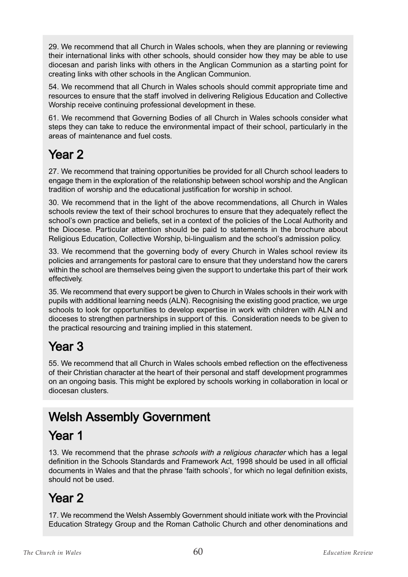29. We recommend that all Church in Wales schools, when they are planning or reviewing their international links with other schools, should consider how they may be able to use diocesan and parish links with others in the Anglican Communion as a starting point for creating links with other schools in the Anglican Communion.

54. We recommend that all Church in Wales schools should commit appropriate time and resources to ensure that the staff involved in delivering Religious Education and Collective Worship receive continuing professional development in these.

61. We recommend that Governing Bodies of all Church in Wales schools consider what steps they can take to reduce the environmental impact of their school, particularly in the areas of maintenance and fuel costs.

## Year 2

27. We recommend that training opportunities be provided for all Church school leaders to engage them in the exploration of the relationship between school worship and the Anglican tradition of worship and the educational justification for worship in school.

30. We recommend that in the light of the above recommendations, all Church in Wales schools review the text of their school brochures to ensure that they adequately reflect the school's own practice and beliefs, set in a context of the policies of the Local Authority and the Diocese. Particular attention should be paid to statements in the brochure about Religious Education, Collective Worship, bi-lingualism and the school's admission policy.

33. We recommend that the governing body of every Church in Wales school review its policies and arrangements for pastoral care to ensure that they understand how the carers within the school are themselves being given the support to undertake this part of their work effectively.

35. We recommend that every support be given to Church in Wales schools in their work with pupils with additional learning needs (ALN). Recognising the existing good practice, we urge schools to look for opportunities to develop expertise in work with children with ALN and dioceses to strengthen partnerships in support of this. Consideration needs to be given to the practical resourcing and training implied in this statement.

## Year 3

55. We recommend that all Church in Wales schools embed reflection on the effectiveness of their Christian character at the heart of their personal and staff development programmes on an ongoing basis. This might be explored by schools working in collaboration in local or diocesan clusters.

# Welsh Assembly Government

### Year 1

13. We recommend that the phrase schools with a religious character which has a legal definition in the Schools Standards and Framework Act, 1998 should be used in all official documents in Wales and that the phrase 'faith schools', for which no legal definition exists, should not be used.

### Year 2

17. We recommend the Welsh Assembly Government should initiate work with the Provincial Education Strategy Group and the Roman Catholic Church and other denominations and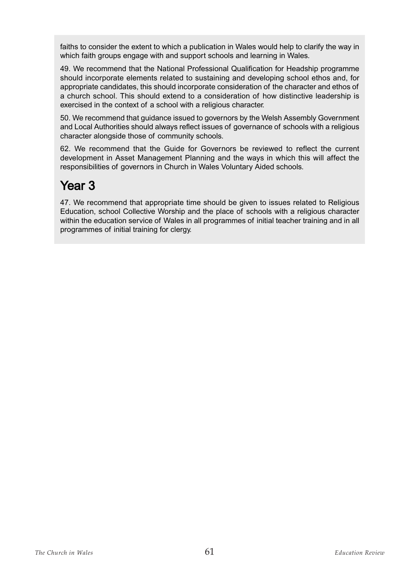faiths to consider the extent to which a publication in Wales would help to clarify the way in which faith groups engage with and support schools and learning in Wales.

49. We recommend that the National Professional Qualification for Headship programme should incorporate elements related to sustaining and developing school ethos and, for appropriate candidates, this should incorporate consideration of the character and ethos of a church school. This should extend to a consideration of how distinctive leadership is exercised in the context of a school with a religious character.

50. We recommend that guidance issued to governors by the Welsh Assembly Government and Local Authorities should always reflect issues of governance of schools with a religious character alongside those of community schools.

62. We recommend that the Guide for Governors be reviewed to reflect the current development in Asset Management Planning and the ways in which this will affect the responsibilities of governors in Church in Wales Voluntary Aided schools.

### Year 3

47. We recommend that appropriate time should be given to issues related to Religious Education, school Collective Worship and the place of schools with a religious character within the education service of Wales in all programmes of initial teacher training and in all programmes of initial training for clergy.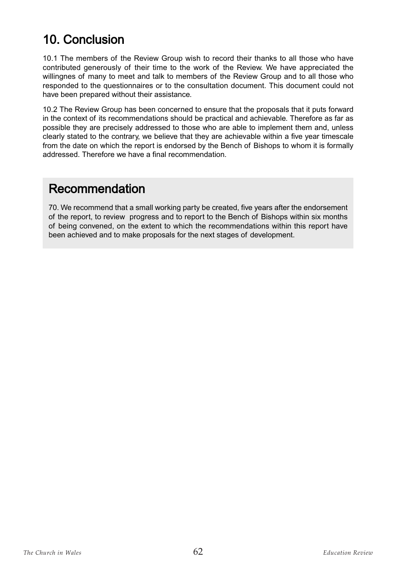### 10. Conclusion

10.1 The members of the Review Group wish to record their thanks to all those who have contributed generously of their time to the work of the Review. We have appreciated the willingnes of many to meet and talk to members of the Review Group and to all those who responded to the questionnaires or to the consultation document. This document could not have been prepared without their assistance.

10.2 The Review Group has been concerned to ensure that the proposals that it puts forward in the context of its recommendations should be practical and achievable. Therefore as far as possible they are precisely addressed to those who are able to implement them and, unless clearly stated to the contrary, we believe that they are achievable within a five year timescale from the date on which the report is endorsed by the Bench of Bishops to whom it is formally addressed. Therefore we have a final recommendation.

#### Recommendation

70. We recommend that a small working party be created, five years after the endorsement of the report, to review progress and to report to the Bench of Bishops within six months of being convened, on the extent to which the recommendations within this report have been achieved and to make proposals for the next stages of development.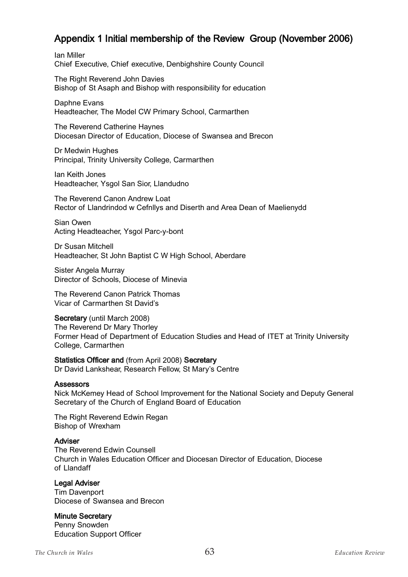#### Appendix 1 Initial membership of the Review Group (November 2006)

Ian Miller Chief Executive, Chief executive, Denbighshire County Council

The Right Reverend John Davies Bishop of St Asaph and Bishop with responsibility for education

Daphne Evans Headteacher, The Model CW Primary School, Carmarthen

The Reverend Catherine Haynes Diocesan Director of Education, Diocese of Swansea and Brecon

Dr Medwin Hughes Principal, Trinity University College, Carmarthen

Ian Keith Jones Headteacher, Ysgol San Sior, Llandudno

The Reverend Canon Andrew Loat Rector of Llandrindod w Cefnllys and Diserth and Area Dean of Maelienydd

Sian Owen Acting Headteacher, Ysgol Parc-y-bont

Dr Susan Mitchell Headteacher, St John Baptist C W High School, Aberdare

Sister Angela Murray Director of Schools, Diocese of Minevia

The Reverend Canon Patrick Thomas Vicar of Carmarthen St David's

#### Secretary (until March 2008)

The Reverend Dr Mary Thorley Former Head of Department of Education Studies and Head of ITET at Trinity University College, Carmarthen

Statistics Officer and (from April 2008) Secretary Dr David Lankshear, Research Fellow, St Mary's Centre

#### **Assessors**

Nick McKemey Head of School Improvement for the National Society and Deputy General Secretary of the Church of England Board of Education

The Right Reverend Edwin Regan Bishop of Wrexham

#### **Adviser**

The Reverend Edwin Counsell Church in Wales Education Officer and Diocesan Director of Education, Diocese of Llandaff

#### Legal Adviser

Tim Davenport Diocese of Swansea and Brecon

#### Minute Secretary

Penny Snowden Education Support Officer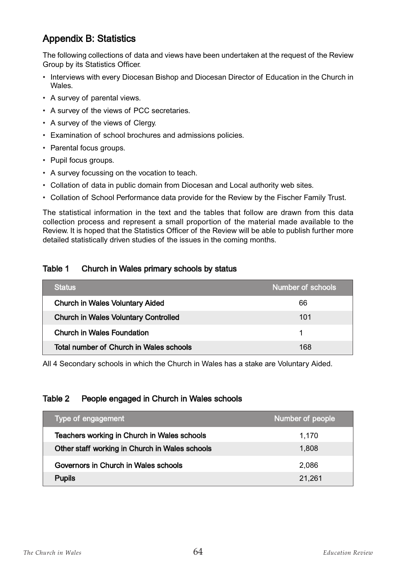#### Appendix B: Statistics

The following collections of data and views have been undertaken at the request of the Review Group by its Statistics Officer.

- Interviews with every Diocesan Bishop and Diocesan Director of Education in the Church in Wales.
- A survey of parental views.
- A survey of the views of PCC secretaries.
- A survey of the views of Clergy.
- Examination of school brochures and admissions policies.
- Parental focus groups.
- Pupil focus groups.
- A survey focussing on the vocation to teach.
- Collation of data in public domain from Diocesan and Local authority web sites.
- Collation of School Performance data provide for the Review by the Fischer Family Trust.

The statistical information in the text and the tables that follow are drawn from this data collection process and represent a small proportion of the material made available to the Review. It is hoped that the Statistics Officer of the Review will be able to publish further more detailed statistically driven studies of the issues in the coming months.

#### Table 1 Church in Wales primary schools by status

| <b>Status</b>                               | Number of schools |
|---------------------------------------------|-------------------|
| <b>Church in Wales Voluntary Aided</b>      | 66                |
| <b>Church in Wales Voluntary Controlled</b> | 101               |
| <b>Church in Wales Foundation</b>           |                   |
| Total number of Church in Wales schools     | 168               |

All 4 Secondary schools in which the Church in Wales has a stake are Voluntary Aided.

#### Table 2 People engaged in Church in Wales schools

| Type of engagement                             | Number of people |
|------------------------------------------------|------------------|
| Teachers working in Church in Wales schools    | 1.170            |
| Other staff working in Church in Wales schools | 1,808            |
| Governors in Church in Wales schools           | 2,086            |
| <b>Pupils</b>                                  | 21,261           |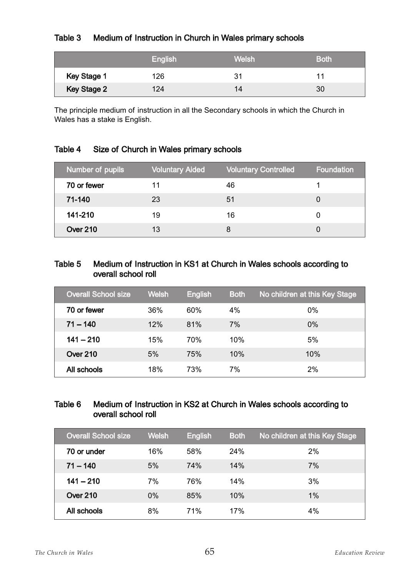#### Table 3 Medium of Instruction in Church in Wales primary schools

|                    | English | Welsh | <b>Both</b> |
|--------------------|---------|-------|-------------|
| Key Stage 1        | 126     | 31    |             |
| <b>Key Stage 2</b> | 124     | 14    | 30          |

The principle medium of instruction in all the Secondary schools in which the Church in Wales has a stake is English.

#### Table 4 Size of Church in Wales primary schools

| Number of pupils | <b>Voluntary Aided</b> | <b>Voluntary Controlled</b> | <b>Foundation</b> |
|------------------|------------------------|-----------------------------|-------------------|
| 70 or fewer      | 11                     | 46                          |                   |
| 71-140           | 23                     | 51                          |                   |
| 141-210          | 19                     | 16                          |                   |
| Over 210         | 13                     |                             |                   |

#### Table 5 Medium of Instruction in KS1 at Church in Wales schools according to overall school roll

| <b>Overall School size</b> | <b>Welsh</b> | <b>English</b> | <b>Both</b> | No children at this Key Stage |
|----------------------------|--------------|----------------|-------------|-------------------------------|
| 70 or fewer                | 36%          | 60%            | 4%          | 0%                            |
| $71 - 140$                 | 12%          | 81%            | 7%          | $0\%$                         |
| $141 - 210$                | 15%          | 70%            | 10%         | 5%                            |
| Over 210                   | 5%           | 75%            | 10%         | 10%                           |
| All schools                | 18%          | 73%            | 7%          | 2%                            |

#### Table 6 Medium of Instruction in KS2 at Church in Wales schools according to overall school roll

| <b>Overall School size</b> | <b>Welsh</b> | <b>English</b> | <b>Both</b> | No children at this Key Stage |
|----------------------------|--------------|----------------|-------------|-------------------------------|
| 70 or under                | 16%          | 58%            | 24%         | 2%                            |
| $71 - 140$                 | 5%           | 74%            | 14%         | 7%                            |
| $141 - 210$                | 7%           | 76%            | 14%         | 3%                            |
| <b>Over 210</b>            | 0%           | 85%            | 10%         | 1%                            |
| All schools                | 8%           | 71%            | 17%         | 4%                            |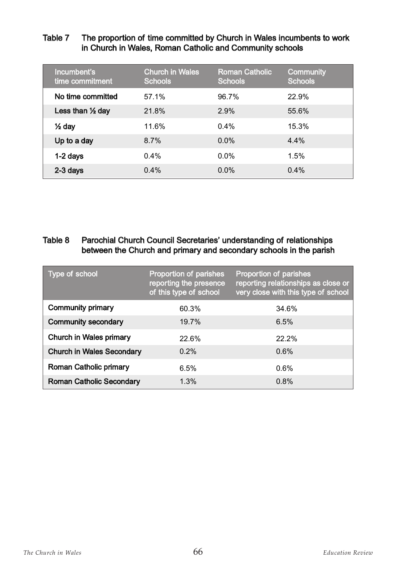#### Table 7 The proportion of time committed by Church in Wales incumbents to work in Church in Wales, Roman Catholic and Community schools

| Incumbent's<br>time commitment | <b>Church in Wales</b><br><b>Schools</b> | <b>Roman Catholic</b><br><b>Schools</b> | <b>Community</b><br><b>Schools</b> |
|--------------------------------|------------------------------------------|-----------------------------------------|------------------------------------|
| No time committed              | 57.1%                                    | 96.7%                                   | 22.9%                              |
| Less than $\frac{1}{2}$ day    | 21.8%                                    | 2.9%                                    | 55.6%                              |
| $\frac{1}{2}$ day              | 11.6%                                    | 0.4%                                    | 15.3%                              |
| Up to a day                    | 8.7%                                     | 0.0%                                    | 4.4%                               |
| 1-2 days                       | 0.4%                                     | 0.0%                                    | 1.5%                               |
| 2-3 days                       | 0.4%                                     | 0.0%                                    | 0.4%                               |

#### Table 8 Parochial Church Council Secretaries' understanding of relationships between the Church and primary and secondary schools in the parish

| Type of school                   | Proportion of parishes<br>reporting the presence<br>of this type of school | Proportion of parishes<br>reporting relationships as close or<br>very close with this type of school |
|----------------------------------|----------------------------------------------------------------------------|------------------------------------------------------------------------------------------------------|
| <b>Community primary</b>         | 60.3%                                                                      | 34.6%                                                                                                |
| <b>Community secondary</b>       | 19.7%                                                                      | 6.5%                                                                                                 |
| <b>Church in Wales primary</b>   | 22.6%                                                                      | 22.2%                                                                                                |
| <b>Church in Wales Secondary</b> | $0.2\%$                                                                    | 0.6%                                                                                                 |
| <b>Roman Catholic primary</b>    | 6.5%                                                                       | 0.6%                                                                                                 |
| <b>Roman Catholic Secondary</b>  | 1.3%                                                                       | 0.8%                                                                                                 |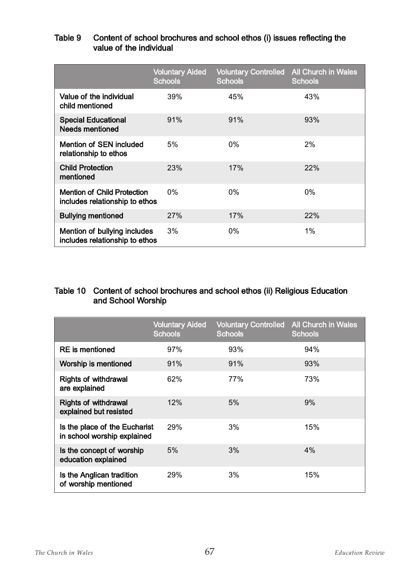#### Table 9 Content of school brochures and school ethos (i) issues reflecting the value of the individual

|                                                                      | <b>Voluntary Aided</b><br><b>Schools</b> | <b>Voluntary Controlled</b><br><b>Schools</b> | <b>All Church in Wales</b><br><b>Schools</b> |
|----------------------------------------------------------------------|------------------------------------------|-----------------------------------------------|----------------------------------------------|
| Value of the individual<br>child mentioned                           | 39%                                      | 45%                                           | 43%                                          |
| <b>Special Educational</b><br><b>Needs mentioned</b>                 | 91%                                      | 91%                                           | 93%                                          |
| <b>Mention of SEN included</b><br>relationship to ethos              | 5%                                       | 0%                                            | 2%                                           |
| <b>Child Protection</b><br>mentioned                                 | <b>23%</b>                               | 17%                                           | 22%                                          |
| <b>Mention of Child Protection</b><br>includes relationship to ethos | $0\%$                                    | 0%                                            | 0%                                           |
| <b>Bullying mentioned</b>                                            | 27%                                      | 17%                                           | 22%                                          |
| Mention of bullying includes<br>includes relationship to ethos       | 3%                                       | 0%                                            | 1%                                           |

#### Table 10 Content of school brochures and school ethos (ii) Religious Education and School Worship

|                                                              | <b>Voluntary Aided</b><br><b>Schools</b> | <b>Voluntary Controlled</b><br><b>Schools</b> | <b>All Church in Wales</b><br><b>Schools</b> |
|--------------------------------------------------------------|------------------------------------------|-----------------------------------------------|----------------------------------------------|
| <b>RE</b> is mentioned                                       | 97%                                      | 93%                                           | 94%                                          |
| Worship is mentioned                                         | 91%                                      | 91%                                           | 93%                                          |
| <b>Rights of withdrawal</b><br>are explained                 | 62%                                      | <b>77%</b>                                    | 73%                                          |
| <b>Rights of withdrawal</b><br>explained but resisted        | 12%                                      | 5%                                            | 9%                                           |
| Is the place of the Eucharist<br>in school worship explained | 29%                                      | 3%                                            | 15%                                          |
| Is the concept of worship<br>education explained             | 5%                                       | 3%                                            | 4%                                           |
| Is the Anglican tradition<br>of worship mentioned            | 29%                                      | 3%                                            | 15%                                          |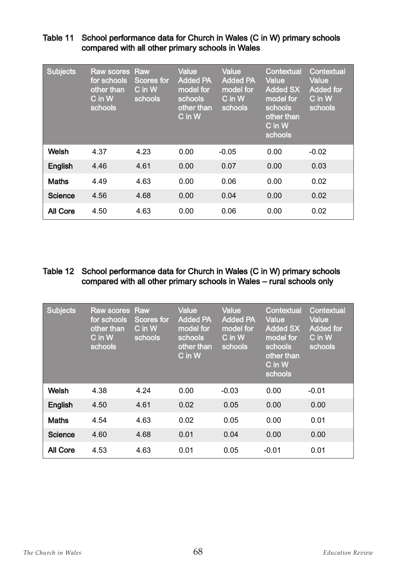| <b>Subjects</b> | <b>Raw scores Raw</b><br>for schools<br>other than<br>$C$ in $W$<br>schools | <b>Scores for</b><br>C in W<br>schools | <b>Value</b><br><b>Added PA</b><br>model for<br>schools<br>other than<br>C in W | <b>Value</b><br><b>Added PA</b><br>model for<br>C in W<br>schools | <b>Contextual</b><br><b>Value</b><br><b>Added SX</b><br>model for<br>schools<br>other than<br>$C$ in $W$<br>schools | Contextual<br>Value<br><b>Added for</b><br>C in W<br>schools |
|-----------------|-----------------------------------------------------------------------------|----------------------------------------|---------------------------------------------------------------------------------|-------------------------------------------------------------------|---------------------------------------------------------------------------------------------------------------------|--------------------------------------------------------------|
| Welsh           | 4.37                                                                        | 4.23                                   | 0.00                                                                            | $-0.05$                                                           | 0.00                                                                                                                | $-0.02$                                                      |
| English         | 4.46                                                                        | 4.61                                   | 0.00                                                                            | 0.07                                                              | 0.00                                                                                                                | 0.03                                                         |
| <b>Maths</b>    | 4.49                                                                        | 4.63                                   | 0.00                                                                            | 0.06                                                              | 0.00                                                                                                                | 0.02                                                         |
| <b>Science</b>  | 4.56                                                                        | 4.68                                   | 0.00                                                                            | 0.04                                                              | 0.00                                                                                                                | 0.02                                                         |
| All Core        | 4.50                                                                        | 4.63                                   | 0.00                                                                            | 0.06                                                              | 0.00                                                                                                                | 0.02                                                         |

#### Table 11 School performance data for Church in Wales (C in W) primary schools compared with all other primary schools in Wales

#### Table 12 School performance data for Church in Wales (C in W) primary schools compared with all other primary schools in Wales – rural schools only

| <b>Subjects</b> | Raw scores Raw<br>for schools<br>other than<br>C in W<br>schools | <b>Scores for</b><br>$C$ in $W$<br>schools | Value<br><b>Added PA</b><br>model for<br>schools<br>other than<br>C in W | Value<br><b>Added PA</b><br>model for<br>C in W<br>schools | Contextual<br>Value<br><b>Added SX</b><br>model for<br>schools<br>other than<br>C in W<br>schools | Contextual<br>Value<br><b>Added for</b><br>$\overline{\text{C}}$ in $\overline{\text{W}}$<br>schools |
|-----------------|------------------------------------------------------------------|--------------------------------------------|--------------------------------------------------------------------------|------------------------------------------------------------|---------------------------------------------------------------------------------------------------|------------------------------------------------------------------------------------------------------|
| Welsh           | 4.38                                                             | 4.24                                       | 0.00                                                                     | $-0.03$                                                    | 0.00                                                                                              | $-0.01$                                                                                              |
| English         | 4.50                                                             | 4.61                                       | 0.02                                                                     | 0.05                                                       | 0.00                                                                                              | 0.00                                                                                                 |
| <b>Maths</b>    | 4.54                                                             | 4.63                                       | 0.02                                                                     | 0.05                                                       | 0.00                                                                                              | 0.01                                                                                                 |
| <b>Science</b>  | 4.60                                                             | 4.68                                       | 0.01                                                                     | 0.04                                                       | 0.00                                                                                              | 0.00                                                                                                 |
| <b>All Core</b> | 4.53                                                             | 4.63                                       | 0.01                                                                     | 0.05                                                       | $-0.01$                                                                                           | 0.01                                                                                                 |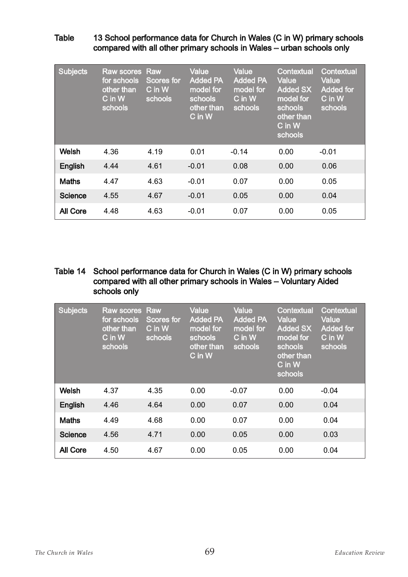#### Table 13 School performance data for Church in Wales (C in W) primary schools compared with all other primary schools in Wales – urban schools only

| <b>Subjects</b> | <b>Raw scores Raw</b><br>for schools<br>other than<br>C in W<br>schools | <b>Scores for</b><br>C in W<br>schools | <b>Value</b><br><b>Added PA</b><br>model for<br>schools<br>other than<br>$C$ in $W$ | Value<br><b>Added PA</b><br>model for<br>C in W<br>schools | <b>Contextual</b><br>Value<br><b>Added SX</b><br>model for<br>schools<br>other than<br>$C$ in $W$<br>schools | Contextual<br>Value<br><b>Added for</b><br>C in W<br>schools |
|-----------------|-------------------------------------------------------------------------|----------------------------------------|-------------------------------------------------------------------------------------|------------------------------------------------------------|--------------------------------------------------------------------------------------------------------------|--------------------------------------------------------------|
| Welsh           | 4.36                                                                    | 4.19                                   | 0.01                                                                                | $-0.14$                                                    | 0.00                                                                                                         | $-0.01$                                                      |
| English         | 4.44                                                                    | 4.61                                   | $-0.01$                                                                             | 0.08                                                       | 0.00                                                                                                         | 0.06                                                         |
| <b>Maths</b>    | 4.47                                                                    | 4.63                                   | $-0.01$                                                                             | 0.07                                                       | 0.00                                                                                                         | 0.05                                                         |
| <b>Science</b>  | 4.55                                                                    | 4.67                                   | $-0.01$                                                                             | 0.05                                                       | 0.00                                                                                                         | 0.04                                                         |
| <b>All Core</b> | 4.48                                                                    | 4.63                                   | $-0.01$                                                                             | 0.07                                                       | 0.00                                                                                                         | 0.05                                                         |

#### Table 14 School performance data for Church in Wales (C in W) primary schools compared with all other primary schools in Wales – Voluntary Aided schools only

| <b>Subjects</b> | <b>Raw scores Raw</b><br>for schools<br>other than<br>C in W<br>schools | <b>Scores for</b><br>C in W<br>schools | Value<br><b>Added PA</b><br>model for<br>schools<br>other than<br>$C$ in $W$ | Value<br><b>Added PA</b><br>model for<br>C in W<br>schools | <b>Contextual</b><br>Value<br><b>Added SX</b><br>model for<br>schools<br>other than<br>$\overline{\mathsf{C}}$ in $\overline{\mathsf{W}}$<br>schools | Contextual<br><b>Value</b><br><b>Added for</b><br>C in W<br>schools |
|-----------------|-------------------------------------------------------------------------|----------------------------------------|------------------------------------------------------------------------------|------------------------------------------------------------|------------------------------------------------------------------------------------------------------------------------------------------------------|---------------------------------------------------------------------|
| Welsh           | 4.37                                                                    | 4.35                                   | 0.00                                                                         | $-0.07$                                                    | 0.00                                                                                                                                                 | $-0.04$                                                             |
| English         | 4.46                                                                    | 4.64                                   | 0.00                                                                         | 0.07                                                       | 0.00                                                                                                                                                 | 0.04                                                                |
| <b>Maths</b>    | 4.49                                                                    | 4.68                                   | 0.00                                                                         | 0.07                                                       | 0.00                                                                                                                                                 | 0.04                                                                |
| <b>Science</b>  | 4.56                                                                    | 4.71                                   | 0.00                                                                         | 0.05                                                       | 0.00                                                                                                                                                 | 0.03                                                                |
| All Core        | 4.50                                                                    | 4.67                                   | 0.00                                                                         | 0.05                                                       | 0.00                                                                                                                                                 | 0.04                                                                |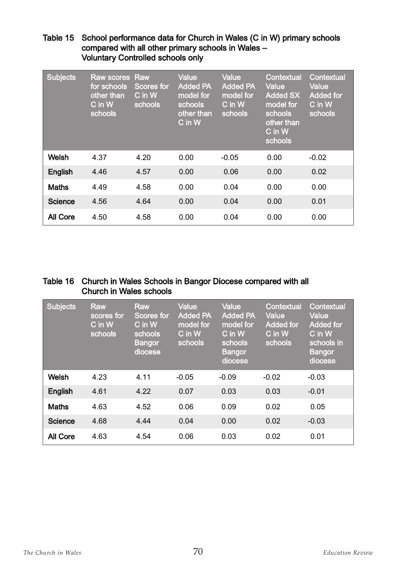#### Table 15 School performance data for Church in Wales (C in W) primary schools compared with all other primary schools in Wales – Voluntary Controlled schools only

| <b>Subjects</b> | <b>Raw scores Raw</b><br>for schools<br>other than<br>C in W<br>schools | Scores for<br>$C$ in $W$<br>schools | <b>Value</b><br><b>Added PA</b><br>model for<br>schools<br>other than<br>C in W | Value<br><b>Added PA</b><br>model for<br>C in W<br>schools | <b>Contextual</b><br>Value<br><b>Added SX</b><br>model for<br>schools<br>other than<br>C in W<br>schools | <b>Contextual</b><br><b>Value</b><br><b>Added for</b><br>C in W<br>schools |
|-----------------|-------------------------------------------------------------------------|-------------------------------------|---------------------------------------------------------------------------------|------------------------------------------------------------|----------------------------------------------------------------------------------------------------------|----------------------------------------------------------------------------|
| Welsh           | 4.37                                                                    | 4.20                                | 0.00                                                                            | $-0.05$                                                    | 0.00                                                                                                     | $-0.02$                                                                    |
| English         | 4.46                                                                    | 4.57                                | 0.00                                                                            | 0.06                                                       | 0.00                                                                                                     | 0.02                                                                       |
| <b>Maths</b>    | 4.49                                                                    | 4.58                                | 0.00                                                                            | 0.04                                                       | 0.00                                                                                                     | 0.00                                                                       |
| Science         | 4.56                                                                    | 4.64                                | 0.00                                                                            | 0.04                                                       | 0.00                                                                                                     | 0.01                                                                       |
| <b>All Core</b> | 4.50                                                                    | 4.58                                | 0.00                                                                            | 0.04                                                       | 0.00                                                                                                     | 0.00                                                                       |

#### Table 16 Church in Wales Schools in Bangor Diocese compared with all Church in Wales schools

| <b>Subjects</b> | <b>Raw</b><br>scores for<br>$C$ in $W$<br>schools | <b>Raw</b><br><b>Scores for</b><br>$C$ in $W$<br>schools<br><b>Bangor</b><br>diocese | Value<br><b>Added PA</b><br>model for<br>$C$ in $W$<br>schools | <b>Value</b><br><b>Added PA</b><br>model for<br>C in W<br>schools<br><b>Bangor</b><br>diocese | <b>Contextual</b><br>Value<br><b>Added for</b><br>$C$ in $W$<br>schools | <b>Contextual</b><br>Value<br><b>Added for</b><br>$C$ in $W$<br>schools in<br><b>Bangor</b><br>diocese |
|-----------------|---------------------------------------------------|--------------------------------------------------------------------------------------|----------------------------------------------------------------|-----------------------------------------------------------------------------------------------|-------------------------------------------------------------------------|--------------------------------------------------------------------------------------------------------|
| Welsh           | 4.23                                              | 4.11                                                                                 | $-0.05$                                                        | $-0.09$                                                                                       | $-0.02$                                                                 | $-0.03$                                                                                                |
| English         | 4.61                                              | 4.22                                                                                 | 0.07                                                           | 0.03                                                                                          | 0.03                                                                    | $-0.01$                                                                                                |
| <b>Maths</b>    | 4.63                                              | 4.52                                                                                 | 0.06                                                           | 0.09                                                                                          | 0.02                                                                    | 0.05                                                                                                   |
| <b>Science</b>  | 4.68                                              | 4.44                                                                                 | 0.04                                                           | 0.00                                                                                          | 0.02                                                                    | $-0.03$                                                                                                |
| <b>All Core</b> | 4.63                                              | 4.54                                                                                 | 0.06                                                           | 0.03                                                                                          | 0.02                                                                    | 0.01                                                                                                   |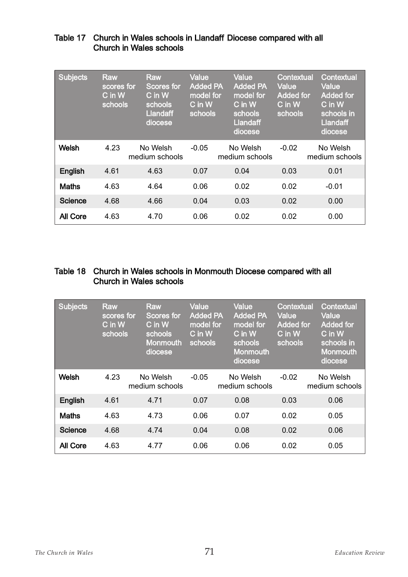| <b>Subjects</b> | <b>Raw</b><br>scores for<br>$C$ in $W$<br>schools | <b>Raw</b><br><b>Scores for</b><br>$C$ in $W$<br>schools<br><b>Llandaff</b><br>diocese | <b>Value</b><br><b>Added PA</b><br>model for<br>C in W<br>schools | Value<br><b>Added PA</b><br>model for<br>C in W<br>schools<br><b>Llandaff</b><br>diocese | <b>Contextual</b><br><b>Value</b><br><b>Added for</b><br>$\overline{\mathsf{C}}$ in $\overline{\mathsf{W}}$<br>schools | Contextual<br><b>Value</b><br><b>Added for</b><br>$C$ in $W$<br>schools in<br><b>Llandaff</b><br>diocese |
|-----------------|---------------------------------------------------|----------------------------------------------------------------------------------------|-------------------------------------------------------------------|------------------------------------------------------------------------------------------|------------------------------------------------------------------------------------------------------------------------|----------------------------------------------------------------------------------------------------------|
| Welsh           | 4.23                                              | No Welsh<br>medium schools                                                             | $-0.05$                                                           | No Welsh<br>medium schools                                                               | $-0.02$                                                                                                                | No Welsh<br>medium schools                                                                               |
| English         | 4.61                                              | 4.63                                                                                   | 0.07                                                              | 0.04                                                                                     | 0.03                                                                                                                   | 0.01                                                                                                     |
| <b>Maths</b>    | 4.63                                              | 4.64                                                                                   | 0.06                                                              | 0.02                                                                                     | 0.02                                                                                                                   | $-0.01$                                                                                                  |
| Science         | 4.68                                              | 4.66                                                                                   | 0.04                                                              | 0.03                                                                                     | 0.02                                                                                                                   | 0.00                                                                                                     |
| <b>All Core</b> | 4.63                                              | 4.70                                                                                   | 0.06                                                              | 0.02                                                                                     | 0.02                                                                                                                   | 0.00                                                                                                     |

#### Table 17 Church in Wales schools in Llandaff Diocese compared with all Church in Wales schools

#### Table 18 Church in Wales schools in Monmouth Diocese compared with all Church in Wales schools

| <b>Subjects</b> | <b>Raw</b><br>scores for<br>C in W<br>schools | Raw<br>Scores for<br>C in W<br>schools<br><b>Monmouth</b><br>diocese | <b>Value</b><br><b>Added PA</b><br>model for<br>$C$ in $W$<br>schools | Value<br><b>Added PA</b><br>model for<br>$C$ in $W$<br>schools<br><b>Monmouth</b><br>diocese | <b>Contextual</b><br>Value<br><b>Added for</b><br>C in W<br>schools | Contextual<br>Value<br><b>Added for</b><br>$C$ in $W$<br>schools in<br><b>Monmouth</b><br>diocese |
|-----------------|-----------------------------------------------|----------------------------------------------------------------------|-----------------------------------------------------------------------|----------------------------------------------------------------------------------------------|---------------------------------------------------------------------|---------------------------------------------------------------------------------------------------|
| <b>Welsh</b>    | 4.23                                          | No Welsh<br>medium schools                                           | $-0.05$                                                               | No Welsh<br>medium schools                                                                   | $-0.02$                                                             | No Welsh<br>medium schools                                                                        |
| English         | 4.61                                          | 4.71                                                                 | 0.07                                                                  | 0.08                                                                                         | 0.03                                                                | 0.06                                                                                              |
| <b>Maths</b>    | 4.63                                          | 4.73                                                                 | 0.06                                                                  | 0.07                                                                                         | 0.02                                                                | 0.05                                                                                              |
| <b>Science</b>  | 4.68                                          | 4.74                                                                 | 0.04                                                                  | 0.08                                                                                         | 0.02                                                                | 0.06                                                                                              |
| All Core        | 4.63                                          | 4.77                                                                 | 0.06                                                                  | 0.06                                                                                         | 0.02                                                                | 0.05                                                                                              |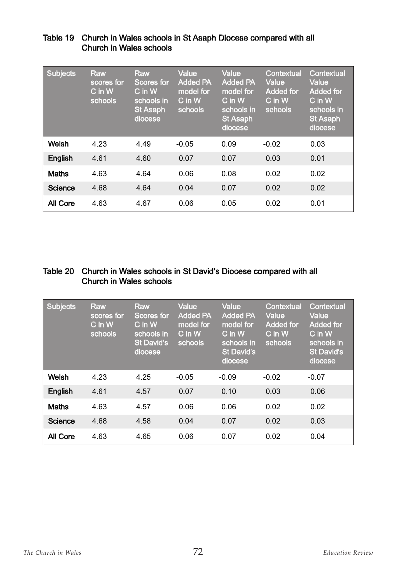| <b>Subjects</b> | <b>Raw</b><br>scores for<br>$C$ in $W$<br>schools | <b>Raw</b><br><b>Scores for</b><br>$C$ in $W$<br>schools in<br><b>St Asaph</b><br>diocese | <b>Value</b><br><b>Added PA</b><br>model for<br>$C$ in $W$<br>schools | <b>Value</b><br><b>Added PA</b><br>model for<br>C in W<br>schools in<br><b>St Asaph</b><br>diocese | <b>Contextual</b><br>Value<br><b>Added for</b><br>$C$ in $W$<br>schools | Contextual<br>Value<br><b>Added for</b><br>$C$ in $W$<br>schools in<br><b>St Asaph</b><br>diocese |
|-----------------|---------------------------------------------------|-------------------------------------------------------------------------------------------|-----------------------------------------------------------------------|----------------------------------------------------------------------------------------------------|-------------------------------------------------------------------------|---------------------------------------------------------------------------------------------------|
| <b>Welsh</b>    | 4.23                                              | 4.49                                                                                      | $-0.05$                                                               | 0.09                                                                                               | $-0.02$                                                                 | 0.03                                                                                              |
| English         | 4.61                                              | 4.60                                                                                      | 0.07                                                                  | 0.07                                                                                               | 0.03                                                                    | 0.01                                                                                              |
| <b>Maths</b>    | 4.63                                              | 4.64                                                                                      | 0.06                                                                  | 0.08                                                                                               | 0.02                                                                    | 0.02                                                                                              |
| <b>Science</b>  | 4.68                                              | 4.64                                                                                      | 0.04                                                                  | 0.07                                                                                               | 0.02                                                                    | 0.02                                                                                              |
| All Core        | 4.63                                              | 4.67                                                                                      | 0.06                                                                  | 0.05                                                                                               | 0.02                                                                    | 0.01                                                                                              |

#### Table 19 Church in Wales schools in St Asaph Diocese compared with all Church in Wales schools

#### Table 20 Church in Wales schools in St David's Diocese compared with all Church in Wales schools

| <b>Subjects</b> | <b>Raw</b><br>scores for<br>$\overline{\mathsf{C}}$ in W $\overline{}$<br>schools | <b>Raw</b><br><b>Scores for</b><br>$\overline{\text{C}}$ in $\overline{\text{W}}$<br>schools in<br><b>St David's</b><br>diocese | <b>Value</b><br><b>Added PA</b><br>model for<br>$C$ in $W$<br>schools | <b>Value</b><br><b>Added PA</b><br>model for<br>C in W<br>schools in<br><b>St David's</b><br>diocese | <b>Contextual</b><br>Value<br><b>Added for</b><br>$C$ in $W$<br>schools | Contextual<br>Value<br><b>Added for</b><br>$C$ in $W$<br>schools in<br><b>St David's</b><br>diocese |
|-----------------|-----------------------------------------------------------------------------------|---------------------------------------------------------------------------------------------------------------------------------|-----------------------------------------------------------------------|------------------------------------------------------------------------------------------------------|-------------------------------------------------------------------------|-----------------------------------------------------------------------------------------------------|
| Welsh           | 4.23                                                                              | 4.25                                                                                                                            | $-0.05$                                                               | $-0.09$                                                                                              | $-0.02$                                                                 | $-0.07$                                                                                             |
| English         | 4.61                                                                              | 4.57                                                                                                                            | 0.07                                                                  | 0.10                                                                                                 | 0.03                                                                    | 0.06                                                                                                |
| <b>Maths</b>    | 4.63                                                                              | 4.57                                                                                                                            | 0.06                                                                  | 0.06                                                                                                 | 0.02                                                                    | 0.02                                                                                                |
| <b>Science</b>  | 4.68                                                                              | 4.58                                                                                                                            | 0.04                                                                  | 0.07                                                                                                 | 0.02                                                                    | 0.03                                                                                                |
| <b>All Core</b> | 4.63                                                                              | 4.65                                                                                                                            | 0.06                                                                  | 0.07                                                                                                 | 0.02                                                                    | 0.04                                                                                                |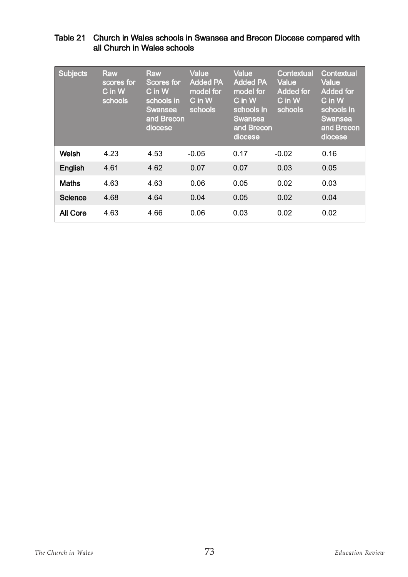# Table 21 Church in Wales schools in Swansea and Brecon Diocese compared with all Church in Wales schools

| <b>Subjects</b> | <b>Raw</b><br>scores for<br>C in W<br>schools | <b>Raw</b><br><b>Scores for</b><br>$C$ in $W$<br>schools in<br>Swansea<br>and Brecon<br>diocese | <b>Value</b><br><b>Added PA</b><br>model for<br>C in W<br>schools | Value<br><b>Added PA</b><br>model for<br>$C$ in $W$<br>schools in<br><b>Swansea</b><br>and Brecon<br>diocese | <b>Contextual</b><br>Value<br><b>Added for</b><br>$C$ in $W$<br>schools | Contextual<br>Value<br><b>Added for</b><br>$C$ in $W$<br>schools in<br><b>Swansea</b><br>and Brecon<br>diocese |
|-----------------|-----------------------------------------------|-------------------------------------------------------------------------------------------------|-------------------------------------------------------------------|--------------------------------------------------------------------------------------------------------------|-------------------------------------------------------------------------|----------------------------------------------------------------------------------------------------------------|
| Welsh           | 4.23                                          | 4.53                                                                                            | $-0.05$                                                           | 0.17                                                                                                         | $-0.02$                                                                 | 0.16                                                                                                           |
| English         | 4.61                                          | 4.62                                                                                            | 0.07                                                              | 0.07                                                                                                         | 0.03                                                                    | 0.05                                                                                                           |
| <b>Maths</b>    | 4.63                                          | 4.63                                                                                            | 0.06                                                              | 0.05                                                                                                         | 0.02                                                                    | 0.03                                                                                                           |
| Science         | 4.68                                          | 4.64                                                                                            | 0.04                                                              | 0.05                                                                                                         | 0.02                                                                    | 0.04                                                                                                           |
| <b>All Core</b> | 4.63                                          | 4.66                                                                                            | 0.06                                                              | 0.03                                                                                                         | 0.02                                                                    | 0.02                                                                                                           |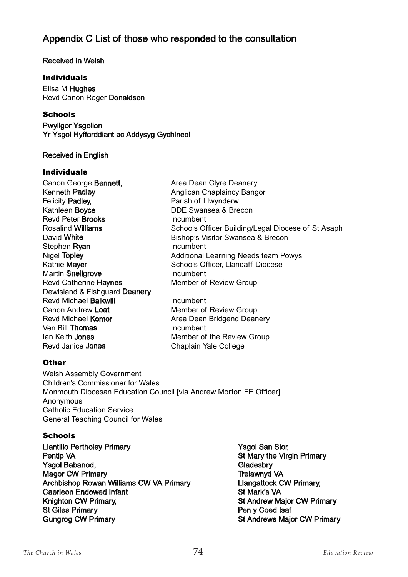# Appendix C List of those who responded to the consultation

### Received in Welsh

### **Individuals**

Elisa M Hughes Revd Canon Roger Donaldson

### **Schools**

Pwyllgor Ysgolion Yr Ysgol Hyfforddiant ac Addysyg Gychlneol

### Received in English

#### **Individuals**

| Area Dean Clyre Deanery                            |
|----------------------------------------------------|
| Anglican Chaplaincy Bangor                         |
| Parish of Llwynderw                                |
| DDE Swansea & Brecon                               |
| Incumbent                                          |
| Schools Officer Building/Legal Diocese of St Asaph |
| Bishop's Visitor Swansea & Brecon                  |
| Incumbent                                          |
| <b>Additional Learning Needs team Powys</b>        |
| <b>Schools Officer, Llandaff Diocese</b>           |
| Incumbent                                          |
| Member of Review Group                             |
|                                                    |
| Incumbent                                          |
| Member of Review Group                             |
| Area Dean Bridgend Deanery                         |
| Incumbent                                          |
| Member of the Review Group                         |
| Chaplain Yale College                              |
|                                                    |

### **Other**

Welsh Assembly Government Children's Commissioner for Wales Monmouth Diocesan Education Council [via Andrew Morton FE Officer] Anonymous Catholic Education Service General Teaching Council for Wales

### **Schools**

- Llantilio Pertholey Primary **The Contract State Contract Contract Contract Contract Contract Contract Contract Contract Contract Contract Contract Contract Contract Contract Contract Contract Contract Contract Contract Con** Pentip VA **St Mary the Virgin Primary** Ysgol Babanod, Gladesbry Controller and Clause Controller and Gladesbry Controller and Gladesbry Magor CW Primary **Trelawnyd VA** Archbishop Rowan Williams CW VA Primary<br>Caerleon Endowed Infant **CALC CONCEY CALC CONTEXT** St Mark's VA Caerleon Endowed Infant Knighton CW Primary, St Andrew Major CW Primary St Giles Primary **Pen y Coed Isaf** Gungrog CW Primary **St Andrews Major CW Primary** St Andrews Major CW Primary
	-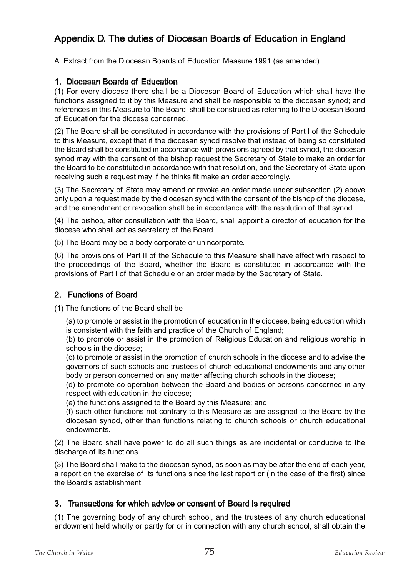# Appendix D. The duties of Diocesan Boards of Education in England

A. Extract from the Diocesan Boards of Education Measure 1991 (as amended)

### 1. Diocesan Boards of Education

(1) For every diocese there shall be a Diocesan Board of Education which shall have the functions assigned to it by this Measure and shall be responsible to the diocesan synod; and references in this Measure to 'the Board' shall be construed as referring to the Diocesan Board of Education for the diocese concerned.

(2) The Board shall be constituted in accordance with the provisions of Part I of the Schedule to this Measure, except that if the diocesan synod resolve that instead of being so constituted the Board shall be constituted in accordance with provisions agreed by that synod, the diocesan synod may with the consent of the bishop request the Secretary of State to make an order for the Board to be constituted in accordance with that resolution, and the Secretary of State upon receiving such a request may if he thinks fit make an order accordingly.

(3) The Secretary of State may amend or revoke an order made under subsection (2) above only upon a request made by the diocesan synod with the consent of the bishop of the diocese, and the amendment or revocation shall be in accordance with the resolution of that synod.

(4) The bishop, after consultation with the Board, shall appoint a director of education for the diocese who shall act as secretary of the Board.

(5) The Board may be a body corporate or unincorporate.

(6) The provisions of Part II of the Schedule to this Measure shall have effect with respect to the proceedings of the Board, whether the Board is constituted in accordance with the provisions of Part I of that Schedule or an order made by the Secretary of State.

## 2. Functions of Board

(1) The functions of the Board shall be-

(a) to promote or assist in the promotion of education in the diocese, being education which is consistent with the faith and practice of the Church of England;

(b) to promote or assist in the promotion of Religious Education and religious worship in schools in the diocese;

(c) to promote or assist in the promotion of church schools in the diocese and to advise the governors of such schools and trustees of church educational endowments and any other body or person concerned on any matter affecting church schools in the diocese;

(d) to promote co-operation between the Board and bodies or persons concerned in any respect with education in the diocese;

(e) the functions assigned to the Board by this Measure; and

(f) such other functions not contrary to this Measure as are assigned to the Board by the diocesan synod, other than functions relating to church schools or church educational endowments.

(2) The Board shall have power to do all such things as are incidental or conducive to the discharge of its functions.

(3) The Board shall make to the diocesan synod, as soon as may be after the end of each year, a report on the exercise of its functions since the last report or (in the case of the first) since the Board's establishment.

## 3. Transactions for which advice or consent of Board is required

(1) The governing body of any church school, and the trustees of any church educational endowment held wholly or partly for or in connection with any church school, shall obtain the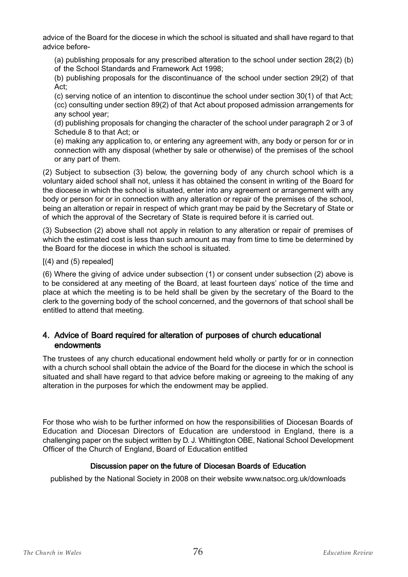advice of the Board for the diocese in which the school is situated and shall have regard to that advice before-

(a) publishing proposals for any prescribed alteration to the school under section 28(2) (b) of the School Standards and Framework Act 1998;

(b) publishing proposals for the discontinuance of the school under section 29(2) of that Act;

(c) serving notice of an intention to discontinue the school under section 30(1) of that Act; (cc) consulting under section 89(2) of that Act about proposed admission arrangements for any school year;

(d) publishing proposals for changing the character of the school under paragraph 2 or 3 of Schedule 8 to that Act; or

(e) making any application to, or entering any agreement with, any body or person for or in connection with any disposal (whether by sale or otherwise) of the premises of the school or any part of them.

(2) Subject to subsection (3) below, the governing body of any church school which is a voluntary aided school shall not, unless it has obtained the consent in writing of the Board for the diocese in which the school is situated, enter into any agreement or arrangement with any body or person for or in connection with any alteration or repair of the premises of the school, being an alteration or repair in respect of which grant may be paid by the Secretary of State or of which the approval of the Secretary of State is required before it is carried out.

(3) Subsection (2) above shall not apply in relation to any alteration or repair of premises of which the estimated cost is less than such amount as may from time to time be determined by the Board for the diocese in which the school is situated.

 $[(4)$  and  $(5)$  repealed]

(6) Where the giving of advice under subsection (1) or consent under subsection (2) above is to be considered at any meeting of the Board, at least fourteen days' notice of the time and place at which the meeting is to be held shall be given by the secretary of the Board to the clerk to the governing body of the school concerned, and the governors of that school shall be entitled to attend that meeting.

## 4. Advice of Board required for alteration of purposes of church educational endowments

The trustees of any church educational endowment held wholly or partly for or in connection with a church school shall obtain the advice of the Board for the diocese in which the school is situated and shall have regard to that advice before making or agreeing to the making of any alteration in the purposes for which the endowment may be applied.

For those who wish to be further informed on how the responsibilities of Diocesan Boards of Education and Diocesan Directors of Education are understood in England, there is a challenging paper on the subject written by D. J. Whittington OBE, National School Development Officer of the Church of England, Board of Education entitled

## Discussion paper on the future of Diocesan Boards of Education

published by the National Society in 2008 on their website www.natsoc.org.uk/downloads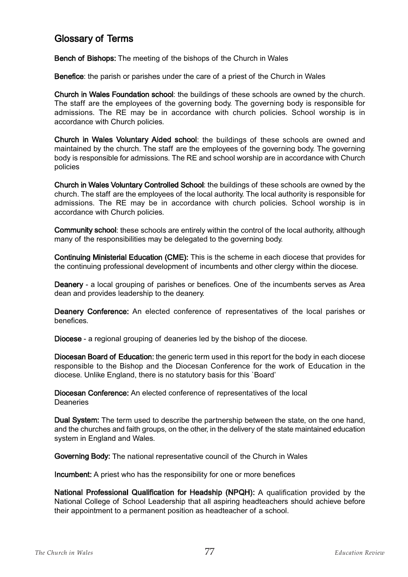# Glossary of Terms

Bench of Bishops: The meeting of the bishops of the Church in Wales

Benefice: the parish or parishes under the care of a priest of the Church in Wales

Church in Wales Foundation school: the buildings of these schools are owned by the church. The staff are the employees of the governing body. The governing body is responsible for admissions. The RE may be in accordance with church policies. School worship is in accordance with Church policies.

Church in Wales Voluntary Aided school: the buildings of these schools are owned and maintained by the church. The staff are the employees of the governing body. The governing body is responsible for admissions. The RE and school worship are in accordance with Church policies

Church in Wales Voluntary Controlled School: the buildings of these schools are owned by the church. The staff are the employees of the local authority. The local authority is responsible for admissions. The RE may be in accordance with church policies. School worship is in accordance with Church policies.

Community school: these schools are entirely within the control of the local authority, although many of the responsibilities may be delegated to the governing body.

Continuing Ministerial Education (CME): This is the scheme in each diocese that provides for the continuing professional development of incumbents and other clergy within the diocese.

Deanery - a local grouping of parishes or benefices. One of the incumbents serves as Area dean and provides leadership to the deanery.

Deanery Conference: An elected conference of representatives of the local parishes or benefices.

Diocese - a regional grouping of deaneries led by the bishop of the diocese.

Diocesan Board of Education: the generic term used in this report for the body in each diocese responsible to the Bishop and the Diocesan Conference for the work of Education in the diocese. Unlike England, there is no statutory basis for this `Board'

Diocesan Conference: An elected conference of representatives of the local **Deaneries** 

Dual System: The term used to describe the partnership between the state, on the one hand, and the churches and faith groups, on the other, in the delivery of the state maintained education system in England and Wales.

Governing Body: The national representative council of the Church in Wales

Incumbent: A priest who has the responsibility for one or more benefices

National Professional Qualification for Headship (NPQH): A qualification provided by the National College of School Leadership that all aspiring headteachers should achieve before their appointment to a permanent position as headteacher of a school.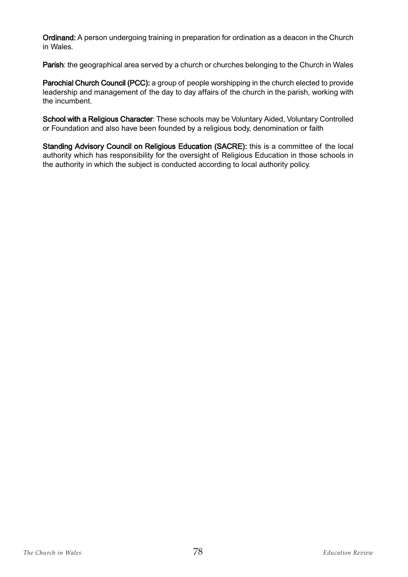Ordinand: A person undergoing training in preparation for ordination as a deacon in the Church in Wales.

Parish: the geographical area served by a church or churches belonging to the Church in Wales

Parochial Church Council (PCC): a group of people worshipping in the church elected to provide leadership and management of the day to day affairs of the church in the parish, working with the incumbent.

School with a Religious Character: These schools may be Voluntary Aided, Voluntary Controlled or Foundation and also have been founded by a religious body, denomination or faith

Standing Advisory Council on Religious Education (SACRE): this is a committee of the local authority which has responsibility for the oversight of Religious Education in those schools in the authority in which the subject is conducted according to local authority policy.